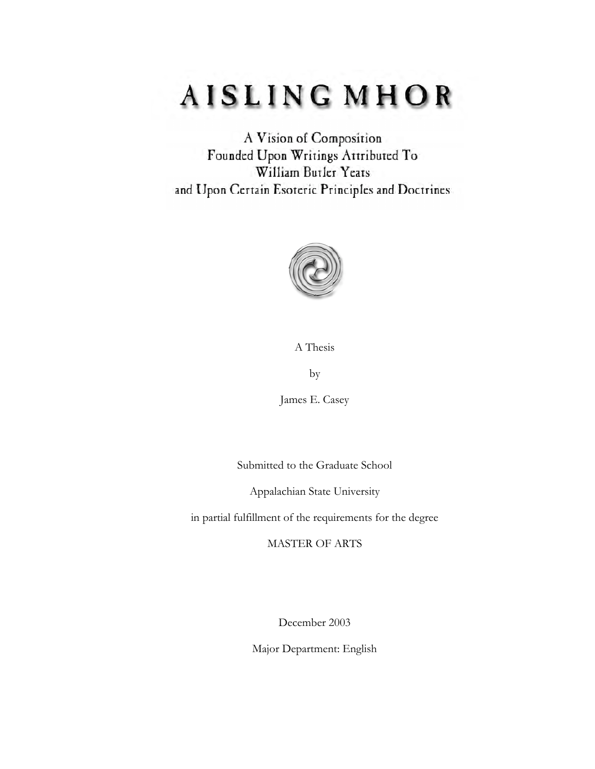# AISLING MHOR

A Vision of Composition Founded Upon Writings Attributed To William Butler Yeats and Upon Certain Esoteric Principles and Doctrines



A Thesis

by

James E. Casey

Submitted to the Graduate School

Appalachian State University

in partial fulfillment of the requirements for the degree

MASTER OF ARTS

December 2003

Major Department: English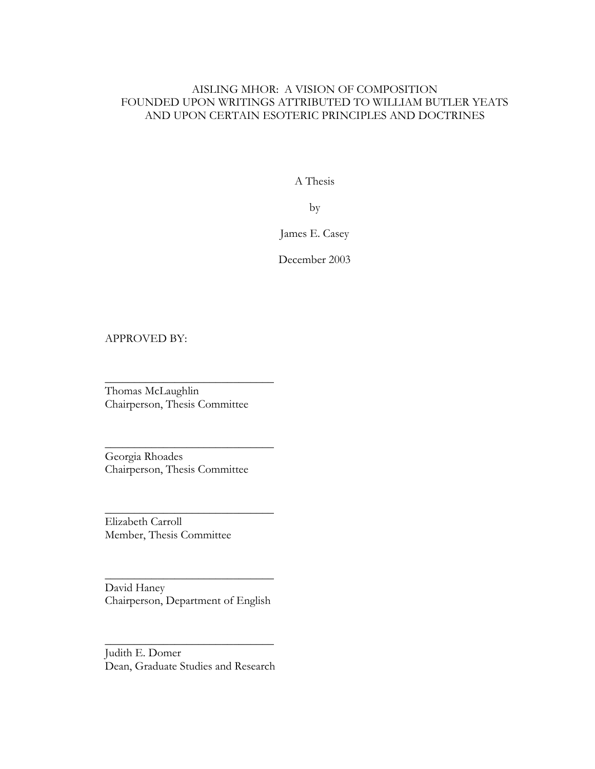### AISLING MHOR: A VISION OF COMPOSITION FOUNDED UPON WRITINGS ATTRIBUTED TO WILLIAM BUTLER YEATS AND UPON CERTAIN ESOTERIC PRINCIPLES AND DOCTRINES

A Thesis

by

James E. Casey

December 2003

### APPROVED BY:

Thomas McLaughlin Chairperson, Thesis Committee

 $\overline{\phantom{a}}$  , where  $\overline{\phantom{a}}$  , where  $\overline{\phantom{a}}$  , where  $\overline{\phantom{a}}$ 

 $\overline{\phantom{a}}$  , where  $\overline{\phantom{a}}$  , where  $\overline{\phantom{a}}$  , where  $\overline{\phantom{a}}$ 

 $\overline{\phantom{a}}$  , where  $\overline{\phantom{a}}$  , where  $\overline{\phantom{a}}$  , where  $\overline{\phantom{a}}$ 

Georgia Rhoades Chairperson, Thesis Committee

Elizabeth Carroll Member, Thesis Committee

David Haney Chairperson, Department of English

 $\overline{\phantom{a}}$  , where  $\overline{\phantom{a}}$  , where  $\overline{\phantom{a}}$  , where  $\overline{\phantom{a}}$ 

Judith E. Domer Dean, Graduate Studies and Research

 $\overline{\phantom{a}}$  , where  $\overline{\phantom{a}}$  , where  $\overline{\phantom{a}}$  , where  $\overline{\phantom{a}}$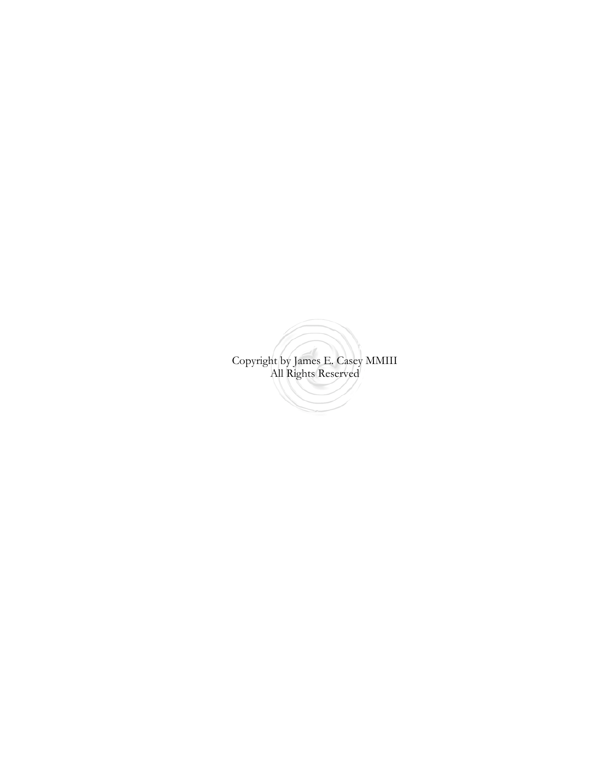Copyright by James E. Casey MMIII All Rights Reserved<u>San Sarajara (</u>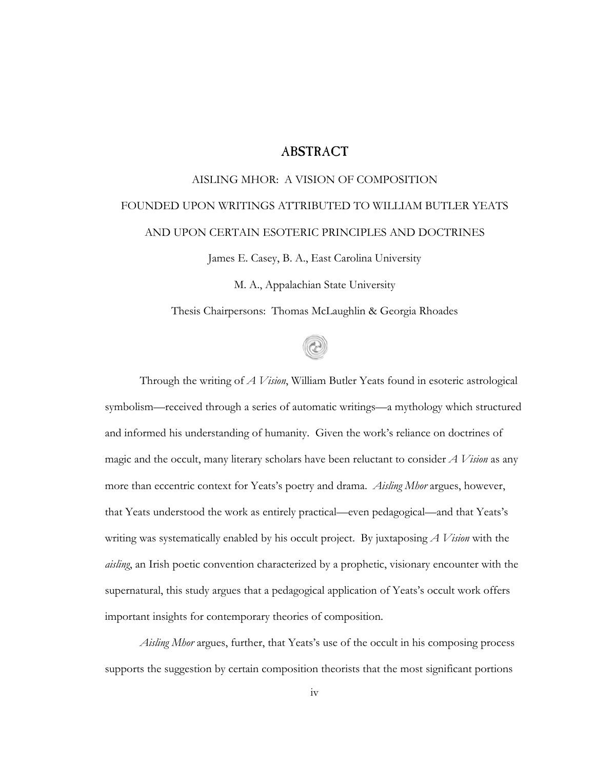### **ABSTRACT**

# AISLING MHOR: A VISION OF COMPOSITION FOUNDED UPON WRITINGS ATTRIBUTED TO WILLIAM BUTLER YEATS AND UPON CERTAIN ESOTERIC PRINCIPLES AND DOCTRINES

James E. Casey, B. A., East Carolina University

M. A., Appalachian State University

Thesis Chairpersons: Thomas McLaughlin & Georgia Rhoades



Through the writing of *A Vision*, William Butler Yeats found in esoteric astrological symbolism—received through a series of automatic writings—a mythology which structured and informed his understanding of humanity. Given the work's reliance on doctrines of magic and the occult, many literary scholars have been reluctant to consider *A Vision* as any more than eccentric context for Yeats's poetry and drama. *Aisling Mhor* argues, however, that Yeats understood the work as entirely practical—even pedagogical—and that Yeats's writing was systematically enabled by his occult project. By juxtaposing *A Vision* with the *aisling*, an Irish poetic convention characterized by a prophetic, visionary encounter with the supernatural, this study argues that a pedagogical application of Yeats's occult work offers important insights for contemporary theories of composition.

*Aisling Mhor* argues, further, that Yeats's use of the occult in his composing process supports the suggestion by certain composition theorists that the most significant portions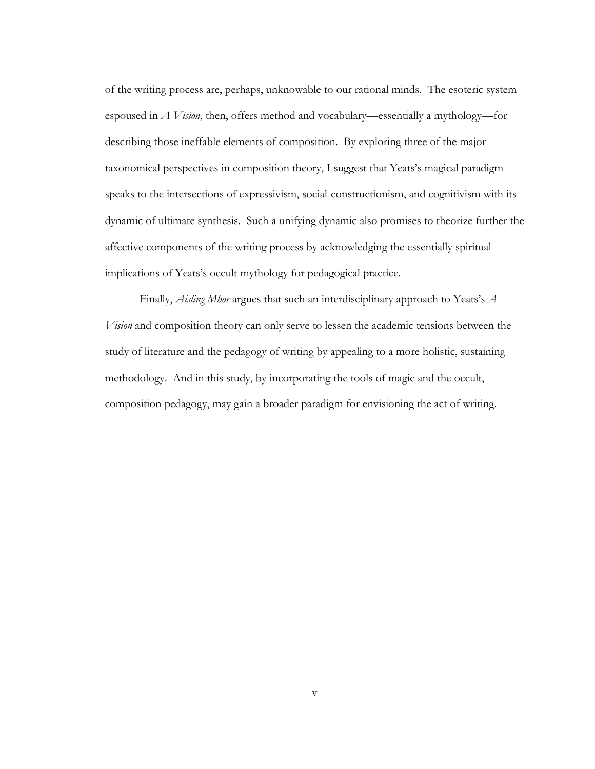of the writing process are, perhaps, unknowable to our rational minds. The esoteric system espoused in *A Vision*, then, offers method and vocabulary—essentially a mythology—for describing those ineffable elements of composition. By exploring three of the major taxonomical perspectives in composition theory, I suggest that Yeats's magical paradigm speaks to the intersections of expressivism, social-constructionism, and cognitivism with its dynamic of ultimate synthesis. Such a unifying dynamic also promises to theorize further the affective components of the writing process by acknowledging the essentially spiritual implications of Yeats's occult mythology for pedagogical practice.

Finally, *Aisling Mhor* argues that such an interdisciplinary approach to Yeats's *A Vision* and composition theory can only serve to lessen the academic tensions between the study of literature and the pedagogy of writing by appealing to a more holistic, sustaining methodology. And in this study, by incorporating the tools of magic and the occult, composition pedagogy, may gain a broader paradigm for envisioning the act of writing.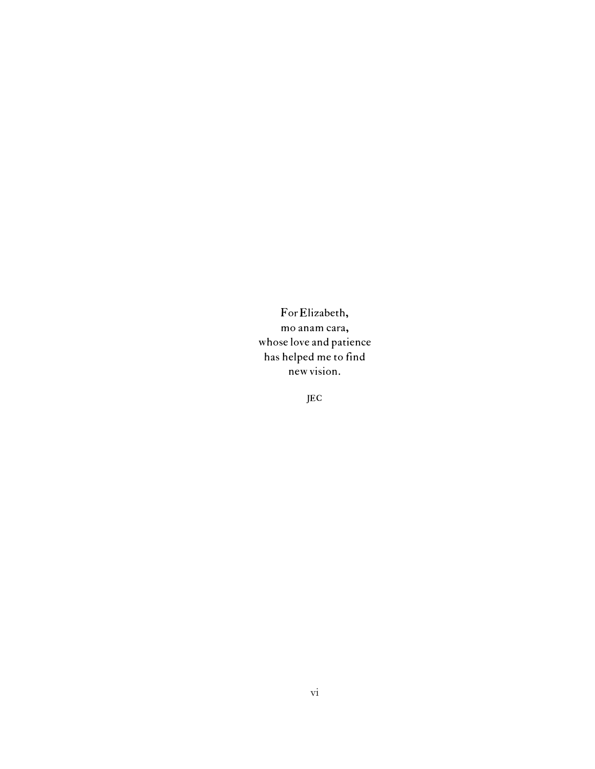ForElizabeth, mo anam cara, whose love and patience has helped me to find newvision.

JEC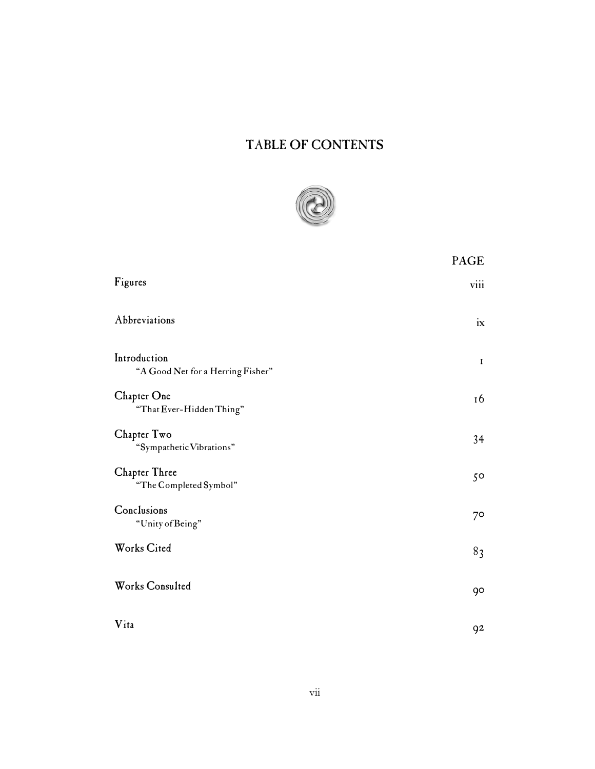# TABLE OF CONTENTS



|                                                   | PAGE        |
|---------------------------------------------------|-------------|
| Figures                                           | viii        |
| Abbreviations                                     | ix          |
| Introduction<br>"A Good Net for a Herring Fisher" | $\mathbf I$ |
| Chapter One<br>"That Ever-Hidden Thing"           | 16          |
| Chapter Two<br>"Sympathetic Vibrations"           | 34          |
| Chapter Three<br>"The Completed Symbol"           | $5^{\circ}$ |
| Conclusions<br>"Unity of Being"                   | $7^\circ$   |
| Works Cited                                       | 83          |
| Works Consulted                                   | 90          |
| Vita                                              | 92          |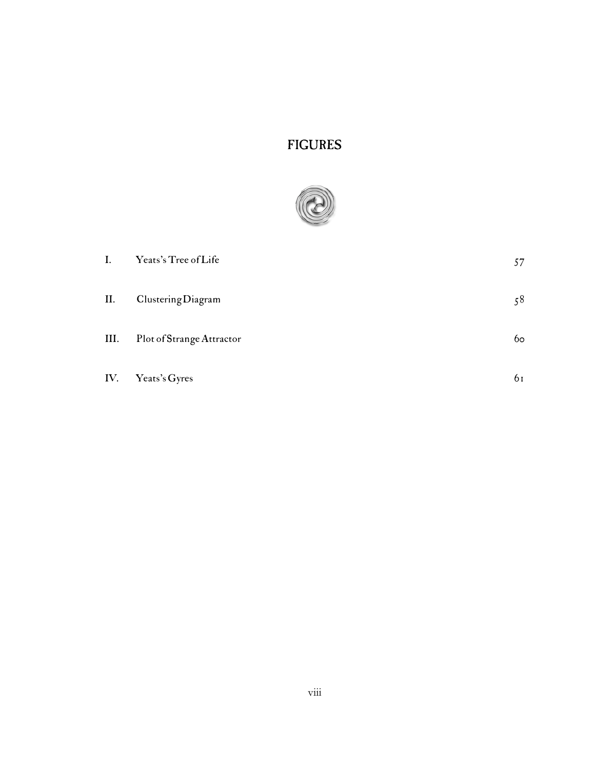## FIGURES



| I.   | Yeats's Tree of Life      | 57             |
|------|---------------------------|----------------|
| II.  | Clustering Diagram        | 58             |
| III. | Plot of Strange Attractor | 6 <sub>o</sub> |
| IV.  | Yeats's Gyres             | 61             |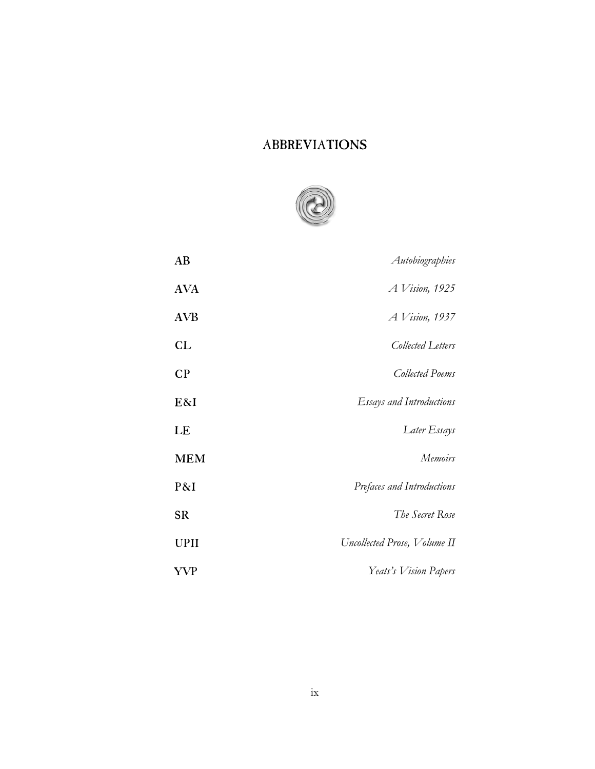### ABBREVIATIONS



| AB          | Autobiographies                 |
|-------------|---------------------------------|
| <b>AVA</b>  | $A$ Vision, 1925                |
| <b>AVB</b>  | <i>A Vision</i> , 1937          |
| <b>CL</b>   | Collected Letters               |
| CP          | Collected Poems                 |
| E&I         | <b>Essays and Introductions</b> |
| LE          | Later Essays                    |
| <b>MEM</b>  | <b>Memoirs</b>                  |
| P&I         | Prefaces and Introductions      |
| <b>SR</b>   | The Secret Rose                 |
| <b>UPII</b> | Uncollected Prose, Volume II    |
| YVP         | Yeats's Vision Papers           |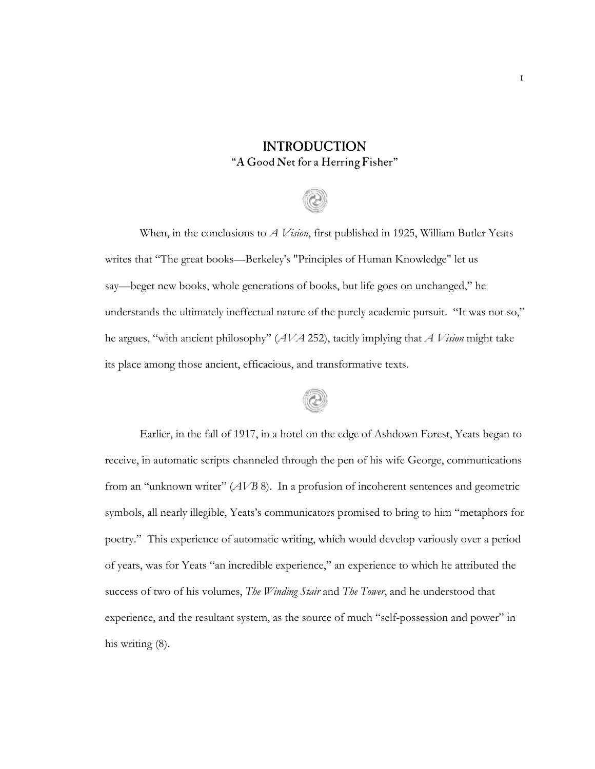### INTRODUCTION "A Good Net for a Herring Fisher"

# When, in the conclusions to *A Vision*, first published in 1925, William Butler Yeats writes that "The great books—Berkeley's "Principles of Human Knowledge" let us say—beget new books, whole generations of books, but life goes on unchanged," he understands the ultimately ineffectual nature of the purely academic pursuit. "It was not so," he argues, "with ancient philosophy" (*AVA* 252), tacitly implying that *A Vision* might take its place among those ancient, efficacious, and transformative texts.

# $^{\copyright}$

Earlier, in the fall of 1917, in a hotel on the edge of Ashdown Forest, Yeats began to receive, in automatic scripts channeled through the pen of his wife George, communications from an "unknown writer" (*AVB* 8). In a profusion of incoherent sentences and geometric symbols, all nearly illegible, Yeats's communicators promised to bring to him "metaphors for poetry." This experience of automatic writing, which would develop variously over a period of years, was for Yeats "an incredible experience," an experience to which he attributed the success of two of his volumes, *The Winding Stair* and *The Tower*, and he understood that experience, and the resultant system, as the source of much "self-possession and power" in his writing (8).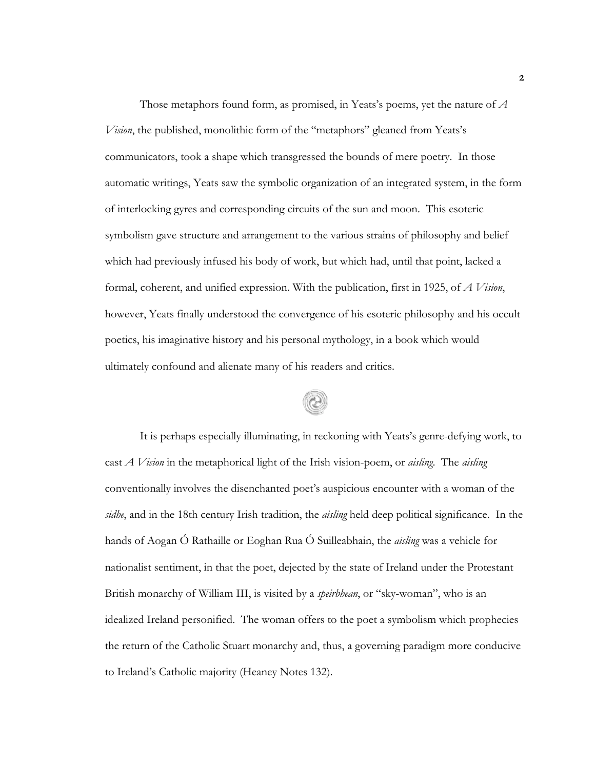Those metaphors found form, as promised, in Yeats's poems, yet the nature of *A Vision*, the published, monolithic form of the "metaphors" gleaned from Yeats's communicators, took a shape which transgressed the bounds of mere poetry. In those automatic writings, Yeats saw the symbolic organization of an integrated system, in the form of interlocking gyres and corresponding circuits of the sun and moon. This esoteric symbolism gave structure and arrangement to the various strains of philosophy and belief which had previously infused his body of work, but which had, until that point, lacked a formal, coherent, and unified expression. With the publication, first in 1925, of *A Vision*, however, Yeats finally understood the convergence of his esoteric philosophy and his occult poetics, his imaginative history and his personal mythology, in a book which would ultimately confound and alienate many of his readers and critics.

It is perhaps especially illuminating, in reckoning with Yeats's genre-defying work, to cast *A Vision* in the metaphorical light of the Irish vision-poem, or *aisling*. The *aisling* conventionally involves the disenchanted poet's auspicious encounter with a woman of the *sidhe*, and in the 18th century Irish tradition, the *aisling* held deep political significance. In the hands of Aogan Ó Rathaille or Eoghan Rua Ó Suilleabhain, the *aisling* was a vehicle for nationalist sentiment, in that the poet, dejected by the state of Ireland under the Protestant British monarchy of William III, is visited by a *speirbhean*, or "sky-woman", who is an idealized Ireland personified. The woman offers to the poet a symbolism which prophecies the return of the Catholic Stuart monarchy and, thus, a governing paradigm more conducive to Ireland's Catholic majority (Heaney Notes 132).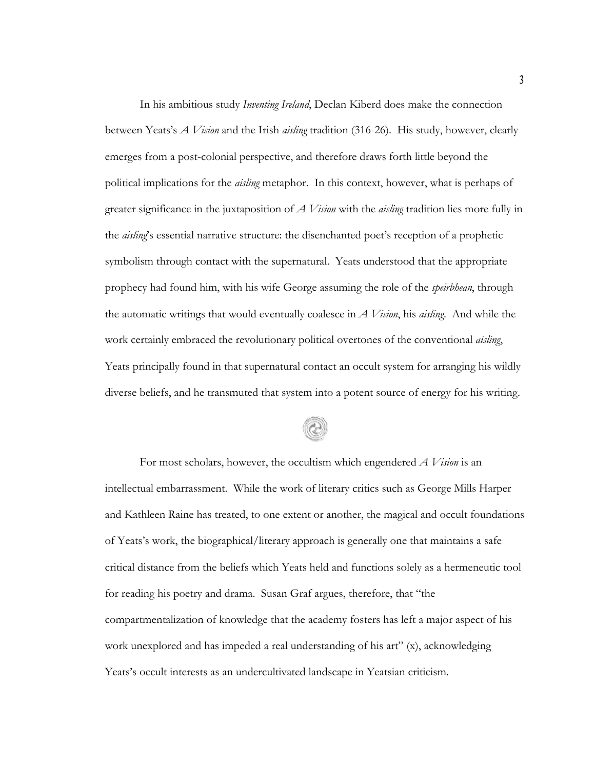In his ambitious study *Inventing Ireland*, Declan Kiberd does make the connection between Yeats's *A Vision* and the Irish *aisling* tradition (316-26). His study, however, clearly emerges from a post-colonial perspective, and therefore draws forth little beyond the political implications for the *aisling* metaphor. In this context, however, what is perhaps of greater significance in the juxtaposition of *A Vision* with the *aisling* tradition lies more fully in the *aisling*'s essential narrative structure: the disenchanted poet's reception of a prophetic symbolism through contact with the supernatural. Yeats understood that the appropriate prophecy had found him, with his wife George assuming the role of the *speirbhean*, through the automatic writings that would eventually coalesce in *A Vision*, his *aisling*. And while the work certainly embraced the revolutionary political overtones of the conventional *aisling*, Yeats principally found in that supernatural contact an occult system for arranging his wildly diverse beliefs, and he transmuted that system into a potent source of energy for his writing.

For most scholars, however, the occultism which engendered *A Vision* is an intellectual embarrassment. While the work of literary critics such as George Mills Harper and Kathleen Raine has treated, to one extent or another, the magical and occult foundations of Yeats's work, the biographical/literary approach is generally one that maintains a safe critical distance from the beliefs which Yeats held and functions solely as a hermeneutic tool for reading his poetry and drama. Susan Graf argues, therefore, that "the compartmentalization of knowledge that the academy fosters has left a major aspect of his work unexplored and has impeded a real understanding of his art" (x), acknowledging Yeats's occult interests as an undercultivated landscape in Yeatsian criticism.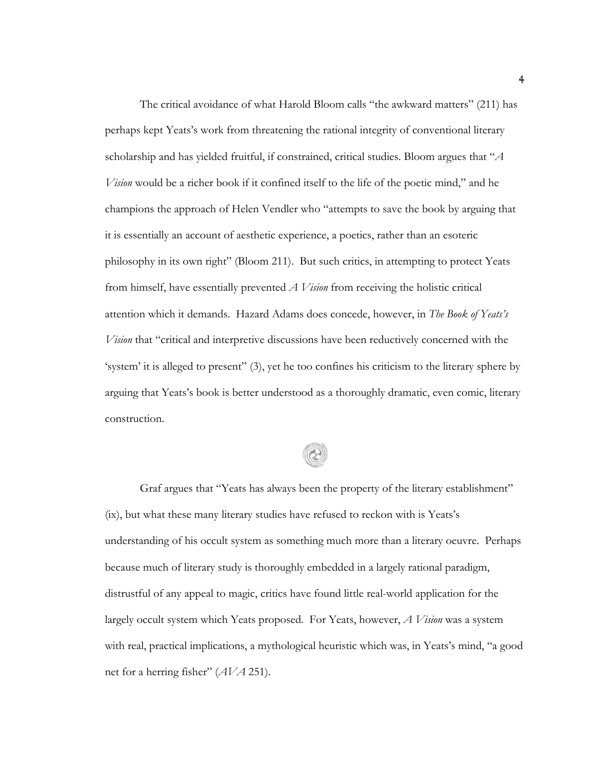The critical avoidance of what Harold Bloom calls "the awkward matters" (211) has perhaps kept Yeats's work from threatening the rational integrity of conventional literary scholarship and has yielded fruitful, if constrained, critical studies. Bloom argues that "*A Vision* would be a richer book if it confined itself to the life of the poetic mind," and he champions the approach of Helen Vendler who "attempts to save the book by arguing that it is essentially an account of aesthetic experience, a poetics, rather than an esoteric philosophy in its own right" (Bloom 211). But such critics, in attempting to protect Yeats from himself, have essentially prevented *A Vision* from receiving the holistic critical attention which it demands. Hazard Adams does concede, however, in *The Book of Yeats's Vision* that "critical and interpretive discussions have been reductively concerned with the 'system' it is alleged to present" (3), yet he too confines his criticism to the literary sphere by arguing that Yeats's book is better understood as a thoroughly dramatic, even comic, literary construction.

Graf argues that "Yeats has always been the property of the literary establishment" (ix), but what these many literary studies have refused to reckon with is Yeats's understanding of his occult system as something much more than a literary oeuvre. Perhaps because much of literary study is thoroughly embedded in a largely rational paradigm, distrustful of any appeal to magic, critics have found little real-world application for the largely occult system which Yeats proposed. For Yeats, however, *A Vision* was a system with real, practical implications, a mythological heuristic which was, in Yeats's mind, "a good net for a herring fisher" (*AVA* 251).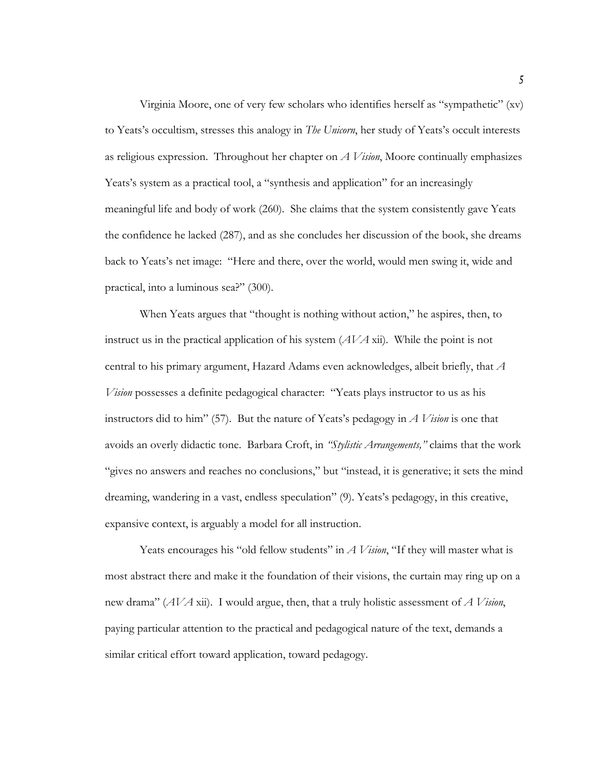Virginia Moore, one of very few scholars who identifies herself as "sympathetic" (xv) to Yeats's occultism, stresses this analogy in *The Unicorn*, her study of Yeats's occult interests as religious expression. Throughout her chapter on *A Vision*, Moore continually emphasizes Yeats's system as a practical tool, a "synthesis and application" for an increasingly meaningful life and body of work (260). She claims that the system consistently gave Yeats the confidence he lacked (287), and as she concludes her discussion of the book, she dreams back to Yeats's net image: "Here and there, over the world, would men swing it, wide and practical, into a luminous sea?" (300).

When Yeats argues that "thought is nothing without action," he aspires, then, to instruct us in the practical application of his system (*AVA* xii). While the point is not central to his primary argument, Hazard Adams even acknowledges, albeit briefly, that *A Vision* possesses a definite pedagogical character: "Yeats plays instructor to us as his instructors did to him" (57). But the nature of Yeats's pedagogy in *A Vision* is one that avoids an overly didactic tone. Barbara Croft, in *"Stylistic Arrangements,"* claims that the work "gives no answers and reaches no conclusions," but "instead, it is generative; it sets the mind dreaming, wandering in a vast, endless speculation" (9). Yeats's pedagogy, in this creative, expansive context, is arguably a model for all instruction.

Yeats encourages his "old fellow students" in *A Vision*, "If they will master what is most abstract there and make it the foundation of their visions, the curtain may ring up on a new drama" (*AVA* xii). I would argue, then, that a truly holistic assessment of *A Vision*, paying particular attention to the practical and pedagogical nature of the text, demands a similar critical effort toward application, toward pedagogy.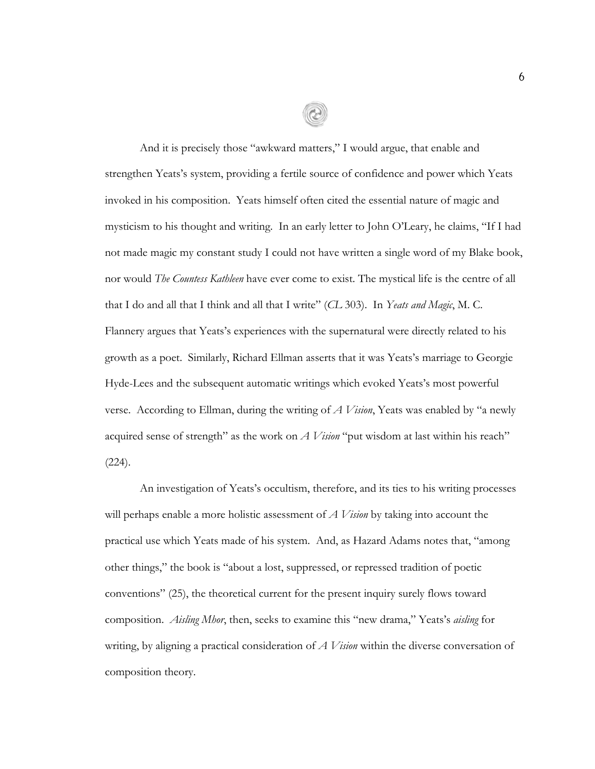And it is precisely those "awkward matters," I would argue, that enable and strengthen Yeats's system, providing a fertile source of confidence and power which Yeats invoked in his composition. Yeats himself often cited the essential nature of magic and mysticism to his thought and writing. In an early letter to John O'Leary, he claims, "If I had not made magic my constant study I could not have written a single word of my Blake book, nor would *The Countess Kathleen* have ever come to exist. The mystical life is the centre of all that I do and all that I think and all that I write" (*CL* 303). In *Yeats and Magic*, M. C. Flannery argues that Yeats's experiences with the supernatural were directly related to his growth as a poet. Similarly, Richard Ellman asserts that it was Yeats's marriage to Georgie Hyde-Lees and the subsequent automatic writings which evoked Yeats's most powerful verse. According to Ellman, during the writing of *A Vision*, Yeats was enabled by "a newly acquired sense of strength" as the work on *A Vision* "put wisdom at last within his reach"  $(224)$ .

An investigation of Yeats's occultism, therefore, and its ties to his writing processes will perhaps enable a more holistic assessment of *A Vision* by taking into account the practical use which Yeats made of his system. And, as Hazard Adams notes that, "among other things," the book is "about a lost, suppressed, or repressed tradition of poetic conventions" (25), the theoretical current for the present inquiry surely flows toward composition. *Aisling Mhor*, then, seeks to examine this "new drama," Yeats's *aisling* for writing, by aligning a practical consideration of *A Vision* within the diverse conversation of composition theory.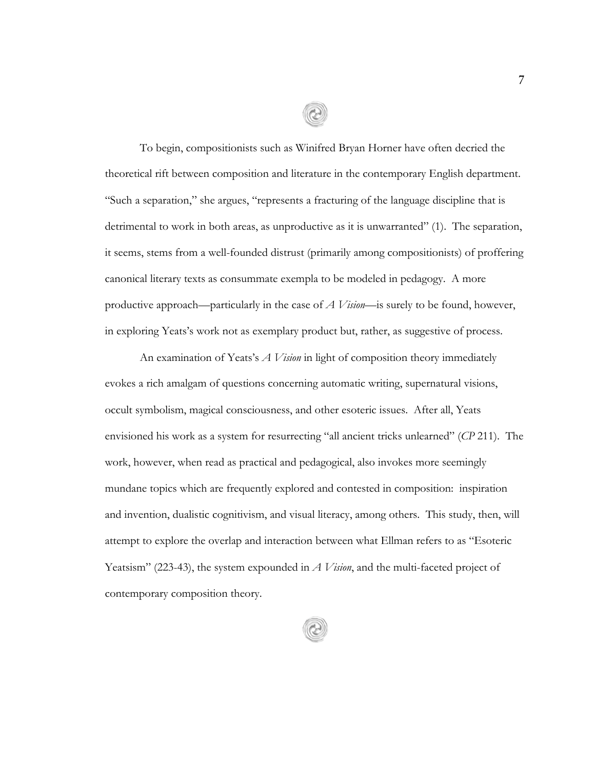To begin, compositionists such as Winifred Bryan Horner have often decried the theoretical rift between composition and literature in the contemporary English department. "Such a separation," she argues, "represents a fracturing of the language discipline that is detrimental to work in both areas, as unproductive as it is unwarranted" (1). The separation, it seems, stems from a well-founded distrust (primarily among compositionists) of proffering canonical literary texts as consummate exempla to be modeled in pedagogy. A more productive approach—particularly in the case of *A Vision*—is surely to be found, however, in exploring Yeats's work not as exemplary product but, rather, as suggestive of process.

An examination of Yeats's *A Vision* in light of composition theory immediately evokes a rich amalgam of questions concerning automatic writing, supernatural visions, occult symbolism, magical consciousness, and other esoteric issues. After all, Yeats envisioned his work as a system for resurrecting "all ancient tricks unlearned" (*CP* 211). The work, however, when read as practical and pedagogical, also invokes more seemingly mundane topics which are frequently explored and contested in composition: inspiration and invention, dualistic cognitivism, and visual literacy, among others. This study, then, will attempt to explore the overlap and interaction between what Ellman refers to as "Esoteric Yeatsism" (223-43), the system expounded in *A Vision*, and the multi-faceted project of contemporary composition theory.

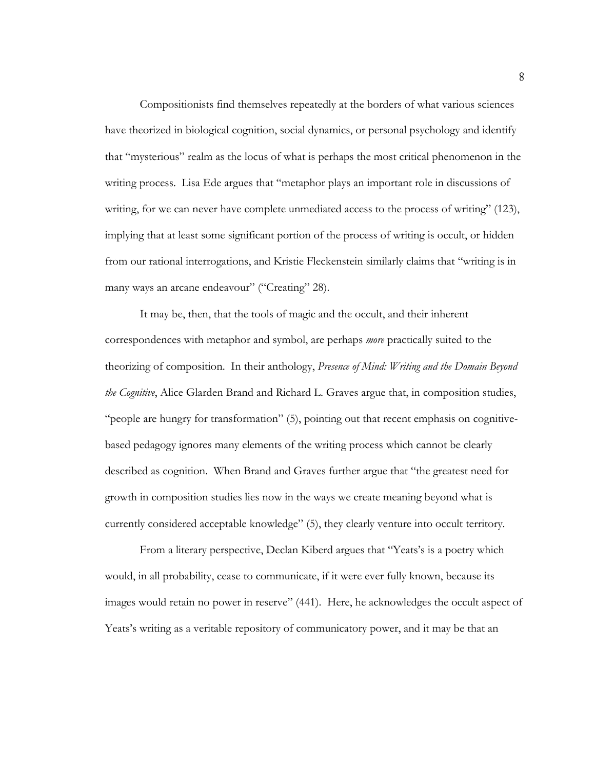Compositionists find themselves repeatedly at the borders of what various sciences have theorized in biological cognition, social dynamics, or personal psychology and identify that "mysterious" realm as the locus of what is perhaps the most critical phenomenon in the writing process. Lisa Ede argues that "metaphor plays an important role in discussions of writing, for we can never have complete unmediated access to the process of writing" (123), implying that at least some significant portion of the process of writing is occult, or hidden from our rational interrogations, and Kristie Fleckenstein similarly claims that "writing is in many ways an arcane endeavour" ("Creating" 28).

It may be, then, that the tools of magic and the occult, and their inherent correspondences with metaphor and symbol, are perhaps *more* practically suited to the theorizing of composition. In their anthology, *Presence of Mind: Writing and the Domain Beyond the Cognitive*, Alice Glarden Brand and Richard L. Graves argue that, in composition studies, "people are hungry for transformation" (5), pointing out that recent emphasis on cognitivebased pedagogy ignores many elements of the writing process which cannot be clearly described as cognition. When Brand and Graves further argue that "the greatest need for growth in composition studies lies now in the ways we create meaning beyond what is currently considered acceptable knowledge" (5), they clearly venture into occult territory.

From a literary perspective, Declan Kiberd argues that "Yeats's is a poetry which would, in all probability, cease to communicate, if it were ever fully known, because its images would retain no power in reserve" (441). Here, he acknowledges the occult aspect of Yeats's writing as a veritable repository of communicatory power, and it may be that an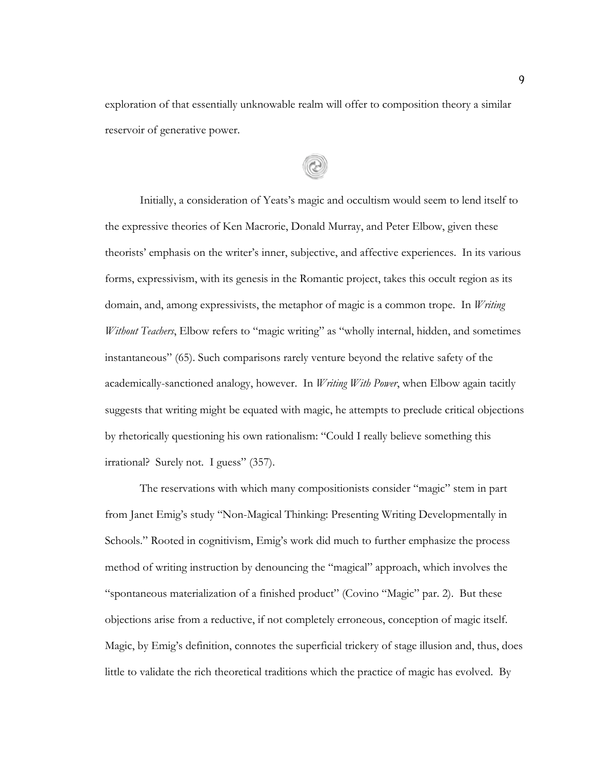exploration of that essentially unknowable realm will offer to composition theory a similar reservoir of generative power.

Initially, a consideration of Yeats's magic and occultism would seem to lend itself to the expressive theories of Ken Macrorie, Donald Murray, and Peter Elbow, given these theorists' emphasis on the writer's inner, subjective, and affective experiences. In its various forms, expressivism, with its genesis in the Romantic project, takes this occult region as its domain, and, among expressivists, the metaphor of magic is a common trope. In *Writing Without Teachers*, Elbow refers to "magic writing" as "wholly internal, hidden, and sometimes instantaneous" (65). Such comparisons rarely venture beyond the relative safety of the academically-sanctioned analogy, however. In *Writing With Power*, when Elbow again tacitly suggests that writing might be equated with magic, he attempts to preclude critical objections by rhetorically questioning his own rationalism: "Could I really believe something this irrational? Surely not. I guess" (357).

The reservations with which many compositionists consider "magic" stem in part from Janet Emig's study "Non-Magical Thinking: Presenting Writing Developmentally in Schools." Rooted in cognitivism, Emig's work did much to further emphasize the process method of writing instruction by denouncing the "magical" approach, which involves the "spontaneous materialization of a finished product" (Covino "Magic" par. 2). But these objections arise from a reductive, if not completely erroneous, conception of magic itself. Magic, by Emig's definition, connotes the superficial trickery of stage illusion and, thus, does little to validate the rich theoretical traditions which the practice of magic has evolved. By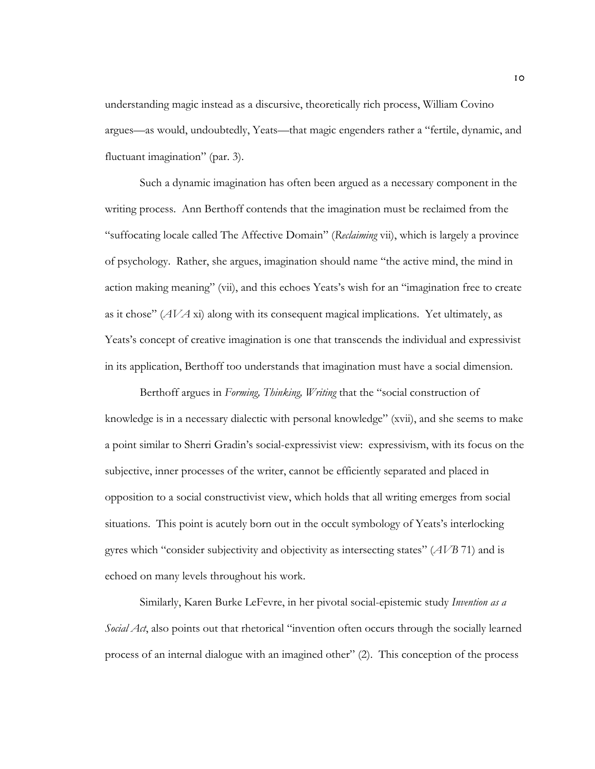understanding magic instead as a discursive, theoretically rich process, William Covino argues—as would, undoubtedly, Yeats—that magic engenders rather a "fertile, dynamic, and fluctuant imagination" (par. 3).

Such a dynamic imagination has often been argued as a necessary component in the writing process. Ann Berthoff contends that the imagination must be reclaimed from the "suffocating locale called The Affective Domain" (*Reclaiming* vii), which is largely a province of psychology. Rather, she argues, imagination should name "the active mind, the mind in action making meaning" (vii), and this echoes Yeats's wish for an "imagination free to create as it chose" (*AVA* xi) along with its consequent magical implications. Yet ultimately, as Yeats's concept of creative imagination is one that transcends the individual and expressivist in its application, Berthoff too understands that imagination must have a social dimension.

Berthoff argues in *Forming, Thinking, Writing* that the "social construction of knowledge is in a necessary dialectic with personal knowledge" (xvii), and she seems to make a point similar to Sherri Gradin's social-expressivist view: expressivism, with its focus on the subjective, inner processes of the writer, cannot be efficiently separated and placed in opposition to a social constructivist view, which holds that all writing emerges from social situations. This point is acutely born out in the occult symbology of Yeats's interlocking gyres which "consider subjectivity and objectivity as intersecting states" (*AVB* 71) and is echoed on many levels throughout his work.

Similarly, Karen Burke LeFevre, in her pivotal social-epistemic study *Invention as a Social Act*, also points out that rhetorical "invention often occurs through the socially learned process of an internal dialogue with an imagined other" (2). This conception of the process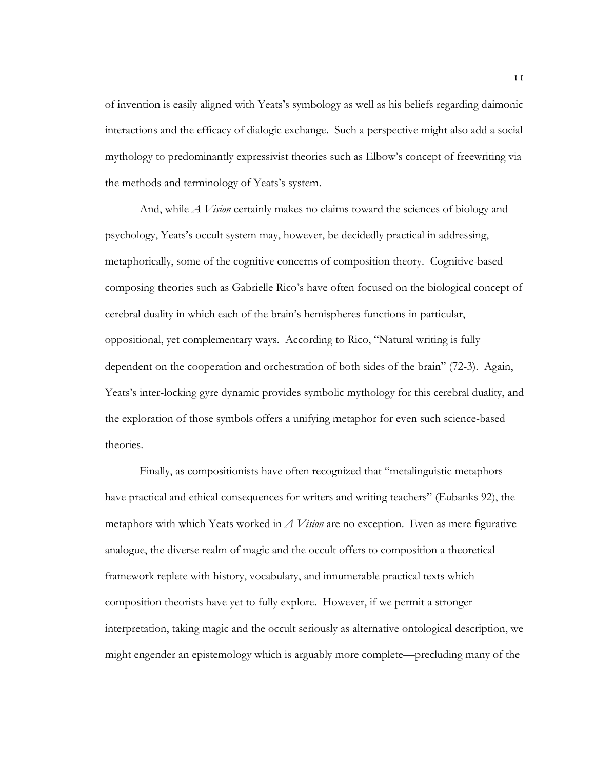of invention is easily aligned with Yeats's symbology as well as his beliefs regarding daimonic interactions and the efficacy of dialogic exchange. Such a perspective might also add a social mythology to predominantly expressivist theories such as Elbow's concept of freewriting via the methods and terminology of Yeats's system.

And, while *A Vision* certainly makes no claims toward the sciences of biology and psychology, Yeats's occult system may, however, be decidedly practical in addressing, metaphorically, some of the cognitive concerns of composition theory. Cognitive-based composing theories such as Gabrielle Rico's have often focused on the biological concept of cerebral duality in which each of the brain's hemispheres functions in particular, oppositional, yet complementary ways. According to Rico, "Natural writing is fully dependent on the cooperation and orchestration of both sides of the brain" (72-3). Again, Yeats's inter-locking gyre dynamic provides symbolic mythology for this cerebral duality, and the exploration of those symbols offers a unifying metaphor for even such science-based theories.

Finally, as compositionists have often recognized that "metalinguistic metaphors have practical and ethical consequences for writers and writing teachers" (Eubanks 92), the metaphors with which Yeats worked in *A Vision* are no exception. Even as mere figurative analogue, the diverse realm of magic and the occult offers to composition a theoretical framework replete with history, vocabulary, and innumerable practical texts which composition theorists have yet to fully explore. However, if we permit a stronger interpretation, taking magic and the occult seriously as alternative ontological description, we might engender an epistemology which is arguably more complete—precluding many of the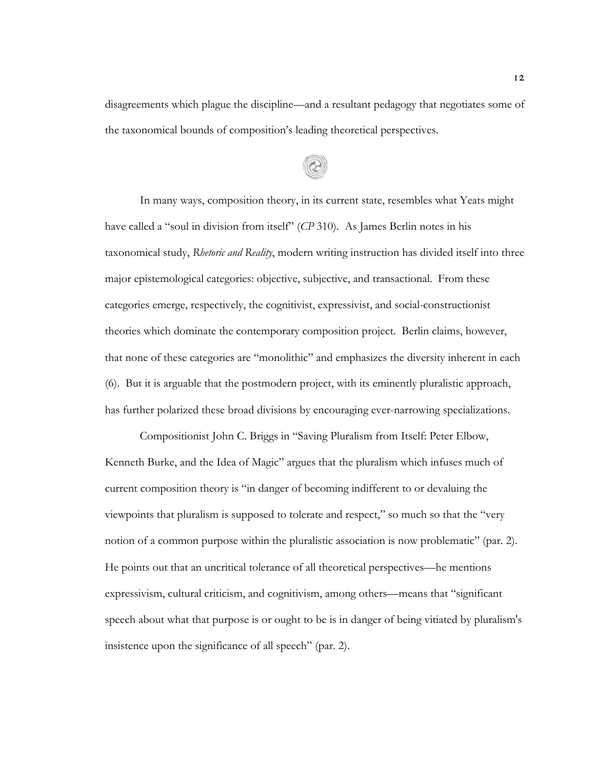disagreements which plague the discipline—and a resultant pedagogy that negotiates some of the taxonomical bounds of composition's leading theoretical perspectives.

In many ways, composition theory, in its current state, resembles what Yeats might have called a "soul in division from itself" (*CP* 310). As James Berlin notes in his taxonomical study, *Rhetoric and Reality*, modern writing instruction has divided itself into three major epistemological categories: objective, subjective, and transactional. From these categories emerge, respectively, the cognitivist, expressivist, and social-constructionist theories which dominate the contemporary composition project. Berlin claims, however, that none of these categories are "monolithic" and emphasizes the diversity inherent in each (6). But it is arguable that the postmodern project, with its eminently pluralistic approach, has further polarized these broad divisions by encouraging ever-narrowing specializations.

Compositionist John C. Briggs in "Saving Pluralism from Itself: Peter Elbow, Kenneth Burke, and the Idea of Magic" argues that the pluralism which infuses much of current composition theory is "in danger of becoming indifferent to or devaluing the viewpoints that pluralism is supposed to tolerate and respect," so much so that the "very notion of a common purpose within the pluralistic association is now problematic" (par. 2). He points out that an uncritical tolerance of all theoretical perspectives—he mentions expressivism, cultural criticism, and cognitivism, among others—means that "significant speech about what that purpose is or ought to be is in danger of being vitiated by pluralism's insistence upon the significance of all speech" (par. 2).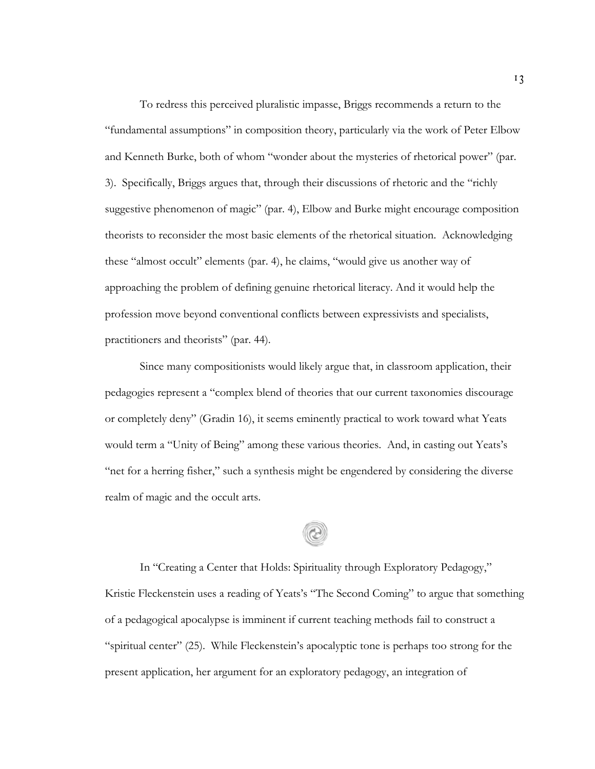To redress this perceived pluralistic impasse, Briggs recommends a return to the "fundamental assumptions" in composition theory, particularly via the work of Peter Elbow and Kenneth Burke, both of whom "wonder about the mysteries of rhetorical power" (par. 3). Specifically, Briggs argues that, through their discussions of rhetoric and the "richly suggestive phenomenon of magic" (par. 4), Elbow and Burke might encourage composition theorists to reconsider the most basic elements of the rhetorical situation. Acknowledging these "almost occult" elements (par. 4), he claims, "would give us another way of approaching the problem of defining genuine rhetorical literacy. And it would help the profession move beyond conventional conflicts between expressivists and specialists, practitioners and theorists" (par. 44).

Since many compositionists would likely argue that, in classroom application, their pedagogies represent a "complex blend of theories that our current taxonomies discourage or completely deny" (Gradin 16), it seems eminently practical to work toward what Yeats would term a "Unity of Being" among these various theories. And, in casting out Yeats's "net for a herring fisher," such a synthesis might be engendered by considering the diverse realm of magic and the occult arts.

In "Creating a Center that Holds: Spirituality through Exploratory Pedagogy," Kristie Fleckenstein uses a reading of Yeats's "The Second Coming" to argue that something of a pedagogical apocalypse is imminent if current teaching methods fail to construct a "spiritual center" (25). While Fleckenstein's apocalyptic tone is perhaps too strong for the present application, her argument for an exploratory pedagogy, an integration of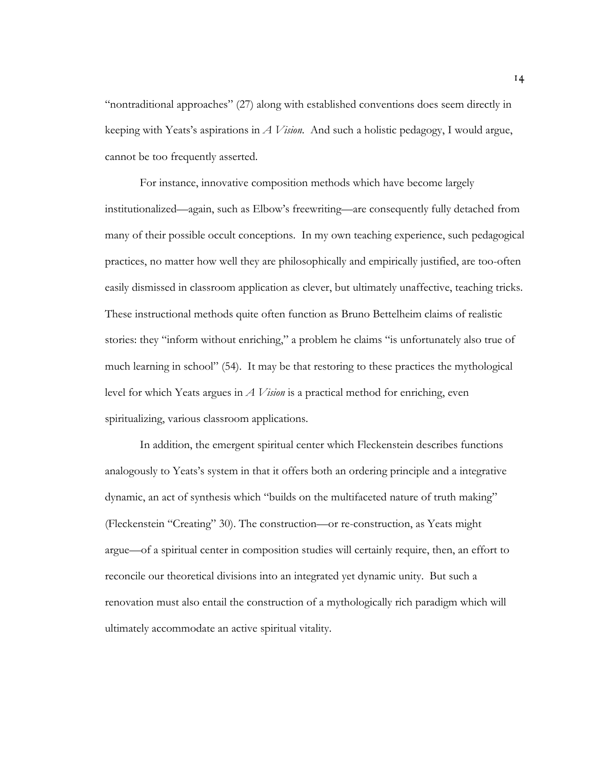"nontraditional approaches" (27) along with established conventions does seem directly in keeping with Yeats's aspirations in *A Vision*. And such a holistic pedagogy, I would argue, cannot be too frequently asserted.

For instance, innovative composition methods which have become largely institutionalized—again, such as Elbow's freewriting—are consequently fully detached from many of their possible occult conceptions. In my own teaching experience, such pedagogical practices, no matter how well they are philosophically and empirically justified, are too-often easily dismissed in classroom application as clever, but ultimately unaffective, teaching tricks. These instructional methods quite often function as Bruno Bettelheim claims of realistic stories: they "inform without enriching," a problem he claims "is unfortunately also true of much learning in school" (54). It may be that restoring to these practices the mythological level for which Yeats argues in *A Vision* is a practical method for enriching, even spiritualizing, various classroom applications.

In addition, the emergent spiritual center which Fleckenstein describes functions analogously to Yeats's system in that it offers both an ordering principle and a integrative dynamic, an act of synthesis which "builds on the multifaceted nature of truth making" (Fleckenstein "Creating" 30). The construction—or re-construction, as Yeats might argue—of a spiritual center in composition studies will certainly require, then, an effort to reconcile our theoretical divisions into an integrated yet dynamic unity. But such a renovation must also entail the construction of a mythologically rich paradigm which will ultimately accommodate an active spiritual vitality.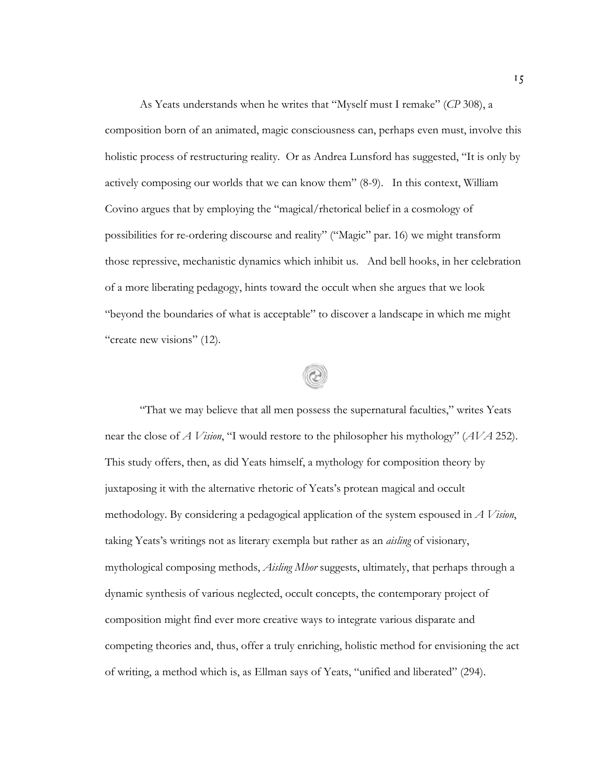As Yeats understands when he writes that "Myself must I remake" (*CP* 308), a composition born of an animated, magic consciousness can, perhaps even must, involve this holistic process of restructuring reality. Or as Andrea Lunsford has suggested, "It is only by actively composing our worlds that we can know them" (8-9). In this context, William Covino argues that by employing the "magical/rhetorical belief in a cosmology of possibilities for re-ordering discourse and reality" ("Magic" par. 16) we might transform those repressive, mechanistic dynamics which inhibit us. And bell hooks, in her celebration of a more liberating pedagogy, hints toward the occult when she argues that we look "beyond the boundaries of what is acceptable" to discover a landscape in which me might "create new visions" (12).

"That we may believe that all men possess the supernatural faculties," writes Yeats near the close of *A Vision*, "I would restore to the philosopher his mythology" (*AVA* 252). This study offers, then, as did Yeats himself, a mythology for composition theory by juxtaposing it with the alternative rhetoric of Yeats's protean magical and occult methodology. By considering a pedagogical application of the system espoused in *A Vision*, taking Yeats's writings not as literary exempla but rather as an *aisling* of visionary, mythological composing methods, *Aisling Mhor* suggests, ultimately, that perhaps through a dynamic synthesis of various neglected, occult concepts, the contemporary project of composition might find ever more creative ways to integrate various disparate and competing theories and, thus, offer a truly enriching, holistic method for envisioning the act of writing, a method which is, as Ellman says of Yeats, "unified and liberated" (294).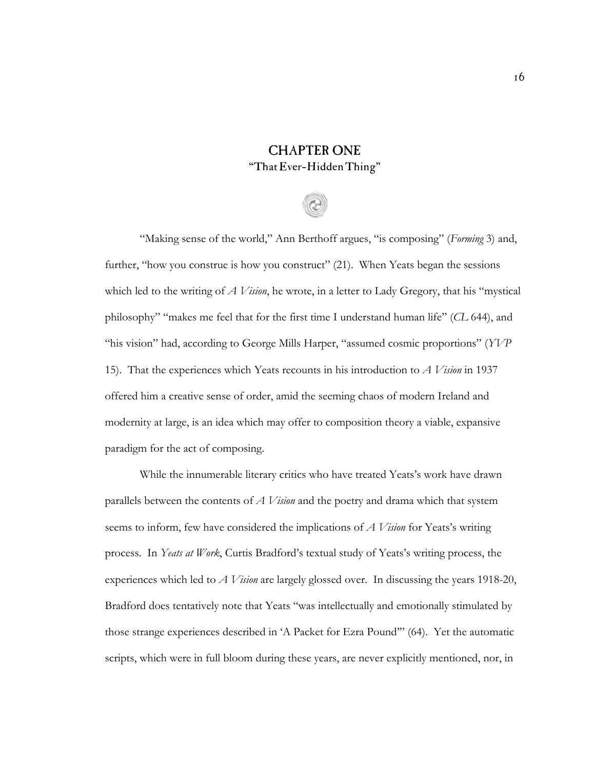### CHAPTER ONE "That Ever-Hidden Thing"

"Making sense of the world," Ann Berthoff argues, "is composing" (*Forming* 3) and, further, "how you construe is how you construct" (21). When Yeats began the sessions which led to the writing of *A Vision*, he wrote, in a letter to Lady Gregory, that his "mystical philosophy" "makes me feel that for the first time I understand human life" (*CL* 644), and "his vision" had, according to George Mills Harper, "assumed cosmic proportions" (*YVP* 15). That the experiences which Yeats recounts in his introduction to *A Vision* in 1937 offered him a creative sense of order, amid the seeming chaos of modern Ireland and modernity at large, is an idea which may offer to composition theory a viable, expansive paradigm for the act of composing.

While the innumerable literary critics who have treated Yeats's work have drawn parallels between the contents of *A Vision* and the poetry and drama which that system seems to inform, few have considered the implications of *A Vision* for Yeats's writing process. In *Yeats at Work*, Curtis Bradford's textual study of Yeats's writing process, the experiences which led to *A Vision* are largely glossed over. In discussing the years 1918-20, Bradford does tentatively note that Yeats "was intellectually and emotionally stimulated by those strange experiences described in 'A Packet for Ezra Pound'" (64). Yet the automatic scripts, which were in full bloom during these years, are never explicitly mentioned, nor, in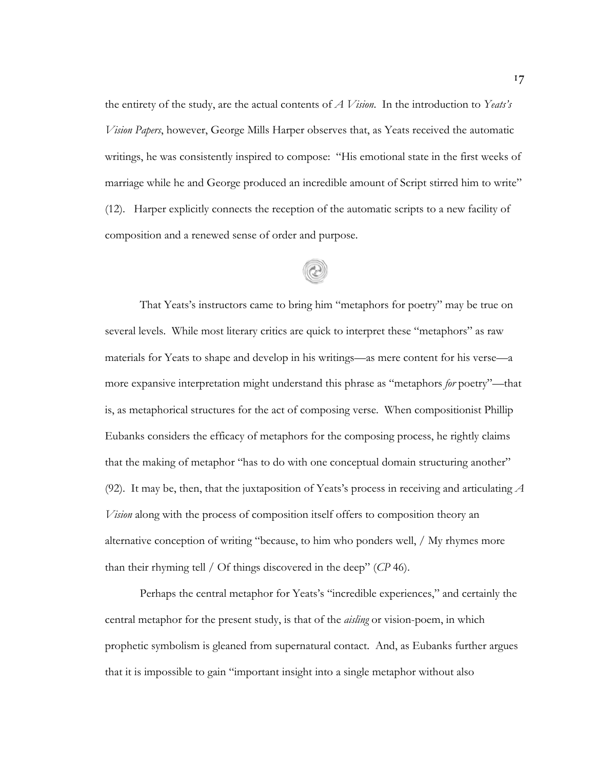the entirety of the study, are the actual contents of *A Vision*. In the introduction to *Yeats's Vision Papers*, however, George Mills Harper observes that, as Yeats received the automatic writings, he was consistently inspired to compose: "His emotional state in the first weeks of marriage while he and George produced an incredible amount of Script stirred him to write" (12). Harper explicitly connects the reception of the automatic scripts to a new facility of composition and a renewed sense of order and purpose.

That Yeats's instructors came to bring him "metaphors for poetry" may be true on several levels. While most literary critics are quick to interpret these "metaphors" as raw materials for Yeats to shape and develop in his writings—as mere content for his verse—a more expansive interpretation might understand this phrase as "metaphors *for* poetry"—that is, as metaphorical structures for the act of composing verse. When compositionist Phillip Eubanks considers the efficacy of metaphors for the composing process, he rightly claims that the making of metaphor "has to do with one conceptual domain structuring another" (92). It may be, then, that the juxtaposition of Yeats's process in receiving and articulating *A Vision* along with the process of composition itself offers to composition theory an alternative conception of writing "because, to him who ponders well, / My rhymes more than their rhyming tell / Of things discovered in the deep" (*CP* 46).

Perhaps the central metaphor for Yeats's "incredible experiences," and certainly the central metaphor for the present study, is that of the *aisling* or vision-poem, in which prophetic symbolism is gleaned from supernatural contact. And, as Eubanks further argues that it is impossible to gain "important insight into a single metaphor without also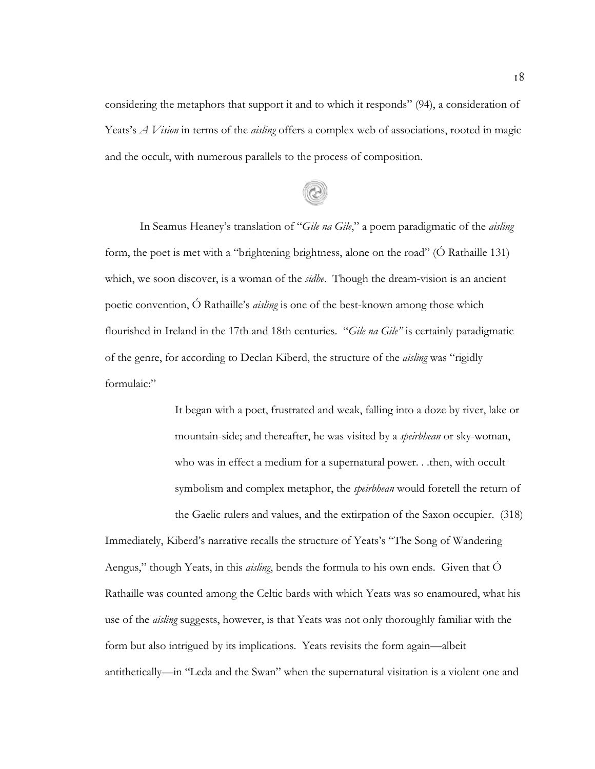considering the metaphors that support it and to which it responds" (94), a consideration of Yeats's *A Vision* in terms of the *aisling* offers a complex web of associations, rooted in magic and the occult, with numerous parallels to the process of composition.

In Seamus Heaney's translation of "*Gile na Gile*," a poem paradigmatic of the *aisling* form, the poet is met with a "brightening brightness, alone on the road" (Ó Rathaille 131) which, we soon discover, is a woman of the *sidhe*. Though the dream-vision is an ancient poetic convention, Ó Rathaille's *aisling* is one of the best-known among those which flourished in Ireland in the 17th and 18th centuries. "*Gile na Gile"* is certainly paradigmatic of the genre, for according to Declan Kiberd, the structure of the *aisling* was "rigidly formulaic:"

> It began with a poet, frustrated and weak, falling into a doze by river, lake or mountain-side; and thereafter, he was visited by a *speirbhean* or sky-woman, who was in effect a medium for a supernatural power. . .then, with occult symbolism and complex metaphor, the *speirbhean* would foretell the return of

the Gaelic rulers and values, and the extirpation of the Saxon occupier. (318) Immediately, Kiberd's narrative recalls the structure of Yeats's "The Song of Wandering Aengus," though Yeats, in this *aisling*, bends the formula to his own ends. Given that Ó Rathaille was counted among the Celtic bards with which Yeats was so enamoured, what his use of the *aisling* suggests, however, is that Yeats was not only thoroughly familiar with the form but also intrigued by its implications. Yeats revisits the form again—albeit antithetically—in "Leda and the Swan" when the supernatural visitation is a violent one and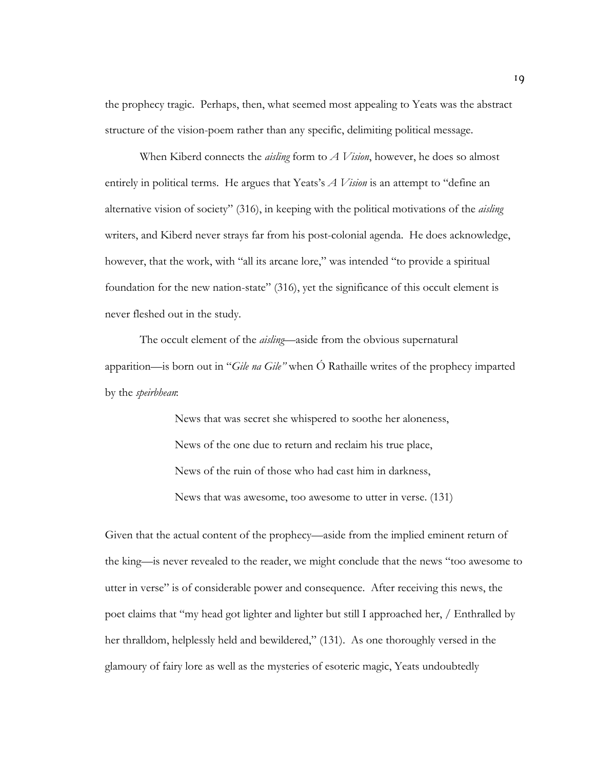the prophecy tragic. Perhaps, then, what seemed most appealing to Yeats was the abstract structure of the vision-poem rather than any specific, delimiting political message.

When Kiberd connects the *aisling* form to *A Vision*, however, he does so almost entirely in political terms. He argues that Yeats's *A Vision* is an attempt to "define an alternative vision of society" (316), in keeping with the political motivations of the *aisling* writers, and Kiberd never strays far from his post-colonial agenda. He does acknowledge, however, that the work, with "all its arcane lore," was intended "to provide a spiritual foundation for the new nation-state" (316), yet the significance of this occult element is never fleshed out in the study.

The occult element of the *aisling*—aside from the obvious supernatural apparition—is born out in "*Gile na Gile"* when Ó Rathaille writes of the prophecy imparted by the *speirbhean*:

> News that was secret she whispered to soothe her aloneness, News of the one due to return and reclaim his true place, News of the ruin of those who had cast him in darkness, News that was awesome, too awesome to utter in verse. (131)

Given that the actual content of the prophecy—aside from the implied eminent return of the king—is never revealed to the reader, we might conclude that the news "too awesome to utter in verse" is of considerable power and consequence. After receiving this news, the poet claims that "my head got lighter and lighter but still I approached her, / Enthralled by her thralldom, helplessly held and bewildered," (131). As one thoroughly versed in the glamoury of fairy lore as well as the mysteries of esoteric magic, Yeats undoubtedly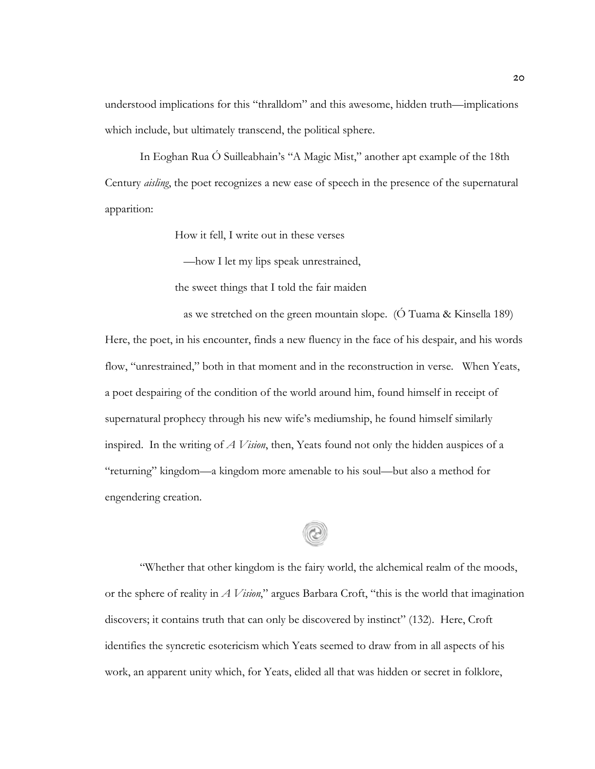understood implications for this "thralldom" and this awesome, hidden truth—implications which include, but ultimately transcend, the political sphere.

In Eoghan Rua Ó Suilleabhain's "A Magic Mist," another apt example of the 18th Century *aisling*, the poet recognizes a new ease of speech in the presence of the supernatural apparition:

How it fell, I write out in these verses

—how I let my lips speak unrestrained,

the sweet things that I told the fair maiden

 as we stretched on the green mountain slope. (Ó Tuama & Kinsella 189) Here, the poet, in his encounter, finds a new fluency in the face of his despair, and his words flow, "unrestrained," both in that moment and in the reconstruction in verse. When Yeats, a poet despairing of the condition of the world around him, found himself in receipt of supernatural prophecy through his new wife's mediumship, he found himself similarly inspired. In the writing of *A Vision*, then, Yeats found not only the hidden auspices of a "returning" kingdom—a kingdom more amenable to his soul—but also a method for engendering creation.

"Whether that other kingdom is the fairy world, the alchemical realm of the moods, or the sphere of reality in *A Vision*," argues Barbara Croft, "this is the world that imagination discovers; it contains truth that can only be discovered by instinct" (132). Here, Croft identifies the syncretic esotericism which Yeats seemed to draw from in all aspects of his work, an apparent unity which, for Yeats, elided all that was hidden or secret in folklore,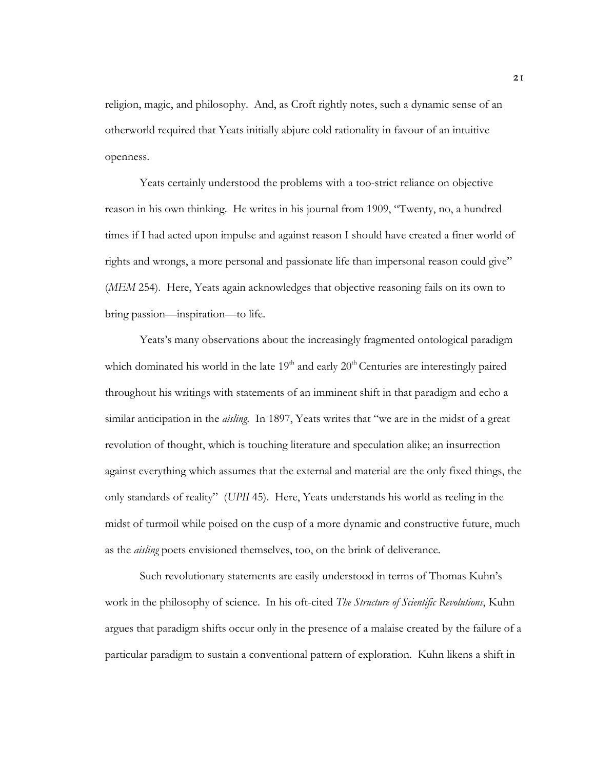religion, magic, and philosophy. And, as Croft rightly notes, such a dynamic sense of an otherworld required that Yeats initially abjure cold rationality in favour of an intuitive openness.

Yeats certainly understood the problems with a too-strict reliance on objective reason in his own thinking. He writes in his journal from 1909, "Twenty, no, a hundred times if I had acted upon impulse and against reason I should have created a finer world of rights and wrongs, a more personal and passionate life than impersonal reason could give" (*MEM* 254). Here, Yeats again acknowledges that objective reasoning fails on its own to bring passion—inspiration—to life.

Yeats's many observations about the increasingly fragmented ontological paradigm which dominated his world in the late  $19<sup>th</sup>$  and early  $20<sup>th</sup>$  Centuries are interestingly paired throughout his writings with statements of an imminent shift in that paradigm and echo a similar anticipation in the *aisling*. In 1897, Yeats writes that "we are in the midst of a great revolution of thought, which is touching literature and speculation alike; an insurrection against everything which assumes that the external and material are the only fixed things, the only standards of reality" (*UPII* 45). Here, Yeats understands his world as reeling in the midst of turmoil while poised on the cusp of a more dynamic and constructive future, much as the *aisling* poets envisioned themselves, too, on the brink of deliverance.

Such revolutionary statements are easily understood in terms of Thomas Kuhn's work in the philosophy of science. In his oft-cited *The Structure of Scientific Revolutions*, Kuhn argues that paradigm shifts occur only in the presence of a malaise created by the failure of a particular paradigm to sustain a conventional pattern of exploration. Kuhn likens a shift in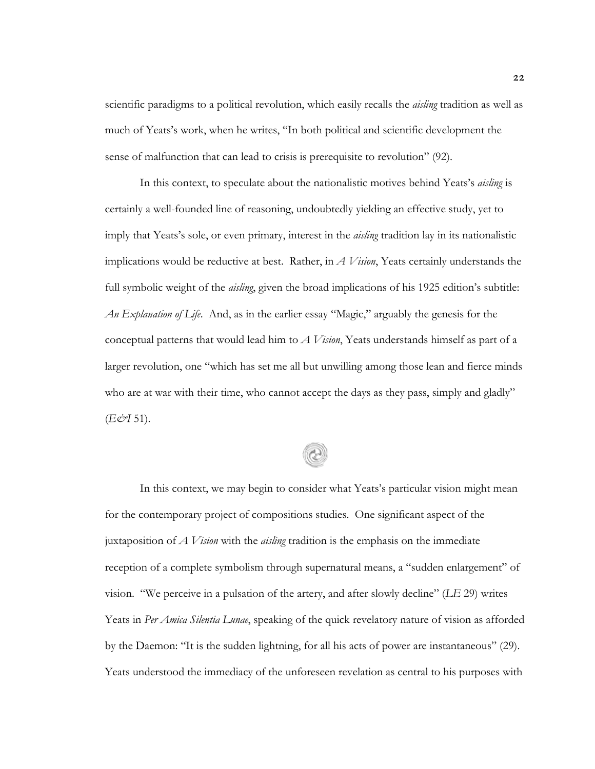scientific paradigms to a political revolution, which easily recalls the *aisling* tradition as well as much of Yeats's work, when he writes, "In both political and scientific development the sense of malfunction that can lead to crisis is prerequisite to revolution" (92).

In this context, to speculate about the nationalistic motives behind Yeats's *aisling* is certainly a well-founded line of reasoning, undoubtedly yielding an effective study, yet to imply that Yeats's sole, or even primary, interest in the *aisling* tradition lay in its nationalistic implications would be reductive at best. Rather, in *A Vision*, Yeats certainly understands the full symbolic weight of the *aisling*, given the broad implications of his 1925 edition's subtitle: *An Explanation of Life*. And, as in the earlier essay "Magic," arguably the genesis for the conceptual patterns that would lead him to *A Vision*, Yeats understands himself as part of a larger revolution, one "which has set me all but unwilling among those lean and fierce minds who are at war with their time, who cannot accept the days as they pass, simply and gladly" (*E&I* 51).

In this context, we may begin to consider what Yeats's particular vision might mean for the contemporary project of compositions studies. One significant aspect of the juxtaposition of *A Vision* with the *aisling* tradition is the emphasis on the immediate reception of a complete symbolism through supernatural means, a "sudden enlargement" of vision. "We perceive in a pulsation of the artery, and after slowly decline" (*LE* 29) writes Yeats in *Per Amica Silentia Lunae*, speaking of the quick revelatory nature of vision as afforded by the Daemon: "It is the sudden lightning, for all his acts of power are instantaneous" (29). Yeats understood the immediacy of the unforeseen revelation as central to his purposes with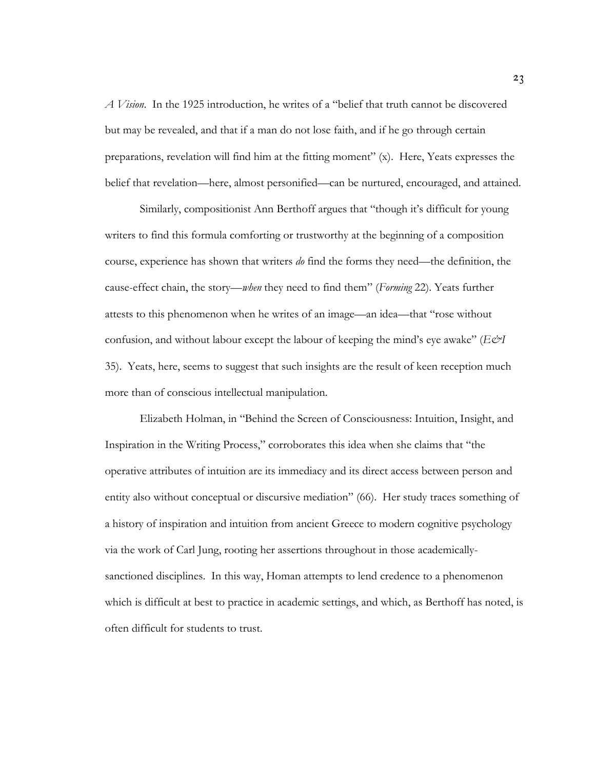*A Vision*. In the 1925 introduction, he writes of a "belief that truth cannot be discovered but may be revealed, and that if a man do not lose faith, and if he go through certain preparations, revelation will find him at the fitting moment" (x). Here, Yeats expresses the belief that revelation—here, almost personified—can be nurtured, encouraged, and attained.

Similarly, compositionist Ann Berthoff argues that "though it's difficult for young writers to find this formula comforting or trustworthy at the beginning of a composition course, experience has shown that writers *do* find the forms they need—the definition, the cause-effect chain, the story—*when* they need to find them" (*Forming* 22). Yeats further attests to this phenomenon when he writes of an image—an idea—that "rose without confusion, and without labour except the labour of keeping the mind's eye awake" (*E&I* 35). Yeats, here, seems to suggest that such insights are the result of keen reception much more than of conscious intellectual manipulation.

Elizabeth Holman, in "Behind the Screen of Consciousness: Intuition, Insight, and Inspiration in the Writing Process," corroborates this idea when she claims that "the operative attributes of intuition are its immediacy and its direct access between person and entity also without conceptual or discursive mediation" (66). Her study traces something of a history of inspiration and intuition from ancient Greece to modern cognitive psychology via the work of Carl Jung, rooting her assertions throughout in those academicallysanctioned disciplines. In this way, Homan attempts to lend credence to a phenomenon which is difficult at best to practice in academic settings, and which, as Berthoff has noted, is often difficult for students to trust.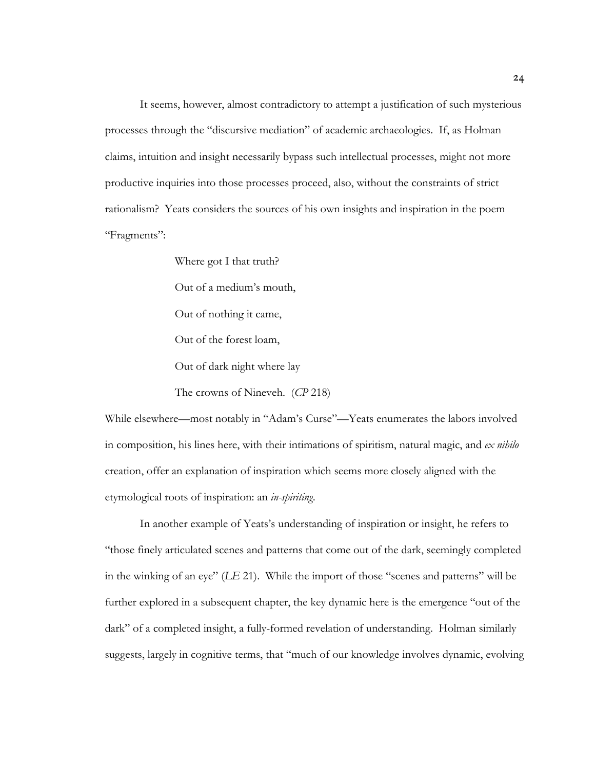It seems, however, almost contradictory to attempt a justification of such mysterious processes through the "discursive mediation" of academic archaeologies. If, as Holman claims, intuition and insight necessarily bypass such intellectual processes, might not more productive inquiries into those processes proceed, also, without the constraints of strict rationalism? Yeats considers the sources of his own insights and inspiration in the poem "Fragments":

> Where got I that truth? Out of a medium's mouth, Out of nothing it came, Out of the forest loam, Out of dark night where lay The crowns of Nineveh. (*CP* 218)

While elsewhere—most notably in "Adam's Curse"—Yeats enumerates the labors involved in composition, his lines here, with their intimations of spiritism, natural magic, and *ex nihilo* creation, offer an explanation of inspiration which seems more closely aligned with the etymological roots of inspiration: an *in-spiriting*.

In another example of Yeats's understanding of inspiration or insight, he refers to "those finely articulated scenes and patterns that come out of the dark, seemingly completed in the winking of an eye" (*LE* 21). While the import of those "scenes and patterns" will be further explored in a subsequent chapter, the key dynamic here is the emergence "out of the dark" of a completed insight, a fully-formed revelation of understanding. Holman similarly suggests, largely in cognitive terms, that "much of our knowledge involves dynamic, evolving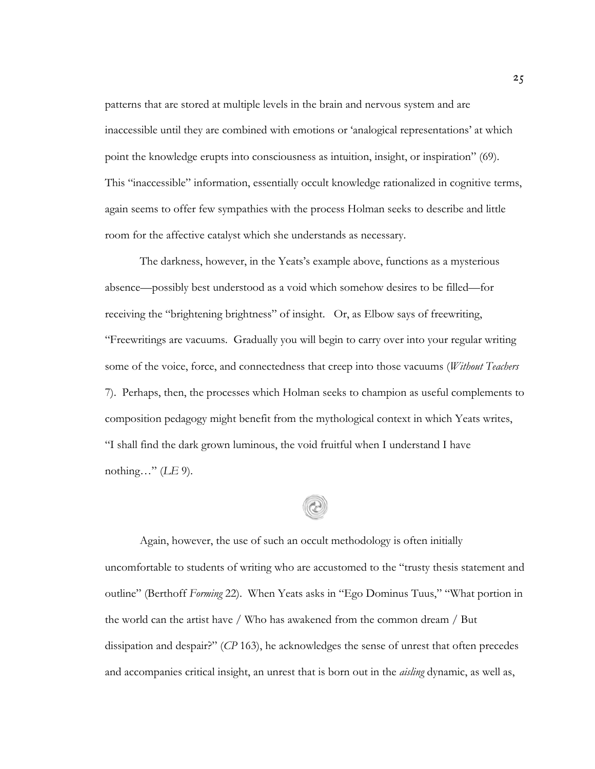patterns that are stored at multiple levels in the brain and nervous system and are inaccessible until they are combined with emotions or 'analogical representations' at which point the knowledge erupts into consciousness as intuition, insight, or inspiration" (69). This "inaccessible" information, essentially occult knowledge rationalized in cognitive terms, again seems to offer few sympathies with the process Holman seeks to describe and little room for the affective catalyst which she understands as necessary.

The darkness, however, in the Yeats's example above, functions as a mysterious absence—possibly best understood as a void which somehow desires to be filled—for receiving the "brightening brightness" of insight. Or, as Elbow says of freewriting, "Freewritings are vacuums. Gradually you will begin to carry over into your regular writing some of the voice, force, and connectedness that creep into those vacuums (*Without Teachers* 7). Perhaps, then, the processes which Holman seeks to champion as useful complements to composition pedagogy might benefit from the mythological context in which Yeats writes, "I shall find the dark grown luminous, the void fruitful when I understand I have nothing…" (*LE* 9).

Again, however, the use of such an occult methodology is often initially uncomfortable to students of writing who are accustomed to the "trusty thesis statement and outline" (Berthoff *Forming* 22). When Yeats asks in "Ego Dominus Tuus," "What portion in the world can the artist have / Who has awakened from the common dream / But dissipation and despair?" (*CP* 163), he acknowledges the sense of unrest that often precedes and accompanies critical insight, an unrest that is born out in the *aisling* dynamic, as well as,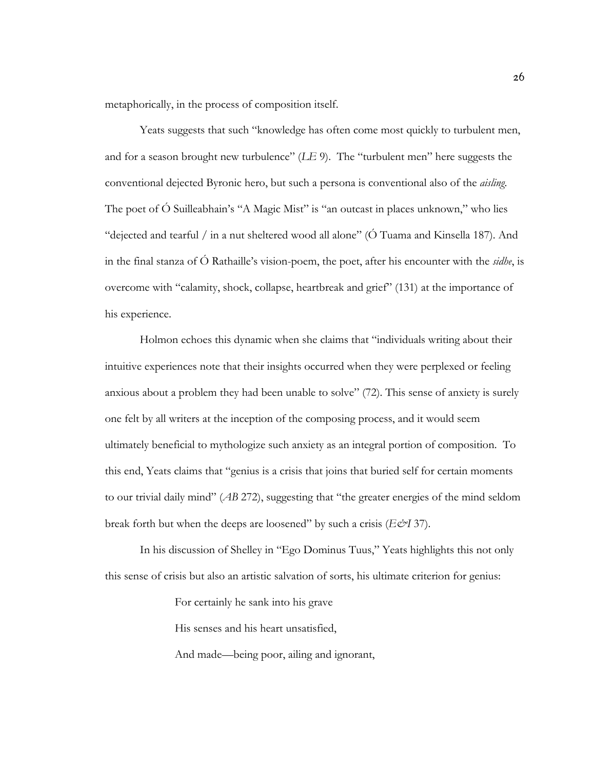metaphorically, in the process of composition itself.

Yeats suggests that such "knowledge has often come most quickly to turbulent men, and for a season brought new turbulence" (*LE* 9). The "turbulent men" here suggests the conventional dejected Byronic hero, but such a persona is conventional also of the *aisling*. The poet of Ó Suilleabhain's "A Magic Mist" is "an outcast in places unknown," who lies "dejected and tearful / in a nut sheltered wood all alone" (Ó Tuama and Kinsella 187). And in the final stanza of Ó Rathaille's vision-poem, the poet, after his encounter with the *sidhe*, is overcome with "calamity, shock, collapse, heartbreak and grief" (131) at the importance of his experience.

Holmon echoes this dynamic when she claims that "individuals writing about their intuitive experiences note that their insights occurred when they were perplexed or feeling anxious about a problem they had been unable to solve" (72). This sense of anxiety is surely one felt by all writers at the inception of the composing process, and it would seem ultimately beneficial to mythologize such anxiety as an integral portion of composition. To this end, Yeats claims that "genius is a crisis that joins that buried self for certain moments to our trivial daily mind" (*AB* 272), suggesting that "the greater energies of the mind seldom break forth but when the deeps are loosened" by such a crisis (*E&I* 37).

In his discussion of Shelley in "Ego Dominus Tuus," Yeats highlights this not only this sense of crisis but also an artistic salvation of sorts, his ultimate criterion for genius:

For certainly he sank into his grave

His senses and his heart unsatisfied,

And made—being poor, ailing and ignorant,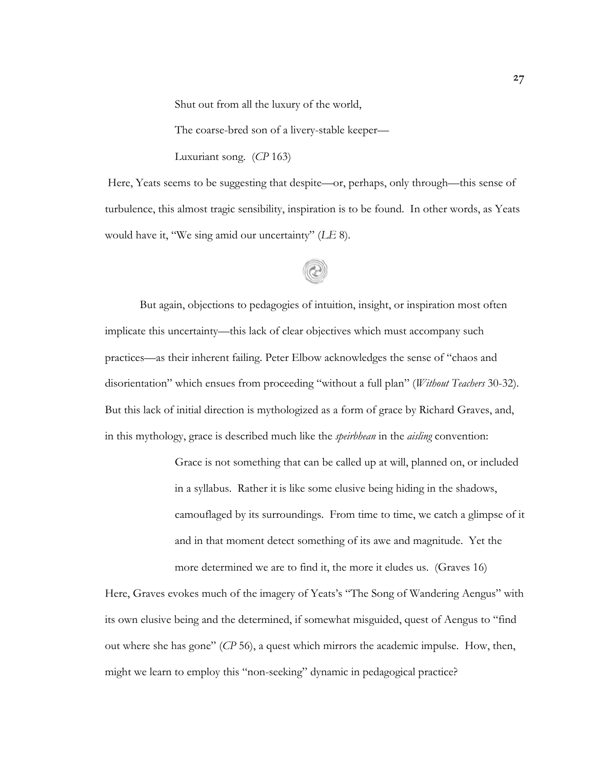Shut out from all the luxury of the world,

The coarse-bred son of a livery-stable keeper—

Luxuriant song. (*CP* 163)

Here, Yeats seems to be suggesting that despite—or, perhaps, only through—this sense of turbulence, this almost tragic sensibility, inspiration is to be found. In other words, as Yeats would have it, "We sing amid our uncertainty" (*LE* 8).

# But again, objections to pedagogies of intuition, insight, or inspiration most often implicate this uncertainty—this lack of clear objectives which must accompany such practices—as their inherent failing. Peter Elbow acknowledges the sense of "chaos and disorientation" which ensues from proceeding "without a full plan" (*Without Teachers* 30-32). But this lack of initial direction is mythologized as a form of grace by Richard Graves, and, in this mythology, grace is described much like the *speirbhean* in the *aisling* convention:

Grace is not something that can be called up at will, planned on, or included in a syllabus. Rather it is like some elusive being hiding in the shadows, camouflaged by its surroundings. From time to time, we catch a glimpse of it and in that moment detect something of its awe and magnitude. Yet the more determined we are to find it, the more it eludes us. (Graves 16)

Here, Graves evokes much of the imagery of Yeats's "The Song of Wandering Aengus" with its own elusive being and the determined, if somewhat misguided, quest of Aengus to "find out where she has gone" (*CP* 56), a quest which mirrors the academic impulse. How, then, might we learn to employ this "non-seeking" dynamic in pedagogical practice?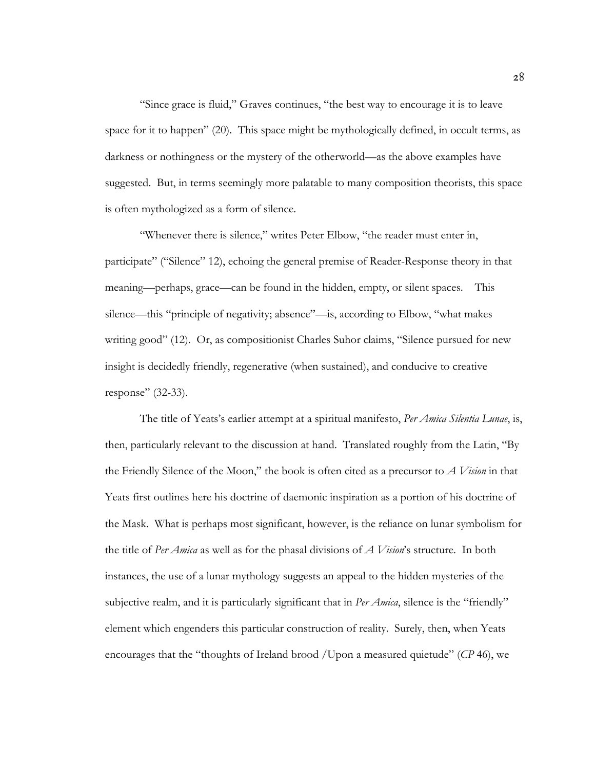"Since grace is fluid," Graves continues, "the best way to encourage it is to leave space for it to happen" (20). This space might be mythologically defined, in occult terms, as darkness or nothingness or the mystery of the otherworld—as the above examples have suggested. But, in terms seemingly more palatable to many composition theorists, this space is often mythologized as a form of silence.

"Whenever there is silence," writes Peter Elbow, "the reader must enter in, participate" ("Silence" 12), echoing the general premise of Reader-Response theory in that meaning—perhaps, grace—can be found in the hidden, empty, or silent spaces. This silence—this "principle of negativity; absence"—is, according to Elbow, "what makes writing good" (12). Or, as compositionist Charles Suhor claims, "Silence pursued for new insight is decidedly friendly, regenerative (when sustained), and conducive to creative response" (32-33).

The title of Yeats's earlier attempt at a spiritual manifesto, *Per Amica Silentia Lunae*, is, then, particularly relevant to the discussion at hand. Translated roughly from the Latin, "By the Friendly Silence of the Moon," the book is often cited as a precursor to *A Vision* in that Yeats first outlines here his doctrine of daemonic inspiration as a portion of his doctrine of the Mask. What is perhaps most significant, however, is the reliance on lunar symbolism for the title of *Per Amica* as well as for the phasal divisions of *A Vision*'s structure. In both instances, the use of a lunar mythology suggests an appeal to the hidden mysteries of the subjective realm, and it is particularly significant that in *Per Amica*, silence is the "friendly" element which engenders this particular construction of reality. Surely, then, when Yeats encourages that the "thoughts of Ireland brood /Upon a measured quietude" (*CP* 46), we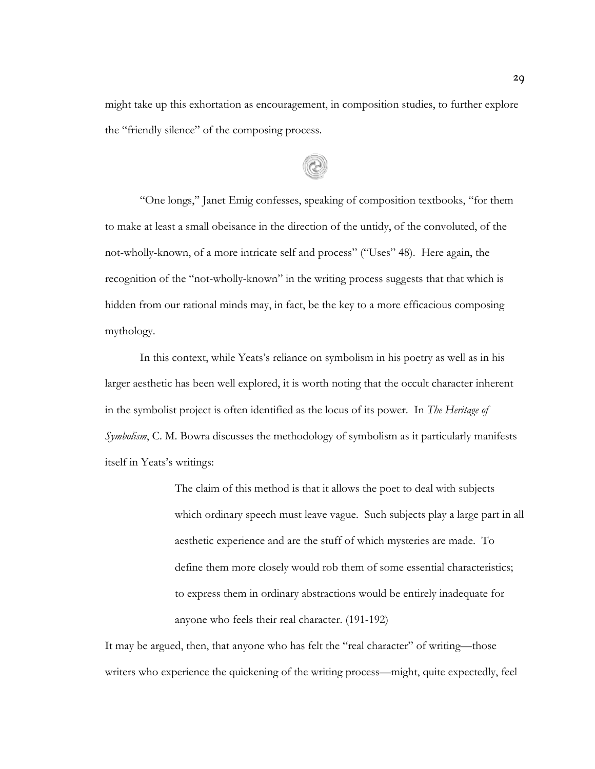might take up this exhortation as encouragement, in composition studies, to further explore the "friendly silence" of the composing process.

"One longs," Janet Emig confesses, speaking of composition textbooks, "for them to make at least a small obeisance in the direction of the untidy, of the convoluted, of the not-wholly-known, of a more intricate self and process" ("Uses" 48). Here again, the recognition of the "not-wholly-known" in the writing process suggests that that which is hidden from our rational minds may, in fact, be the key to a more efficacious composing mythology.

In this context, while Yeats's reliance on symbolism in his poetry as well as in his larger aesthetic has been well explored, it is worth noting that the occult character inherent in the symbolist project is often identified as the locus of its power. In *The Heritage of Symbolism*, C. M. Bowra discusses the methodology of symbolism as it particularly manifests itself in Yeats's writings:

> The claim of this method is that it allows the poet to deal with subjects which ordinary speech must leave vague. Such subjects play a large part in all aesthetic experience and are the stuff of which mysteries are made. To define them more closely would rob them of some essential characteristics; to express them in ordinary abstractions would be entirely inadequate for anyone who feels their real character. (191-192)

It may be argued, then, that anyone who has felt the "real character" of writing—those writers who experience the quickening of the writing process—might, quite expectedly, feel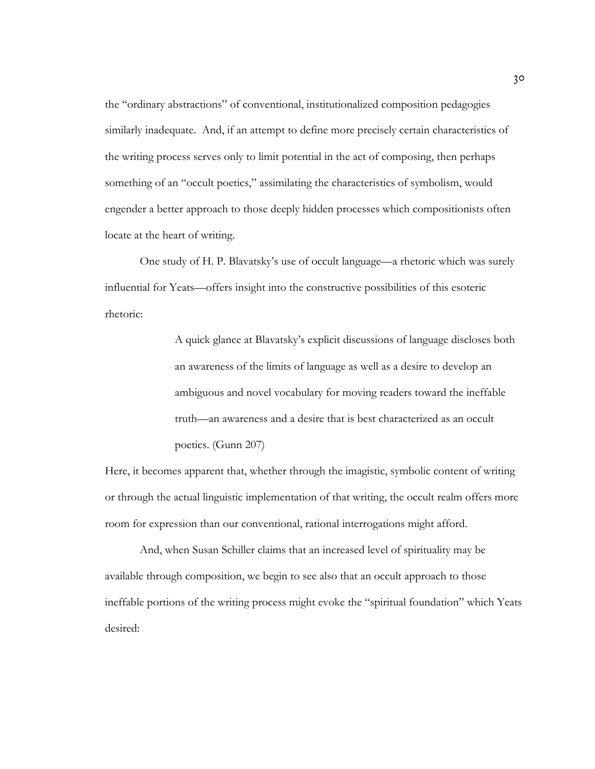the "ordinary abstractions" of conventional, institutionalized composition pedagogies similarly inadequate. And, if an attempt to define more precisely certain characteristics of the writing process serves only to limit potential in the act of composing, then perhaps something of an "occult poetics," assimilating the characteristics of symbolism, would engender a better approach to those deeply hidden processes which compositionists often locate at the heart of writing.

One study of H. P. Blavatsky's use of occult language—a rhetoric which was surely influential for Yeats—offers insight into the constructive possibilities of this esoteric rhetoric:

> A quick glance at Blavatsky's explicit discussions of language discloses both an awareness of the limits of language as well as a desire to develop an ambiguous and novel vocabulary for moving readers toward the ineffable truth—an awareness and a desire that is best characterized as an occult poetics. (Gunn 207)

Here, it becomes apparent that, whether through the imagistic, symbolic content of writing or through the actual linguistic implementation of that writing, the occult realm offers more room for expression than our conventional, rational interrogations might afford.

And, when Susan Schiller claims that an increased level of spirituality may be available through composition, we begin to see also that an occult approach to those ineffable portions of the writing process might evoke the "spiritual foundation" which Yeats desired: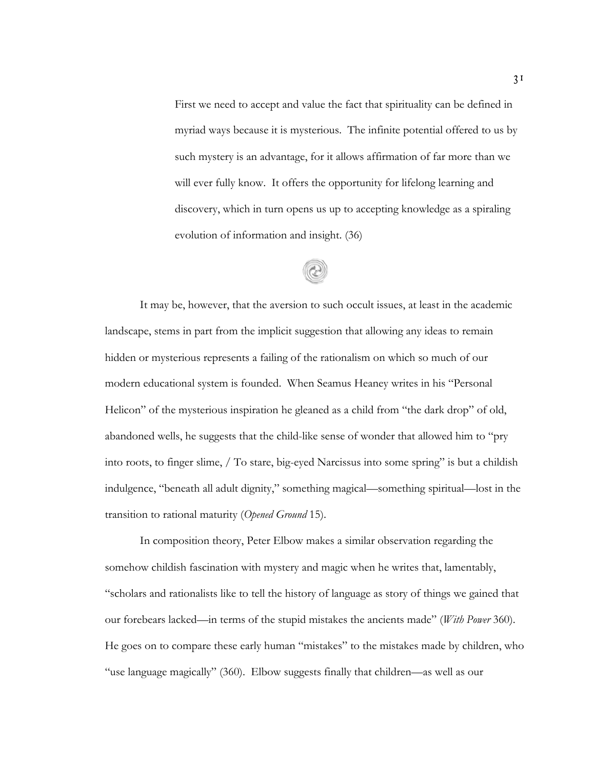First we need to accept and value the fact that spirituality can be defined in myriad ways because it is mysterious. The infinite potential offered to us by such mystery is an advantage, for it allows affirmation of far more than we will ever fully know. It offers the opportunity for lifelong learning and discovery, which in turn opens us up to accepting knowledge as a spiraling evolution of information and insight. (36)

It may be, however, that the aversion to such occult issues, at least in the academic landscape, stems in part from the implicit suggestion that allowing any ideas to remain hidden or mysterious represents a failing of the rationalism on which so much of our modern educational system is founded. When Seamus Heaney writes in his "Personal Helicon" of the mysterious inspiration he gleaned as a child from "the dark drop" of old, abandoned wells, he suggests that the child-like sense of wonder that allowed him to "pry into roots, to finger slime, / To stare, big-eyed Narcissus into some spring" is but a childish indulgence, "beneath all adult dignity," something magical—something spiritual—lost in the transition to rational maturity (*Opened Ground* 15).

In composition theory, Peter Elbow makes a similar observation regarding the somehow childish fascination with mystery and magic when he writes that, lamentably, "scholars and rationalists like to tell the history of language as story of things we gained that our forebears lacked—in terms of the stupid mistakes the ancients made" (*With Power* 360). He goes on to compare these early human "mistakes" to the mistakes made by children, who "use language magically" (360). Elbow suggests finally that children—as well as our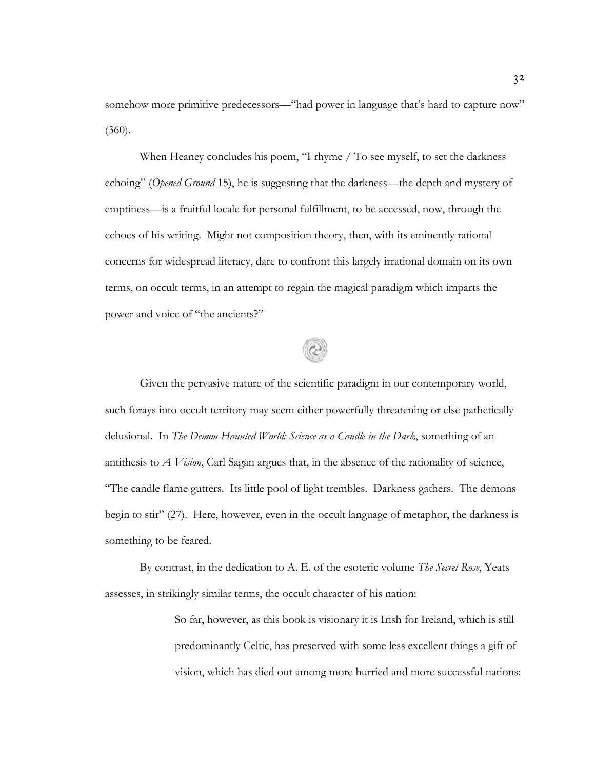somehow more primitive predecessors—"had power in language that's hard to capture now"  $(360).$ 

When Heaney concludes his poem, "I rhyme / To see myself, to set the darkness echoing" (*Opened Ground* 15), he is suggesting that the darkness—the depth and mystery of emptiness—is a fruitful locale for personal fulfillment, to be accessed, now, through the echoes of his writing. Might not composition theory, then, with its eminently rational concerns for widespread literacy, dare to confront this largely irrational domain on its own terms, on occult terms, in an attempt to regain the magical paradigm which imparts the power and voice of "the ancients?"

Given the pervasive nature of the scientific paradigm in our contemporary world, such forays into occult territory may seem either powerfully threatening or else pathetically delusional. In *The Demon-Haunted World: Science as a Candle in the Dark*, something of an antithesis to *A Vision*, Carl Sagan argues that, in the absence of the rationality of science, "The candle flame gutters. Its little pool of light trembles. Darkness gathers. The demons begin to stir" (27). Here, however, even in the occult language of metaphor, the darkness is something to be feared.

By contrast, in the dedication to A. E. of the esoteric volume *The Secret Rose*, Yeats assesses, in strikingly similar terms, the occult character of his nation:

> So far, however, as this book is visionary it is Irish for Ireland, which is still predominantly Celtic, has preserved with some less excellent things a gift of vision, which has died out among more hurried and more successful nations: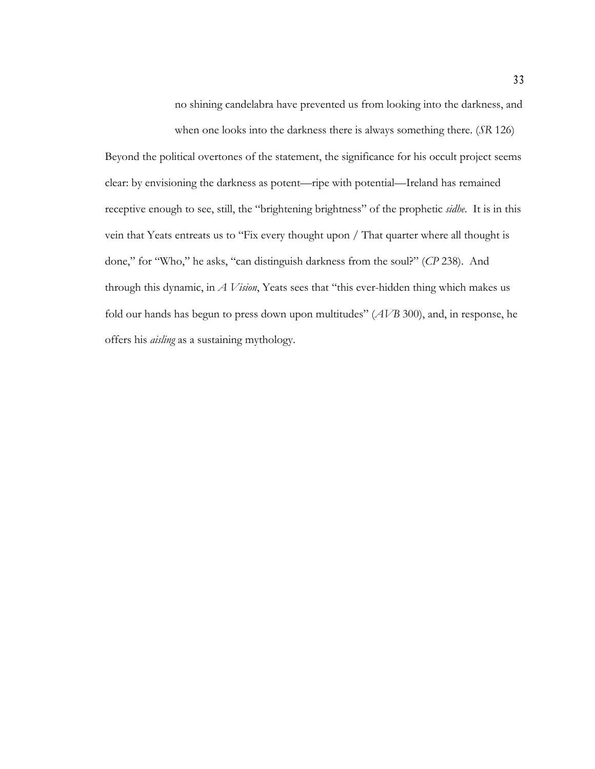no shining candelabra have prevented us from looking into the darkness, and

when one looks into the darkness there is always something there. (*SR* 126)

Beyond the political overtones of the statement, the significance for his occult project seems clear: by envisioning the darkness as potent—ripe with potential—Ireland has remained receptive enough to see, still, the "brightening brightness" of the prophetic *sidhe*. It is in this vein that Yeats entreats us to "Fix every thought upon / That quarter where all thought is done," for "Who," he asks, "can distinguish darkness from the soul?" (*CP* 238). And through this dynamic, in *A Vision*, Yeats sees that "this ever-hidden thing which makes us fold our hands has begun to press down upon multitudes" (*AVB* 300), and, in response, he offers his *aisling* as a sustaining mythology.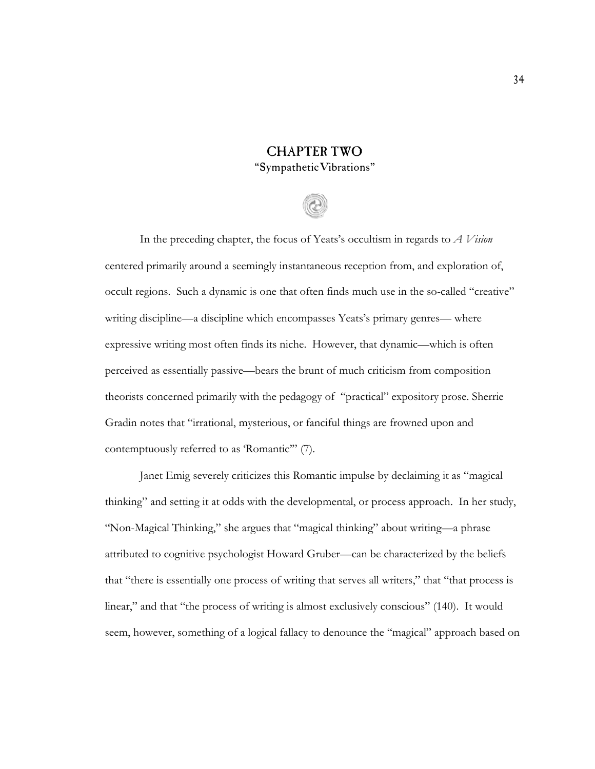## CHAPTER TWO "SympatheticVibrations"

In the preceding chapter, the focus of Yeats's occultism in regards to *A Vision* centered primarily around a seemingly instantaneous reception from, and exploration of, occult regions. Such a dynamic is one that often finds much use in the so-called "creative" writing discipline—a discipline which encompasses Yeats's primary genres— where expressive writing most often finds its niche. However, that dynamic—which is often perceived as essentially passive—bears the brunt of much criticism from composition theorists concerned primarily with the pedagogy of "practical" expository prose. Sherrie Gradin notes that "irrational, mysterious, or fanciful things are frowned upon and contemptuously referred to as 'Romantic'" (7).

Janet Emig severely criticizes this Romantic impulse by declaiming it as "magical thinking" and setting it at odds with the developmental, or process approach. In her study, "Non-Magical Thinking," she argues that "magical thinking" about writing—a phrase attributed to cognitive psychologist Howard Gruber—can be characterized by the beliefs that "there is essentially one process of writing that serves all writers," that "that process is linear," and that "the process of writing is almost exclusively conscious" (140). It would seem, however, something of a logical fallacy to denounce the "magical" approach based on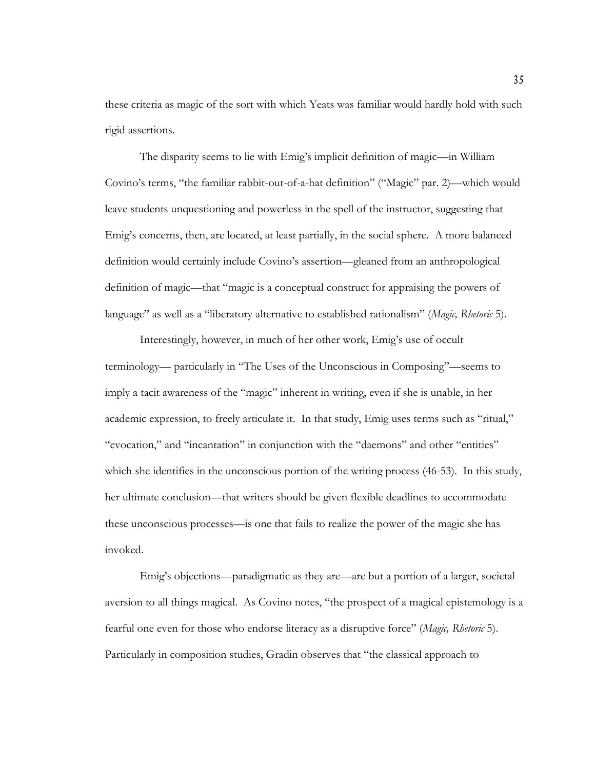these criteria as magic of the sort with which Yeats was familiar would hardly hold with such rigid assertions.

The disparity seems to lie with Emig's implicit definition of magic—in William Covino's terms, "the familiar rabbit-out-of-a-hat definition" ("Magic" par. 2)—which would leave students unquestioning and powerless in the spell of the instructor, suggesting that Emig's concerns, then, are located, at least partially, in the social sphere. A more balanced definition would certainly include Covino's assertion—gleaned from an anthropological definition of magic—that "magic is a conceptual construct for appraising the powers of language" as well as a "liberatory alternative to established rationalism" (*Magic, Rhetoric* 5).

Interestingly, however, in much of her other work, Emig's use of occult terminology— particularly in "The Uses of the Unconscious in Composing"—seems to imply a tacit awareness of the "magic" inherent in writing, even if she is unable, in her academic expression, to freely articulate it. In that study, Emig uses terms such as "ritual," "evocation," and "incantation" in conjunction with the "daemons" and other "entities" which she identifies in the unconscious portion of the writing process (46-53). In this study, her ultimate conclusion—that writers should be given flexible deadlines to accommodate these unconscious processes—is one that fails to realize the power of the magic she has invoked.

Emig's objections—paradigmatic as they are—are but a portion of a larger, societal aversion to all things magical. As Covino notes, "the prospect of a magical epistemology is a fearful one even for those who endorse literacy as a disruptive force" (*Magic, Rhetoric* 5). Particularly in composition studies, Gradin observes that "the classical approach to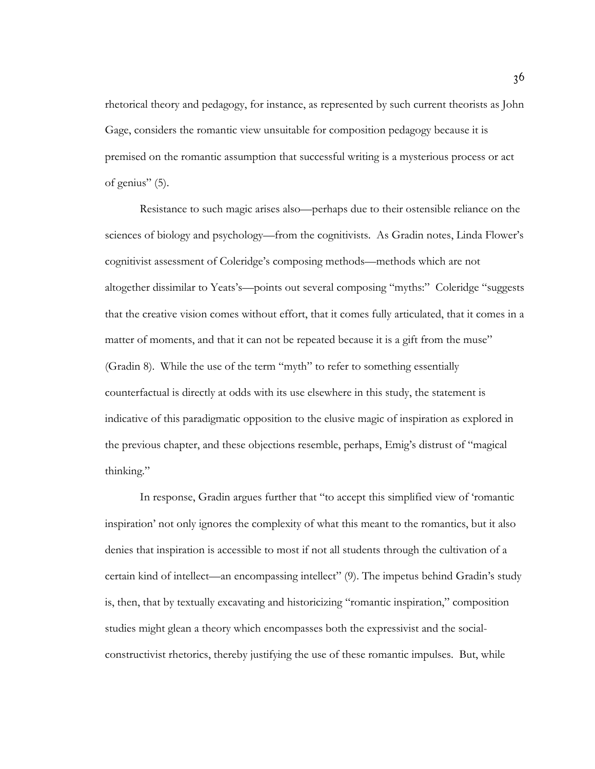rhetorical theory and pedagogy, for instance, as represented by such current theorists as John Gage, considers the romantic view unsuitable for composition pedagogy because it is premised on the romantic assumption that successful writing is a mysterious process or act of genius" (5).

Resistance to such magic arises also—perhaps due to their ostensible reliance on the sciences of biology and psychology—from the cognitivists. As Gradin notes, Linda Flower's cognitivist assessment of Coleridge's composing methods—methods which are not altogether dissimilar to Yeats's—points out several composing "myths:" Coleridge "suggests that the creative vision comes without effort, that it comes fully articulated, that it comes in a matter of moments, and that it can not be repeated because it is a gift from the muse" (Gradin 8). While the use of the term "myth" to refer to something essentially counterfactual is directly at odds with its use elsewhere in this study, the statement is indicative of this paradigmatic opposition to the elusive magic of inspiration as explored in the previous chapter, and these objections resemble, perhaps, Emig's distrust of "magical thinking."

In response, Gradin argues further that "to accept this simplified view of 'romantic inspiration' not only ignores the complexity of what this meant to the romantics, but it also denies that inspiration is accessible to most if not all students through the cultivation of a certain kind of intellect—an encompassing intellect" (9). The impetus behind Gradin's study is, then, that by textually excavating and historicizing "romantic inspiration," composition studies might glean a theory which encompasses both the expressivist and the socialconstructivist rhetorics, thereby justifying the use of these romantic impulses. But, while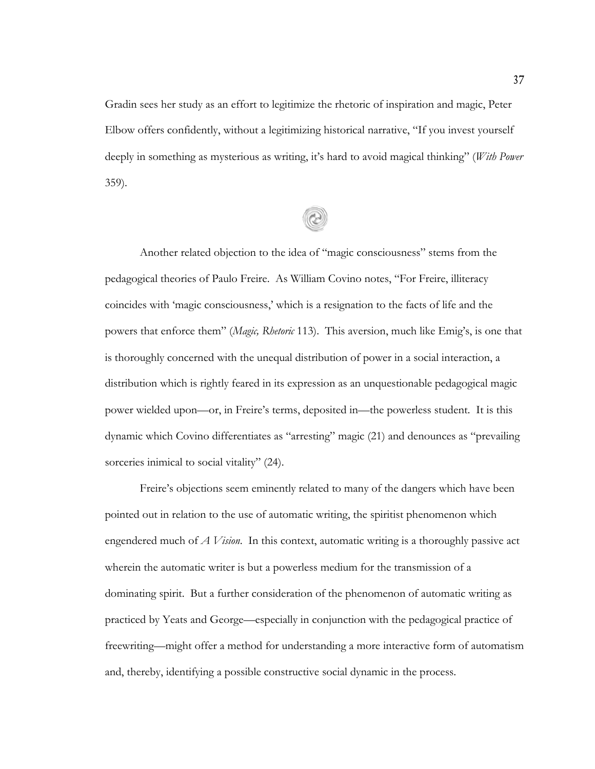Gradin sees her study as an effort to legitimize the rhetoric of inspiration and magic, Peter Elbow offers confidently, without a legitimizing historical narrative, "If you invest yourself deeply in something as mysterious as writing, it's hard to avoid magical thinking" (*With Power* 359).

Another related objection to the idea of "magic consciousness" stems from the pedagogical theories of Paulo Freire. As William Covino notes, "For Freire, illiteracy coincides with 'magic consciousness,' which is a resignation to the facts of life and the powers that enforce them" (*Magic, Rhetoric* 113). This aversion, much like Emig's, is one that is thoroughly concerned with the unequal distribution of power in a social interaction, a distribution which is rightly feared in its expression as an unquestionable pedagogical magic power wielded upon—or, in Freire's terms, deposited in—the powerless student. It is this dynamic which Covino differentiates as "arresting" magic (21) and denounces as "prevailing sorceries inimical to social vitality" (24).

Freire's objections seem eminently related to many of the dangers which have been pointed out in relation to the use of automatic writing, the spiritist phenomenon which engendered much of *A Vision*. In this context, automatic writing is a thoroughly passive act wherein the automatic writer is but a powerless medium for the transmission of a dominating spirit. But a further consideration of the phenomenon of automatic writing as practiced by Yeats and George—especially in conjunction with the pedagogical practice of freewriting—might offer a method for understanding a more interactive form of automatism and, thereby, identifying a possible constructive social dynamic in the process.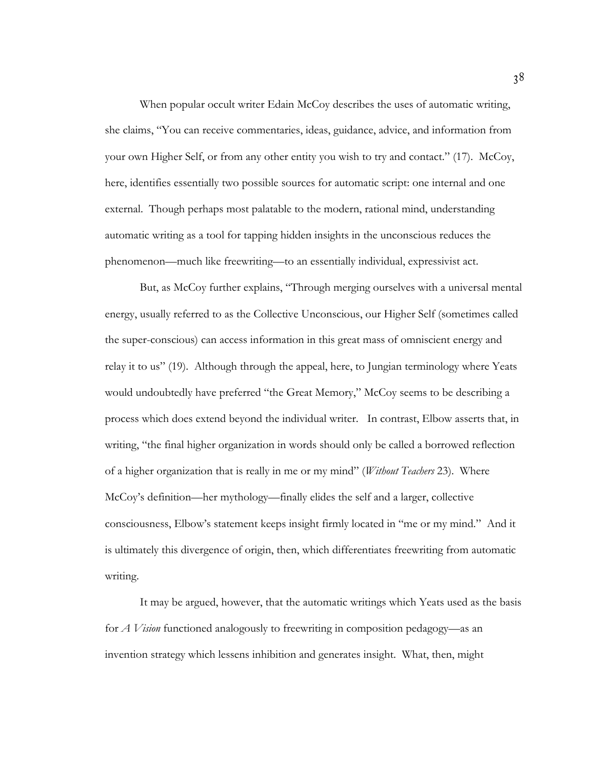When popular occult writer Edain McCoy describes the uses of automatic writing, she claims, "You can receive commentaries, ideas, guidance, advice, and information from your own Higher Self, or from any other entity you wish to try and contact." (17). McCoy, here, identifies essentially two possible sources for automatic script: one internal and one external. Though perhaps most palatable to the modern, rational mind, understanding automatic writing as a tool for tapping hidden insights in the unconscious reduces the phenomenon—much like freewriting—to an essentially individual, expressivist act.

But, as McCoy further explains, "Through merging ourselves with a universal mental energy, usually referred to as the Collective Unconscious, our Higher Self (sometimes called the super-conscious) can access information in this great mass of omniscient energy and relay it to us" (19). Although through the appeal, here, to Jungian terminology where Yeats would undoubtedly have preferred "the Great Memory," McCoy seems to be describing a process which does extend beyond the individual writer. In contrast, Elbow asserts that, in writing, "the final higher organization in words should only be called a borrowed reflection of a higher organization that is really in me or my mind" (*Without Teachers* 23). Where McCoy's definition—her mythology—finally elides the self and a larger, collective consciousness, Elbow's statement keeps insight firmly located in "me or my mind." And it is ultimately this divergence of origin, then, which differentiates freewriting from automatic writing.

It may be argued, however, that the automatic writings which Yeats used as the basis for *A Vision* functioned analogously to freewriting in composition pedagogy—as an invention strategy which lessens inhibition and generates insight. What, then, might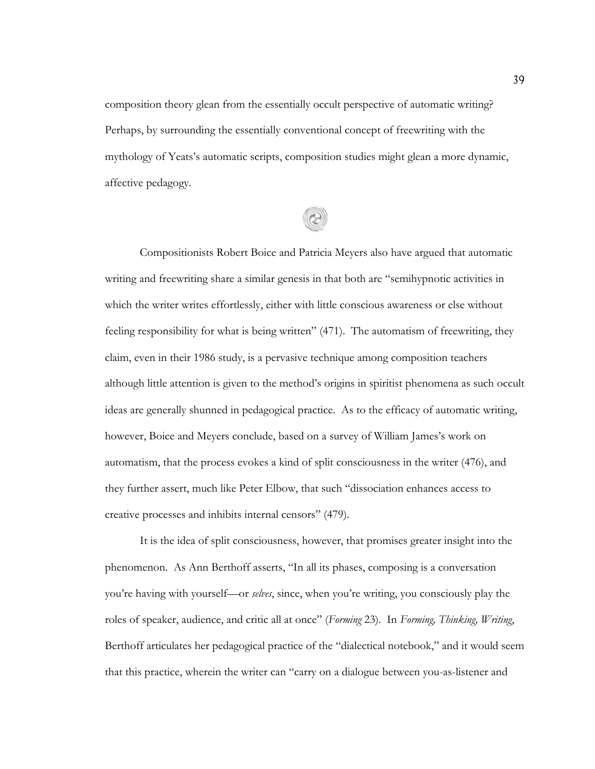composition theory glean from the essentially occult perspective of automatic writing? Perhaps, by surrounding the essentially conventional concept of freewriting with the mythology of Yeats's automatic scripts, composition studies might glean a more dynamic, affective pedagogy.

Compositionists Robert Boice and Patricia Meyers also have argued that automatic writing and freewriting share a similar genesis in that both are "semihypnotic activities in which the writer writes effortlessly, either with little conscious awareness or else without feeling responsibility for what is being written" (471). The automatism of freewriting, they claim, even in their 1986 study, is a pervasive technique among composition teachers although little attention is given to the method's origins in spiritist phenomena as such occult ideas are generally shunned in pedagogical practice. As to the efficacy of automatic writing, however, Boice and Meyers conclude, based on a survey of William James's work on automatism, that the process evokes a kind of split consciousness in the writer (476), and they further assert, much like Peter Elbow, that such "dissociation enhances access to creative processes and inhibits internal censors" (479).

It is the idea of split consciousness, however, that promises greater insight into the phenomenon. As Ann Berthoff asserts, "In all its phases, composing is a conversation you're having with yourself—or *selves*, since, when you're writing, you consciously play the roles of speaker, audience, and critic all at once" (*Forming* 23). In *Forming, Thinking, Writing*, Berthoff articulates her pedagogical practice of the "dialectical notebook," and it would seem that this practice, wherein the writer can "carry on a dialogue between you-as-listener and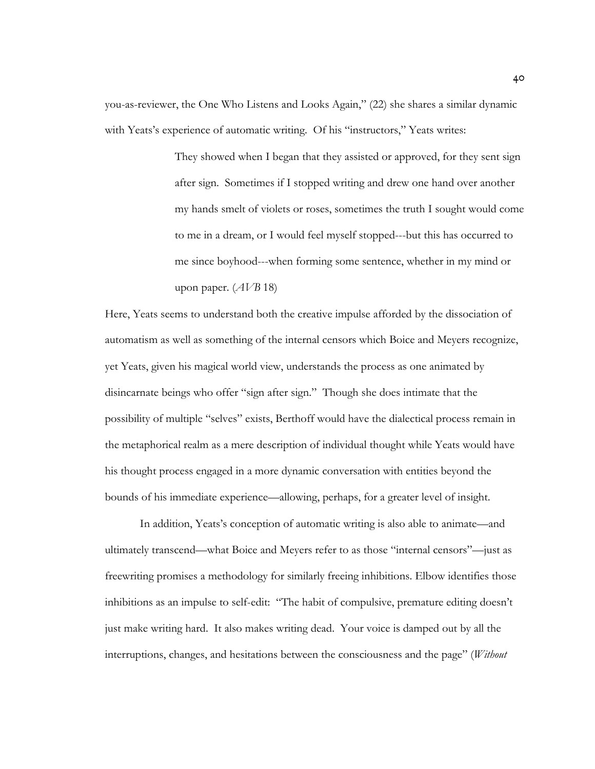you-as-reviewer, the One Who Listens and Looks Again," (22) she shares a similar dynamic with Yeats's experience of automatic writing. Of his "instructors," Yeats writes:

> They showed when I began that they assisted or approved, for they sent sign after sign. Sometimes if I stopped writing and drew one hand over another my hands smelt of violets or roses, sometimes the truth I sought would come to me in a dream, or I would feel myself stopped---but this has occurred to me since boyhood---when forming some sentence, whether in my mind or upon paper. (*AVB* 18)

Here, Yeats seems to understand both the creative impulse afforded by the dissociation of automatism as well as something of the internal censors which Boice and Meyers recognize, yet Yeats, given his magical world view, understands the process as one animated by disincarnate beings who offer "sign after sign." Though she does intimate that the possibility of multiple "selves" exists, Berthoff would have the dialectical process remain in the metaphorical realm as a mere description of individual thought while Yeats would have his thought process engaged in a more dynamic conversation with entities beyond the bounds of his immediate experience—allowing, perhaps, for a greater level of insight.

In addition, Yeats's conception of automatic writing is also able to animate—and ultimately transcend—what Boice and Meyers refer to as those "internal censors"—just as freewriting promises a methodology for similarly freeing inhibitions. Elbow identifies those inhibitions as an impulse to self-edit: "The habit of compulsive, premature editing doesn't just make writing hard. It also makes writing dead. Your voice is damped out by all the interruptions, changes, and hesitations between the consciousness and the page" (*Without*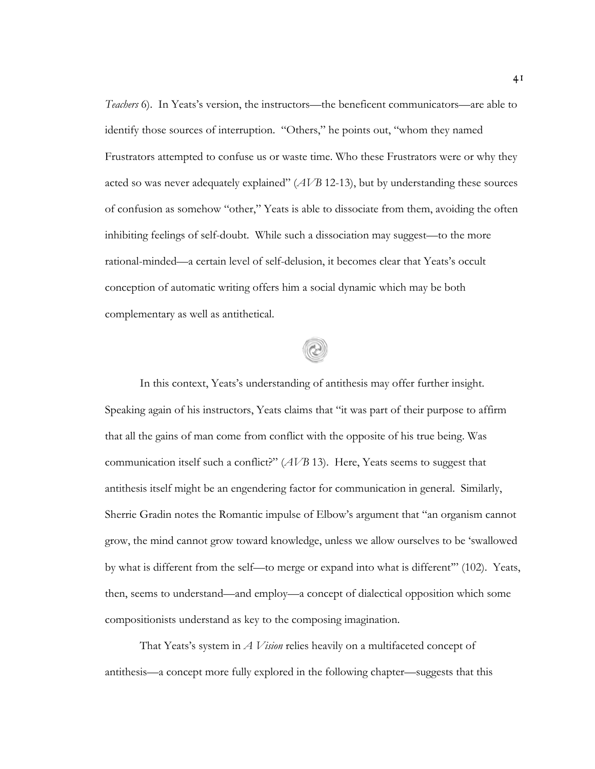*Teachers* 6). In Yeats's version, the instructors—the beneficent communicators—are able to identify those sources of interruption. "Others," he points out, "whom they named Frustrators attempted to confuse us or waste time. Who these Frustrators were or why they acted so was never adequately explained" (*AVB* 12-13), but by understanding these sources of confusion as somehow "other," Yeats is able to dissociate from them, avoiding the often inhibiting feelings of self-doubt. While such a dissociation may suggest—to the more rational-minded—a certain level of self-delusion, it becomes clear that Yeats's occult conception of automatic writing offers him a social dynamic which may be both complementary as well as antithetical.

In this context, Yeats's understanding of antithesis may offer further insight. Speaking again of his instructors, Yeats claims that "it was part of their purpose to affirm that all the gains of man come from conflict with the opposite of his true being. Was communication itself such a conflict?" (*AVB* 13). Here, Yeats seems to suggest that antithesis itself might be an engendering factor for communication in general. Similarly, Sherrie Gradin notes the Romantic impulse of Elbow's argument that "an organism cannot grow, the mind cannot grow toward knowledge, unless we allow ourselves to be 'swallowed by what is different from the self—to merge or expand into what is different'" (102). Yeats, then, seems to understand—and employ—a concept of dialectical opposition which some compositionists understand as key to the composing imagination.

That Yeats's system in *A Vision* relies heavily on a multifaceted concept of antithesis—a concept more fully explored in the following chapter—suggests that this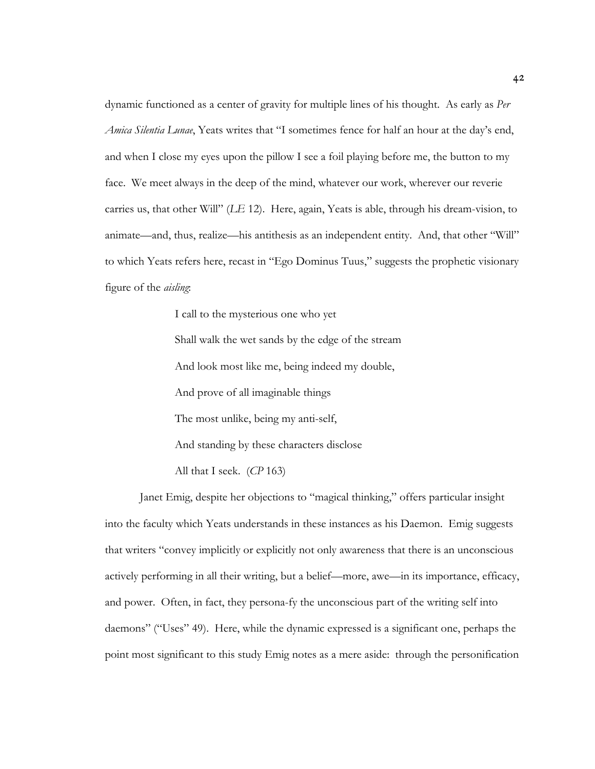dynamic functioned as a center of gravity for multiple lines of his thought. As early as *Per Amica Silentia Lunae*, Yeats writes that "I sometimes fence for half an hour at the day's end, and when I close my eyes upon the pillow I see a foil playing before me, the button to my face. We meet always in the deep of the mind, whatever our work, wherever our reverie carries us, that other Will" (*LE* 12). Here, again, Yeats is able, through his dream-vision, to animate—and, thus, realize—his antithesis as an independent entity. And, that other "Will" to which Yeats refers here, recast in "Ego Dominus Tuus," suggests the prophetic visionary figure of the *aisling*:

> I call to the mysterious one who yet Shall walk the wet sands by the edge of the stream And look most like me, being indeed my double, And prove of all imaginable things The most unlike, being my anti-self, And standing by these characters disclose All that I seek. (*CP* 163)

Janet Emig, despite her objections to "magical thinking," offers particular insight into the faculty which Yeats understands in these instances as his Daemon. Emig suggests that writers "convey implicitly or explicitly not only awareness that there is an unconscious actively performing in all their writing, but a belief—more, awe—in its importance, efficacy, and power. Often, in fact, they persona-fy the unconscious part of the writing self into daemons" ("Uses" 49). Here, while the dynamic expressed is a significant one, perhaps the point most significant to this study Emig notes as a mere aside: through the personification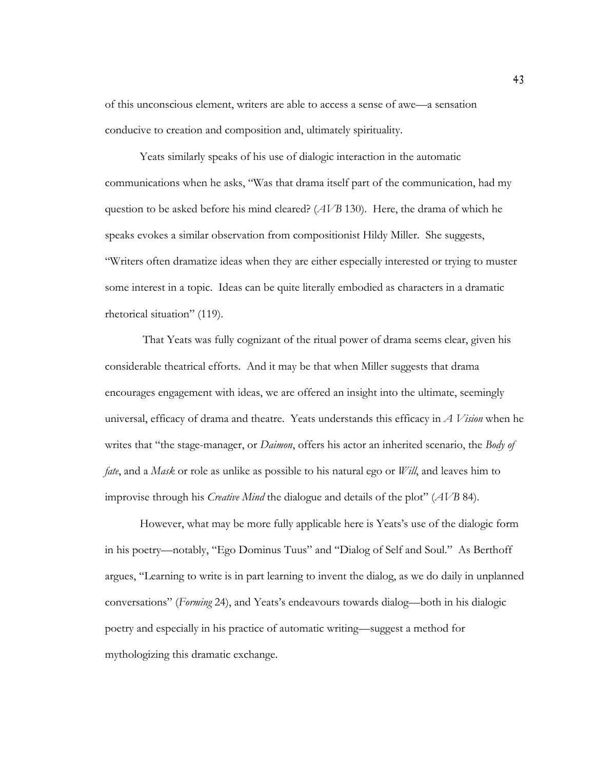of this unconscious element, writers are able to access a sense of awe—a sensation conducive to creation and composition and, ultimately spirituality.

Yeats similarly speaks of his use of dialogic interaction in the automatic communications when he asks, "Was that drama itself part of the communication, had my question to be asked before his mind cleared? (*AVB* 130). Here, the drama of which he speaks evokes a similar observation from compositionist Hildy Miller. She suggests, "Writers often dramatize ideas when they are either especially interested or trying to muster some interest in a topic. Ideas can be quite literally embodied as characters in a dramatic rhetorical situation" (119).

 That Yeats was fully cognizant of the ritual power of drama seems clear, given his considerable theatrical efforts. And it may be that when Miller suggests that drama encourages engagement with ideas, we are offered an insight into the ultimate, seemingly universal, efficacy of drama and theatre. Yeats understands this efficacy in *A Vision* when he writes that "the stage-manager, or *Daimon*, offers his actor an inherited scenario, the *Body of fate*, and a *Mask* or role as unlike as possible to his natural ego or *Will*, and leaves him to improvise through his *Creative Mind* the dialogue and details of the plot" (*AVB* 84).

However, what may be more fully applicable here is Yeats's use of the dialogic form in his poetry—notably, "Ego Dominus Tuus" and "Dialog of Self and Soul." As Berthoff argues, "Learning to write is in part learning to invent the dialog, as we do daily in unplanned conversations" (*Forming* 24), and Yeats's endeavours towards dialog—both in his dialogic poetry and especially in his practice of automatic writing—suggest a method for mythologizing this dramatic exchange.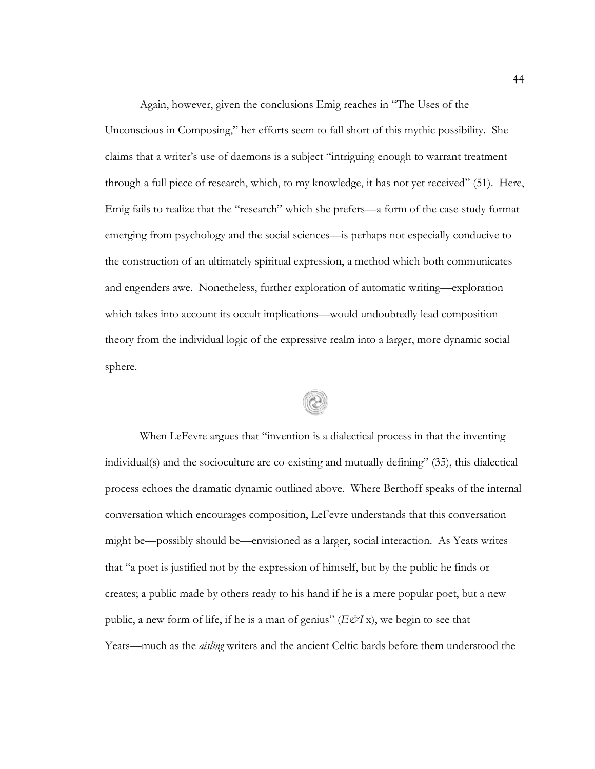Again, however, given the conclusions Emig reaches in "The Uses of the Unconscious in Composing," her efforts seem to fall short of this mythic possibility. She claims that a writer's use of daemons is a subject "intriguing enough to warrant treatment through a full piece of research, which, to my knowledge, it has not yet received" (51). Here, Emig fails to realize that the "research" which she prefers—a form of the case-study format emerging from psychology and the social sciences—is perhaps not especially conducive to the construction of an ultimately spiritual expression, a method which both communicates and engenders awe. Nonetheless, further exploration of automatic writing—exploration which takes into account its occult implications—would undoubtedly lead composition theory from the individual logic of the expressive realm into a larger, more dynamic social sphere.

When LeFevre argues that "invention is a dialectical process in that the inventing individual(s) and the socioculture are co-existing and mutually defining" (35), this dialectical process echoes the dramatic dynamic outlined above. Where Berthoff speaks of the internal conversation which encourages composition, LeFevre understands that this conversation might be—possibly should be—envisioned as a larger, social interaction. As Yeats writes that "a poet is justified not by the expression of himself, but by the public he finds or creates; a public made by others ready to his hand if he is a mere popular poet, but a new public, a new form of life, if he is a man of genius"  $(E \mathcal{O} I x)$ , we begin to see that Yeats—much as the *aisling* writers and the ancient Celtic bards before them understood the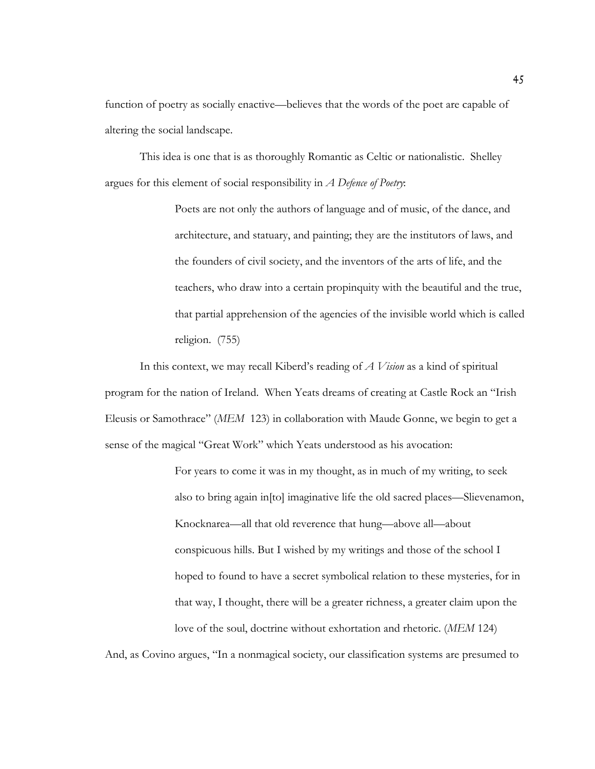function of poetry as socially enactive—believes that the words of the poet are capable of altering the social landscape.

This idea is one that is as thoroughly Romantic as Celtic or nationalistic. Shelley argues for this element of social responsibility in *A Defence of Poetry*:

> Poets are not only the authors of language and of music, of the dance, and architecture, and statuary, and painting; they are the institutors of laws, and the founders of civil society, and the inventors of the arts of life, and the teachers, who draw into a certain propinquity with the beautiful and the true, that partial apprehension of the agencies of the invisible world which is called religion. (755)

In this context, we may recall Kiberd's reading of *A Vision* as a kind of spiritual program for the nation of Ireland. When Yeats dreams of creating at Castle Rock an "Irish Eleusis or Samothrace" (*MEM* 123) in collaboration with Maude Gonne, we begin to get a sense of the magical "Great Work" which Yeats understood as his avocation:

> For years to come it was in my thought, as in much of my writing, to seek also to bring again in[to] imaginative life the old sacred places—Slievenamon, Knocknarea—all that old reverence that hung—above all—about conspicuous hills. But I wished by my writings and those of the school I hoped to found to have a secret symbolical relation to these mysteries, for in that way, I thought, there will be a greater richness, a greater claim upon the love of the soul, doctrine without exhortation and rhetoric. (*MEM* 124)

And, as Covino argues, "In a nonmagical society, our classification systems are presumed to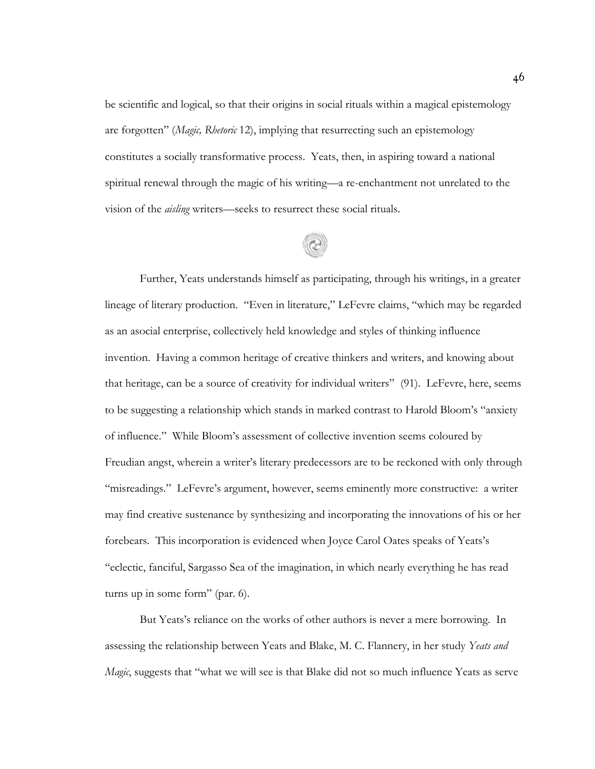be scientific and logical, so that their origins in social rituals within a magical epistemology are forgotten" (*Magic, Rhetoric* 12), implying that resurrecting such an epistemology constitutes a socially transformative process. Yeats, then, in aspiring toward a national spiritual renewal through the magic of his writing—a re-enchantment not unrelated to the vision of the *aisling* writers—seeks to resurrect these social rituals.

Further, Yeats understands himself as participating, through his writings, in a greater lineage of literary production. "Even in literature," LeFevre claims, "which may be regarded as an asocial enterprise, collectively held knowledge and styles of thinking influence invention. Having a common heritage of creative thinkers and writers, and knowing about that heritage, can be a source of creativity for individual writers" (91). LeFevre, here, seems to be suggesting a relationship which stands in marked contrast to Harold Bloom's "anxiety of influence." While Bloom's assessment of collective invention seems coloured by Freudian angst, wherein a writer's literary predecessors are to be reckoned with only through "misreadings." LeFevre's argument, however, seems eminently more constructive: a writer may find creative sustenance by synthesizing and incorporating the innovations of his or her forebears. This incorporation is evidenced when Joyce Carol Oates speaks of Yeats's "eclectic, fanciful, Sargasso Sea of the imagination, in which nearly everything he has read turns up in some form" (par. 6).

But Yeats's reliance on the works of other authors is never a mere borrowing. In assessing the relationship between Yeats and Blake, M. C. Flannery, in her study *Yeats and Magic*, suggests that "what we will see is that Blake did not so much influence Yeats as serve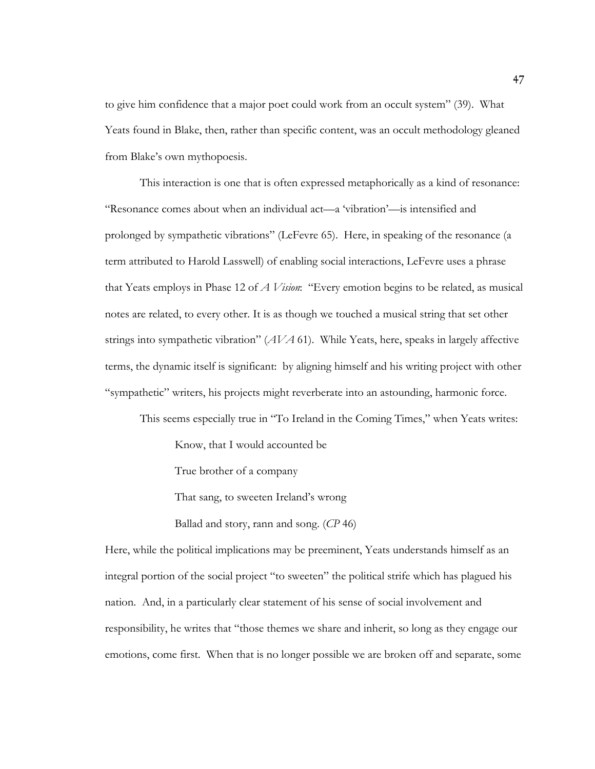to give him confidence that a major poet could work from an occult system" (39). What Yeats found in Blake, then, rather than specific content, was an occult methodology gleaned from Blake's own mythopoesis.

This interaction is one that is often expressed metaphorically as a kind of resonance: "Resonance comes about when an individual act—a 'vibration'—is intensified and prolonged by sympathetic vibrations" (LeFevre 65). Here, in speaking of the resonance (a term attributed to Harold Lasswell) of enabling social interactions, LeFevre uses a phrase that Yeats employs in Phase 12 of *A Vision*: "Every emotion begins to be related, as musical notes are related, to every other. It is as though we touched a musical string that set other strings into sympathetic vibration" (*AVA* 61). While Yeats, here, speaks in largely affective terms, the dynamic itself is significant: by aligning himself and his writing project with other "sympathetic" writers, his projects might reverberate into an astounding, harmonic force.

This seems especially true in "To Ireland in the Coming Times," when Yeats writes:

Know, that I would accounted be

True brother of a company

That sang, to sweeten Ireland's wrong

Ballad and story, rann and song. (*CP* 46)

Here, while the political implications may be preeminent, Yeats understands himself as an integral portion of the social project "to sweeten" the political strife which has plagued his nation. And, in a particularly clear statement of his sense of social involvement and responsibility, he writes that "those themes we share and inherit, so long as they engage our emotions, come first. When that is no longer possible we are broken off and separate, some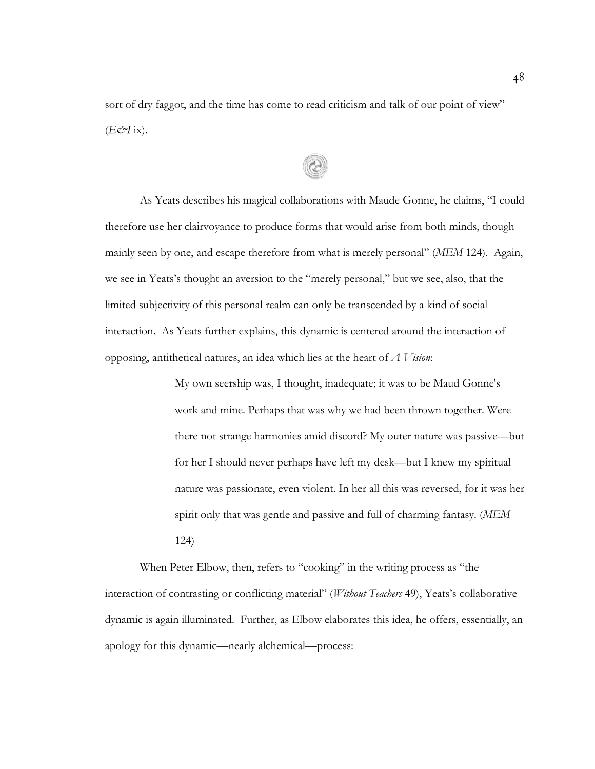sort of dry faggot, and the time has come to read criticism and talk of our point of view"  $(E \circ I$  ix).

As Yeats describes his magical collaborations with Maude Gonne, he claims, "I could therefore use her clairvoyance to produce forms that would arise from both minds, though mainly seen by one, and escape therefore from what is merely personal" (*MEM* 124). Again, we see in Yeats's thought an aversion to the "merely personal," but we see, also, that the limited subjectivity of this personal realm can only be transcended by a kind of social interaction. As Yeats further explains, this dynamic is centered around the interaction of opposing, antithetical natures, an idea which lies at the heart of *A Vision*:

> My own seership was, I thought, inadequate; it was to be Maud Gonne's work and mine. Perhaps that was why we had been thrown together. Were there not strange harmonies amid discord? My outer nature was passive—but for her I should never perhaps have left my desk—but I knew my spiritual nature was passionate, even violent. In her all this was reversed, for it was her spirit only that was gentle and passive and full of charming fantasy. (*MEM* 124)

When Peter Elbow, then, refers to "cooking" in the writing process as "the interaction of contrasting or conflicting material" (*Without Teachers* 49), Yeats's collaborative dynamic is again illuminated. Further, as Elbow elaborates this idea, he offers, essentially, an apology for this dynamic—nearly alchemical—process: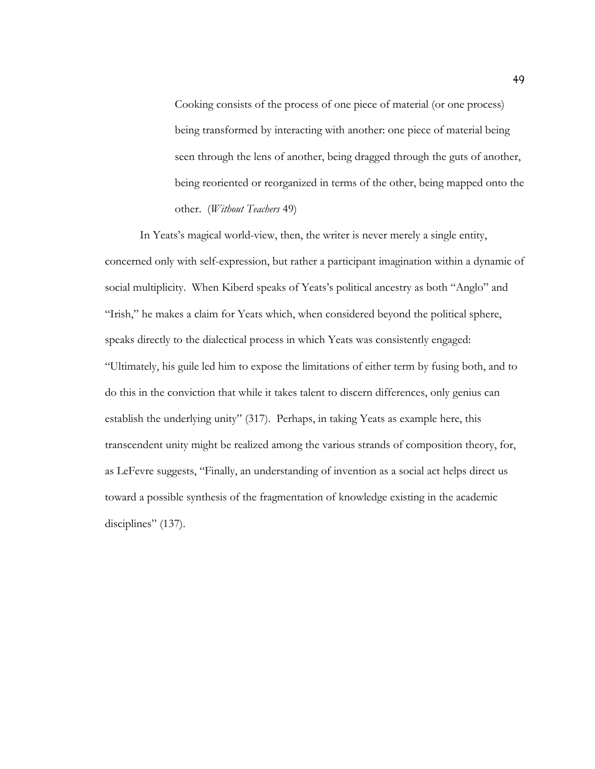Cooking consists of the process of one piece of material (or one process) being transformed by interacting with another: one piece of material being seen through the lens of another, being dragged through the guts of another, being reoriented or reorganized in terms of the other, being mapped onto the other. (*Without Teachers* 49)

In Yeats's magical world-view, then, the writer is never merely a single entity, concerned only with self-expression, but rather a participant imagination within a dynamic of social multiplicity. When Kiberd speaks of Yeats's political ancestry as both "Anglo" and "Irish," he makes a claim for Yeats which, when considered beyond the political sphere, speaks directly to the dialectical process in which Yeats was consistently engaged: "Ultimately, his guile led him to expose the limitations of either term by fusing both, and to do this in the conviction that while it takes talent to discern differences, only genius can establish the underlying unity" (317). Perhaps, in taking Yeats as example here, this transcendent unity might be realized among the various strands of composition theory, for, as LeFevre suggests, "Finally, an understanding of invention as a social act helps direct us toward a possible synthesis of the fragmentation of knowledge existing in the academic disciplines" (137).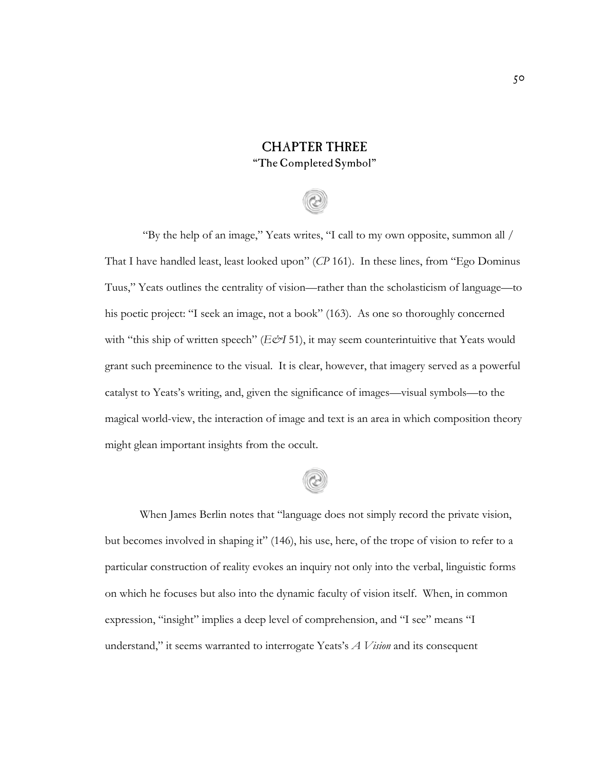### CHAPTER THREE "TheCompleted Symbol"

# "By the help of an image," Yeats writes, "I call to my own opposite, summon all / That I have handled least, least looked upon" (*CP* 161). In these lines, from "Ego Dominus Tuus," Yeats outlines the centrality of vision—rather than the scholasticism of language—to his poetic project: "I seek an image, not a book" (163). As one so thoroughly concerned with "this ship of written speech" (*E&I* 51), it may seem counterintuitive that Yeats would grant such preeminence to the visual. It is clear, however, that imagery served as a powerful catalyst to Yeats's writing, and, given the significance of images—visual symbols—to the magical world-view, the interaction of image and text is an area in which composition theory might glean important insights from the occult.



When James Berlin notes that "language does not simply record the private vision, but becomes involved in shaping it" (146), his use, here, of the trope of vision to refer to a particular construction of reality evokes an inquiry not only into the verbal, linguistic forms on which he focuses but also into the dynamic faculty of vision itself. When, in common expression, "insight" implies a deep level of comprehension, and "I see" means "I understand," it seems warranted to interrogate Yeats's *A Vision* and its consequent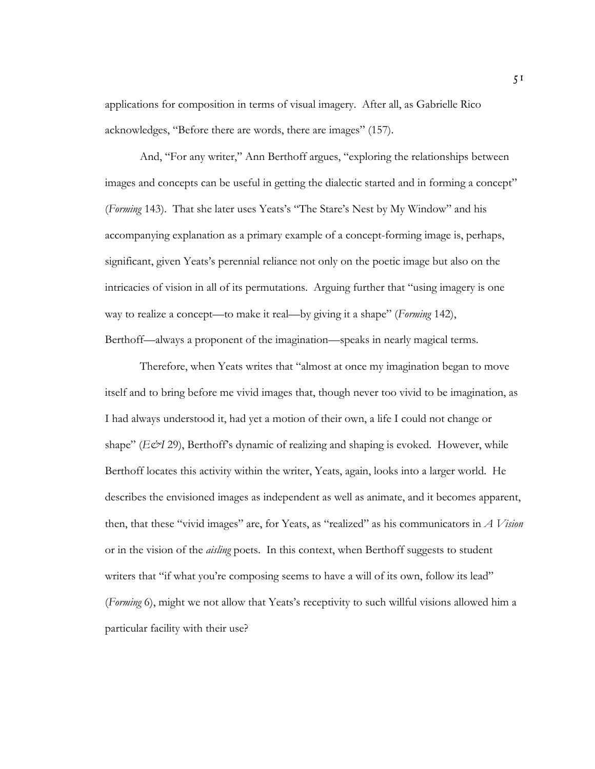applications for composition in terms of visual imagery. After all, as Gabrielle Rico acknowledges, "Before there are words, there are images" (157).

And, "For any writer," Ann Berthoff argues, "exploring the relationships between images and concepts can be useful in getting the dialectic started and in forming a concept" (*Forming* 143). That she later uses Yeats's "The Stare's Nest by My Window" and his accompanying explanation as a primary example of a concept-forming image is, perhaps, significant, given Yeats's perennial reliance not only on the poetic image but also on the intricacies of vision in all of its permutations. Arguing further that "using imagery is one way to realize a concept—to make it real—by giving it a shape" (*Forming* 142), Berthoff—always a proponent of the imagination—speaks in nearly magical terms.

Therefore, when Yeats writes that "almost at once my imagination began to move itself and to bring before me vivid images that, though never too vivid to be imagination, as I had always understood it, had yet a motion of their own, a life I could not change or shape" (*E&I* 29), Berthoff's dynamic of realizing and shaping is evoked. However, while Berthoff locates this activity within the writer, Yeats, again, looks into a larger world. He describes the envisioned images as independent as well as animate, and it becomes apparent, then, that these "vivid images" are, for Yeats, as "realized" as his communicators in *A Vision* or in the vision of the *aisling* poets. In this context, when Berthoff suggests to student writers that "if what you're composing seems to have a will of its own, follow its lead" (*Forming* 6), might we not allow that Yeats's receptivity to such willful visions allowed him a particular facility with their use?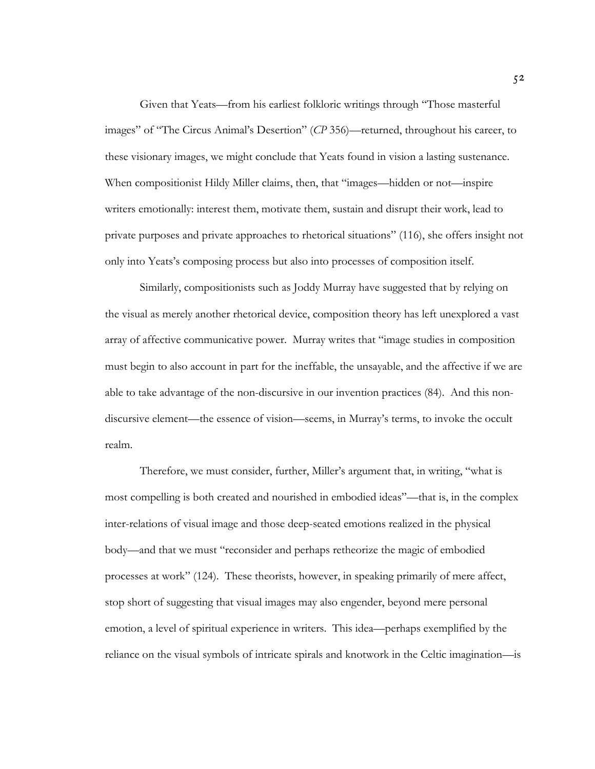Given that Yeats—from his earliest folkloric writings through "Those masterful images" of "The Circus Animal's Desertion" (*CP* 356)—returned, throughout his career, to these visionary images, we might conclude that Yeats found in vision a lasting sustenance. When compositionist Hildy Miller claims, then, that "images—hidden or not—inspire writers emotionally: interest them, motivate them, sustain and disrupt their work, lead to private purposes and private approaches to rhetorical situations" (116), she offers insight not only into Yeats's composing process but also into processes of composition itself.

Similarly, compositionists such as Joddy Murray have suggested that by relying on the visual as merely another rhetorical device, composition theory has left unexplored a vast array of affective communicative power. Murray writes that "image studies in composition must begin to also account in part for the ineffable, the unsayable, and the affective if we are able to take advantage of the non-discursive in our invention practices (84). And this nondiscursive element—the essence of vision—seems, in Murray's terms, to invoke the occult realm.

Therefore, we must consider, further, Miller's argument that, in writing, "what is most compelling is both created and nourished in embodied ideas"—that is, in the complex inter-relations of visual image and those deep-seated emotions realized in the physical body—and that we must "reconsider and perhaps retheorize the magic of embodied processes at work" (124). These theorists, however, in speaking primarily of mere affect, stop short of suggesting that visual images may also engender, beyond mere personal emotion, a level of spiritual experience in writers. This idea—perhaps exemplified by the reliance on the visual symbols of intricate spirals and knotwork in the Celtic imagination—is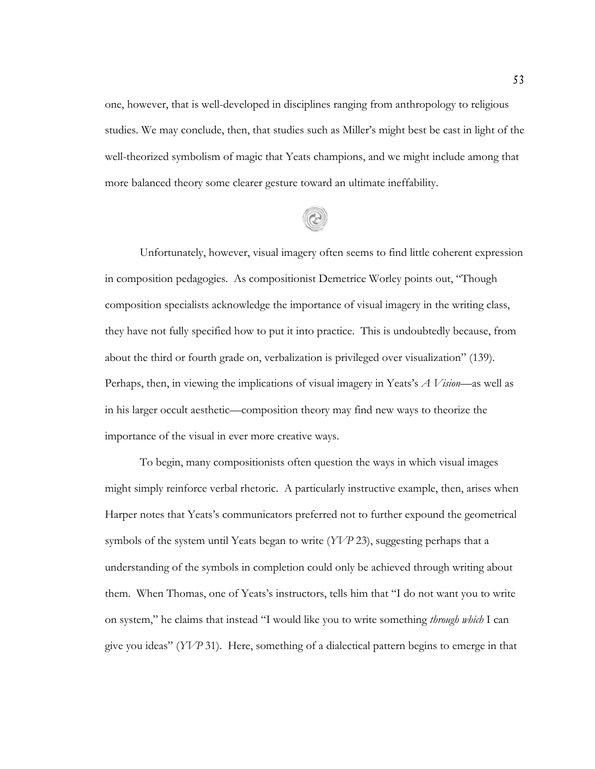one, however, that is well-developed in disciplines ranging from anthropology to religious studies. We may conclude, then, that studies such as Miller's might best be cast in light of the well-theorized symbolism of magic that Yeats champions, and we might include among that more balanced theory some clearer gesture toward an ultimate ineffability.



Unfortunately, however, visual imagery often seems to find little coherent expression in composition pedagogies. As compositionist Demetrice Worley points out, "Though composition specialists acknowledge the importance of visual imagery in the writing class, they have not fully specified how to put it into practice. This is undoubtedly because, from about the third or fourth grade on, verbalization is privileged over visualization" (139). Perhaps, then, in viewing the implications of visual imagery in Yeats's *A Vision*—as well as in his larger occult aesthetic—composition theory may find new ways to theorize the importance of the visual in ever more creative ways.

To begin, many compositionists often question the ways in which visual images might simply reinforce verbal rhetoric. A particularly instructive example, then, arises when Harper notes that Yeats's communicators preferred not to further expound the geometrical symbols of the system until Yeats began to write (*YVP* 23), suggesting perhaps that a understanding of the symbols in completion could only be achieved through writing about them. When Thomas, one of Yeats's instructors, tells him that "I do not want you to write on system," he claims that instead "I would like you to write something *through which* I can give you ideas" (*YVP* 31). Here, something of a dialectical pattern begins to emerge in that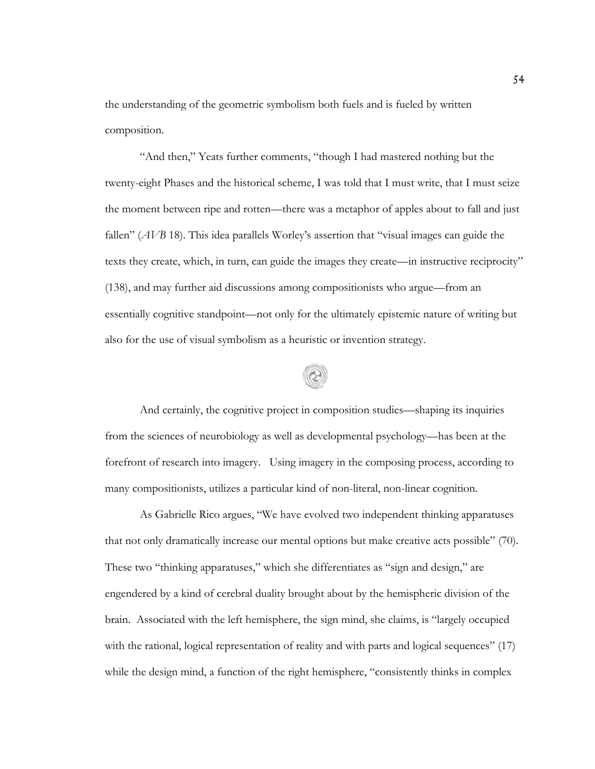the understanding of the geometric symbolism both fuels and is fueled by written composition.

"And then," Yeats further comments, "though I had mastered nothing but the twenty-eight Phases and the historical scheme, I was told that I must write, that I must seize the moment between ripe and rotten—there was a metaphor of apples about to fall and just fallen" (*AVB* 18). This idea parallels Worley's assertion that "visual images can guide the texts they create, which, in turn, can guide the images they create—in instructive reciprocity" (138), and may further aid discussions among compositionists who argue—from an essentially cognitive standpoint—not only for the ultimately epistemic nature of writing but also for the use of visual symbolism as a heuristic or invention strategy.

And certainly, the cognitive project in composition studies—shaping its inquiries from the sciences of neurobiology as well as developmental psychology—has been at the forefront of research into imagery. Using imagery in the composing process, according to many compositionists, utilizes a particular kind of non-literal, non-linear cognition.

As Gabrielle Rico argues, "We have evolved two independent thinking apparatuses that not only dramatically increase our mental options but make creative acts possible" (70). These two "thinking apparatuses," which she differentiates as "sign and design," are engendered by a kind of cerebral duality brought about by the hemispheric division of the brain. Associated with the left hemisphere, the sign mind, she claims, is "largely occupied with the rational, logical representation of reality and with parts and logical sequences" (17) while the design mind, a function of the right hemisphere, "consistently thinks in complex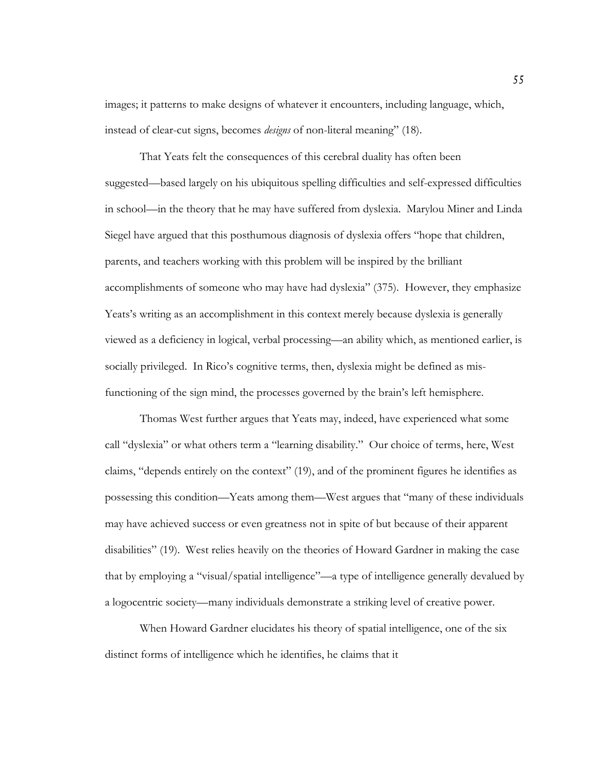images; it patterns to make designs of whatever it encounters, including language, which, instead of clear-cut signs, becomes *designs* of non-literal meaning" (18).

That Yeats felt the consequences of this cerebral duality has often been suggested—based largely on his ubiquitous spelling difficulties and self-expressed difficulties in school—in the theory that he may have suffered from dyslexia. Marylou Miner and Linda Siegel have argued that this posthumous diagnosis of dyslexia offers "hope that children, parents, and teachers working with this problem will be inspired by the brilliant accomplishments of someone who may have had dyslexia" (375). However, they emphasize Yeats's writing as an accomplishment in this context merely because dyslexia is generally viewed as a deficiency in logical, verbal processing—an ability which, as mentioned earlier, is socially privileged. In Rico's cognitive terms, then, dyslexia might be defined as misfunctioning of the sign mind, the processes governed by the brain's left hemisphere.

Thomas West further argues that Yeats may, indeed, have experienced what some call "dyslexia" or what others term a "learning disability." Our choice of terms, here, West claims, "depends entirely on the context" (19), and of the prominent figures he identifies as possessing this condition—Yeats among them—West argues that "many of these individuals may have achieved success or even greatness not in spite of but because of their apparent disabilities" (19). West relies heavily on the theories of Howard Gardner in making the case that by employing a "visual/spatial intelligence"—a type of intelligence generally devalued by a logocentric society—many individuals demonstrate a striking level of creative power.

When Howard Gardner elucidates his theory of spatial intelligence, one of the six distinct forms of intelligence which he identifies, he claims that it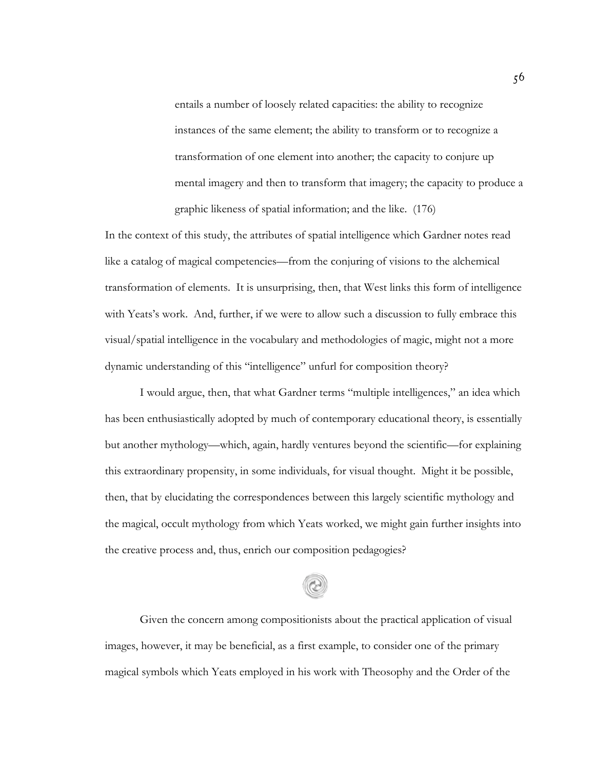entails a number of loosely related capacities: the ability to recognize instances of the same element; the ability to transform or to recognize a transformation of one element into another; the capacity to conjure up mental imagery and then to transform that imagery; the capacity to produce a graphic likeness of spatial information; and the like. (176)

In the context of this study, the attributes of spatial intelligence which Gardner notes read like a catalog of magical competencies—from the conjuring of visions to the alchemical transformation of elements. It is unsurprising, then, that West links this form of intelligence with Yeats's work. And, further, if we were to allow such a discussion to fully embrace this visual/spatial intelligence in the vocabulary and methodologies of magic, might not a more dynamic understanding of this "intelligence" unfurl for composition theory?

I would argue, then, that what Gardner terms "multiple intelligences," an idea which has been enthusiastically adopted by much of contemporary educational theory, is essentially but another mythology—which, again, hardly ventures beyond the scientific—for explaining this extraordinary propensity, in some individuals, for visual thought. Might it be possible, then, that by elucidating the correspondences between this largely scientific mythology and the magical, occult mythology from which Yeats worked, we might gain further insights into the creative process and, thus, enrich our composition pedagogies?

Given the concern among compositionists about the practical application of visual images, however, it may be beneficial, as a first example, to consider one of the primary magical symbols which Yeats employed in his work with Theosophy and the Order of the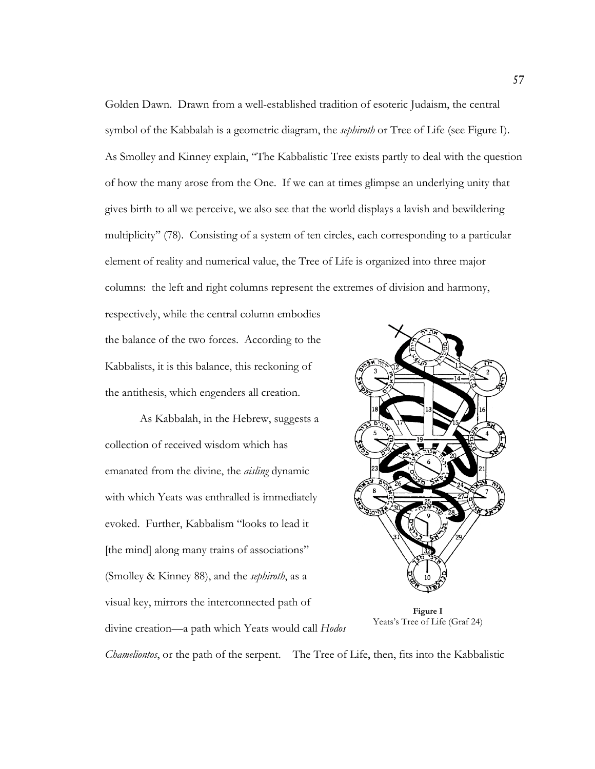Golden Dawn. Drawn from a well-established tradition of esoteric Judaism, the central symbol of the Kabbalah is a geometric diagram, the *sephiroth* or Tree of Life (see Figure I). As Smolley and Kinney explain, "The Kabbalistic Tree exists partly to deal with the question of how the many arose from the One. If we can at times glimpse an underlying unity that gives birth to all we perceive, we also see that the world displays a lavish and bewildering multiplicity" (78). Consisting of a system of ten circles, each corresponding to a particular element of reality and numerical value, the Tree of Life is organized into three major columns: the left and right columns represent the extremes of division and harmony,

respectively, while the central column embodies the balance of the two forces. According to the Kabbalists, it is this balance, this reckoning of the antithesis, which engenders all creation.

As Kabbalah, in the Hebrew, suggests a collection of received wisdom which has emanated from the divine, the *aisling* dynamic with which Yeats was enthralled is immediately evoked. Further, Kabbalism "looks to lead it [the mind] along many trains of associations" (Smolley & Kinney 88), and the *sephiroth*, as a visual key, mirrors the interconnected path of divine creation—a path which Yeats would call *Hodos*



**Figure I** Yeats's Tree of Life (Graf 24)

*Chameliontos*, or the path of the serpent. The Tree of Life, then, fits into the Kabbalistic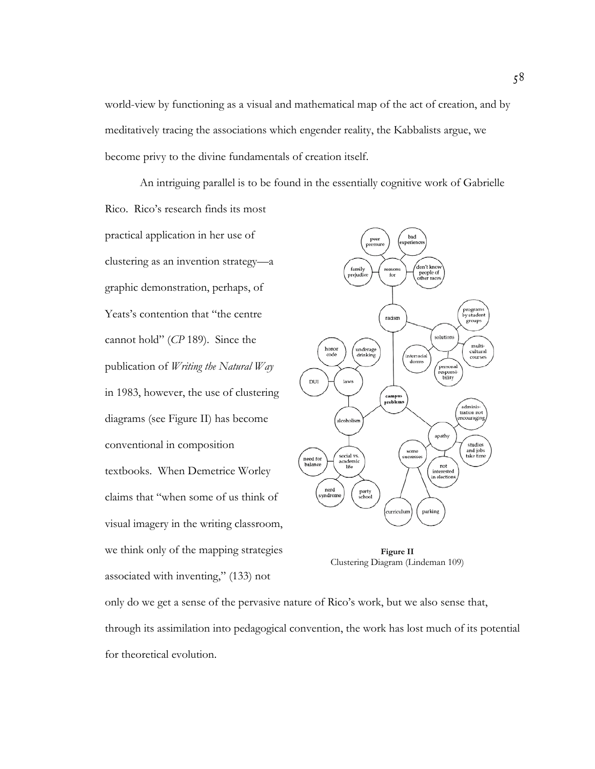world-view by functioning as a visual and mathematical map of the act of creation, and by meditatively tracing the associations which engender reality, the Kabbalists argue, we become privy to the divine fundamentals of creation itself.

An intriguing parallel is to be found in the essentially cognitive work of Gabrielle Rico. Rico's research finds its most

practical application in her use of clustering as an invention strategy—a graphic demonstration, perhaps, of Yeats's contention that "the centre cannot hold" (*CP* 189). Since the publication of *Writing the Natural Way* in 1983, however, the use of clustering diagrams (see Figure II) has become conventional in composition textbooks. When Demetrice Worley claims that "when some of us think of visual imagery in the writing classroom, we think only of the mapping strategies associated with inventing," (133) not



**Figure II** Clustering Diagram (Lindeman 109)

only do we get a sense of the pervasive nature of Rico's work, but we also sense that, through its assimilation into pedagogical convention, the work has lost much of its potential for theoretical evolution.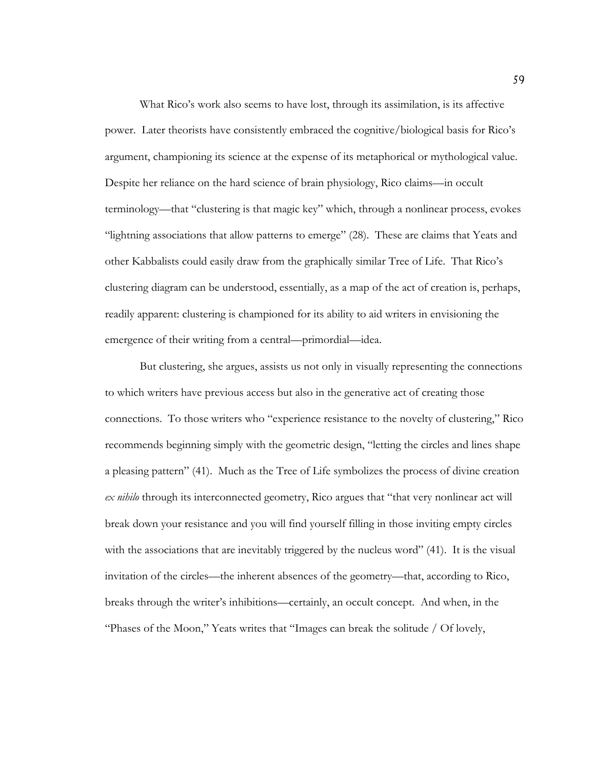What Rico's work also seems to have lost, through its assimilation, is its affective power. Later theorists have consistently embraced the cognitive/biological basis for Rico's argument, championing its science at the expense of its metaphorical or mythological value. Despite her reliance on the hard science of brain physiology, Rico claims—in occult terminology—that "clustering is that magic key" which, through a nonlinear process, evokes "lightning associations that allow patterns to emerge" (28). These are claims that Yeats and other Kabbalists could easily draw from the graphically similar Tree of Life. That Rico's clustering diagram can be understood, essentially, as a map of the act of creation is, perhaps, readily apparent: clustering is championed for its ability to aid writers in envisioning the emergence of their writing from a central—primordial—idea.

But clustering, she argues, assists us not only in visually representing the connections to which writers have previous access but also in the generative act of creating those connections. To those writers who "experience resistance to the novelty of clustering," Rico recommends beginning simply with the geometric design, "letting the circles and lines shape a pleasing pattern" (41). Much as the Tree of Life symbolizes the process of divine creation *ex nihilo* through its interconnected geometry, Rico argues that "that very nonlinear act will break down your resistance and you will find yourself filling in those inviting empty circles with the associations that are inevitably triggered by the nucleus word" (41). It is the visual invitation of the circles—the inherent absences of the geometry—that, according to Rico, breaks through the writer's inhibitions—certainly, an occult concept. And when, in the "Phases of the Moon," Yeats writes that "Images can break the solitude / Of lovely,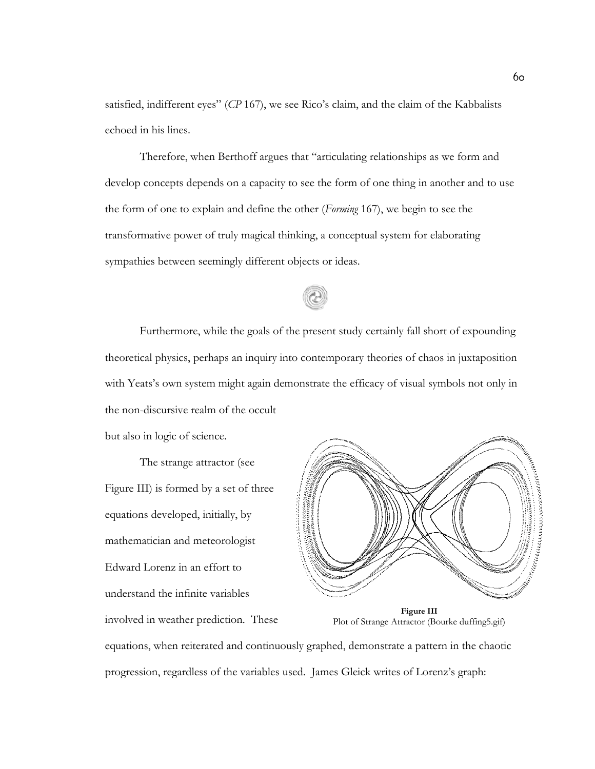satisfied, indifferent eyes" (*CP* 167), we see Rico's claim, and the claim of the Kabbalists echoed in his lines.

Therefore, when Berthoff argues that "articulating relationships as we form and develop concepts depends on a capacity to see the form of one thing in another and to use the form of one to explain and define the other (*Forming* 167), we begin to see the transformative power of truly magical thinking, a conceptual system for elaborating sympathies between seemingly different objects or ideas.

Furthermore, while the goals of the present study certainly fall short of expounding theoretical physics, perhaps an inquiry into contemporary theories of chaos in juxtaposition with Yeats's own system might again demonstrate the efficacy of visual symbols not only in the non-discursive realm of the occult

but also in logic of science.

The strange attractor (see Figure III) is formed by a set of three equations developed, initially, by mathematician and meteorologist Edward Lorenz in an effort to understand the infinite variables involved in weather prediction. These



**Figure III** Plot of Strange Attractor (Bourke duffing5.gif)

equations, when reiterated and continuously graphed, demonstrate a pattern in the chaotic progression, regardless of the variables used. James Gleick writes of Lorenz's graph: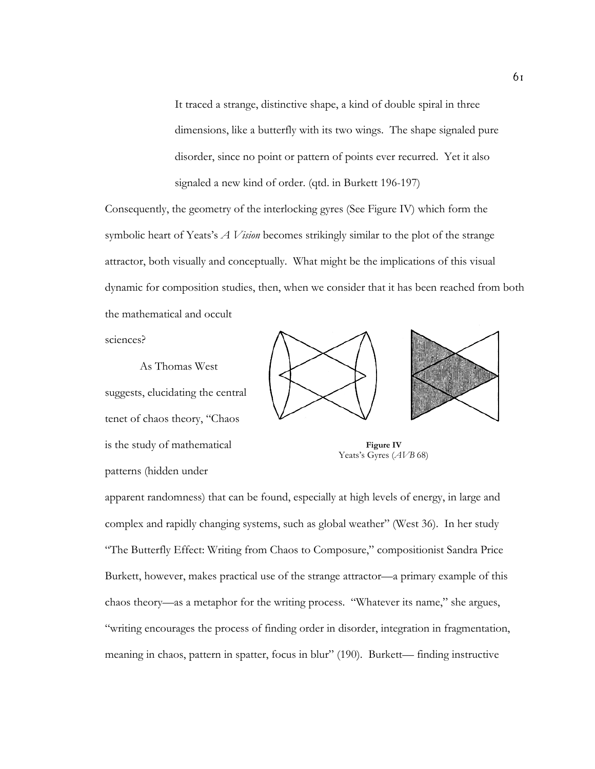It traced a strange, distinctive shape, a kind of double spiral in three dimensions, like a butterfly with its two wings. The shape signaled pure disorder, since no point or pattern of points ever recurred. Yet it also signaled a new kind of order. (qtd. in Burkett 196-197)

Consequently, the geometry of the interlocking gyres (See Figure IV) which form the symbolic heart of Yeats's *A Vision* becomes strikingly similar to the plot of the strange attractor, both visually and conceptually. What might be the implications of this visual dynamic for composition studies, then, when we consider that it has been reached from both the mathematical and occult

sciences?

As Thomas West suggests, elucidating the central tenet of chaos theory, "Chaos is the study of mathematical patterns (hidden under





**Figure IV** Yeats's Gyres (*AVB* 68)

apparent randomness) that can be found, especially at high levels of energy, in large and complex and rapidly changing systems, such as global weather" (West 36). In her study "The Butterfly Effect: Writing from Chaos to Composure," compositionist Sandra Price Burkett, however, makes practical use of the strange attractor—a primary example of this chaos theory—as a metaphor for the writing process. "Whatever its name," she argues, "writing encourages the process of finding order in disorder, integration in fragmentation, meaning in chaos, pattern in spatter, focus in blur" (190). Burkett— finding instructive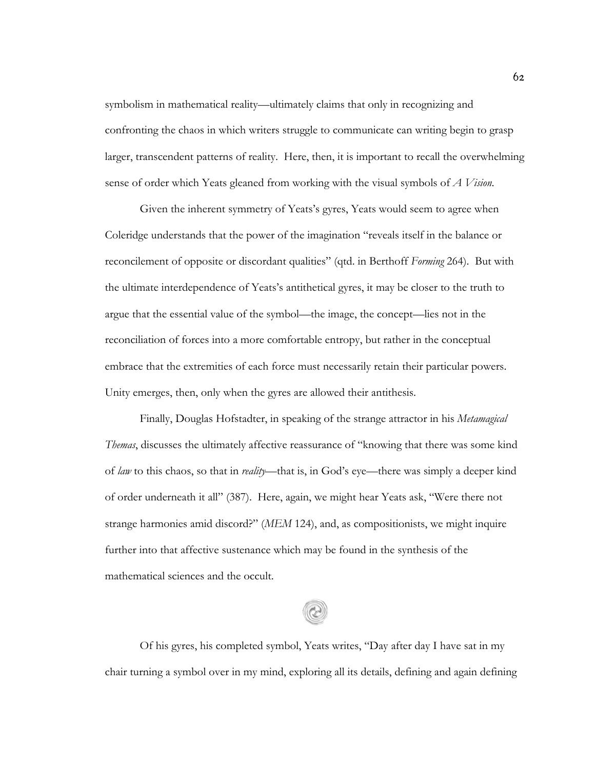symbolism in mathematical reality—ultimately claims that only in recognizing and confronting the chaos in which writers struggle to communicate can writing begin to grasp larger, transcendent patterns of reality. Here, then, it is important to recall the overwhelming sense of order which Yeats gleaned from working with the visual symbols of *A Vision*.

Given the inherent symmetry of Yeats's gyres, Yeats would seem to agree when Coleridge understands that the power of the imagination "reveals itself in the balance or reconcilement of opposite or discordant qualities" (qtd. in Berthoff *Forming* 264). But with the ultimate interdependence of Yeats's antithetical gyres, it may be closer to the truth to argue that the essential value of the symbol—the image, the concept—lies not in the reconciliation of forces into a more comfortable entropy, but rather in the conceptual embrace that the extremities of each force must necessarily retain their particular powers. Unity emerges, then, only when the gyres are allowed their antithesis.

Finally, Douglas Hofstadter, in speaking of the strange attractor in his *Metamagical Themas*, discusses the ultimately affective reassurance of "knowing that there was some kind of *law* to this chaos, so that in *reality*—that is, in God's eye—there was simply a deeper kind of order underneath it all" (387). Here, again, we might hear Yeats ask, "Were there not strange harmonies amid discord?" (*MEM* 124), and, as compositionists, we might inquire further into that affective sustenance which may be found in the synthesis of the mathematical sciences and the occult.

Of his gyres, his completed symbol, Yeats writes, "Day after day I have sat in my chair turning a symbol over in my mind, exploring all its details, defining and again defining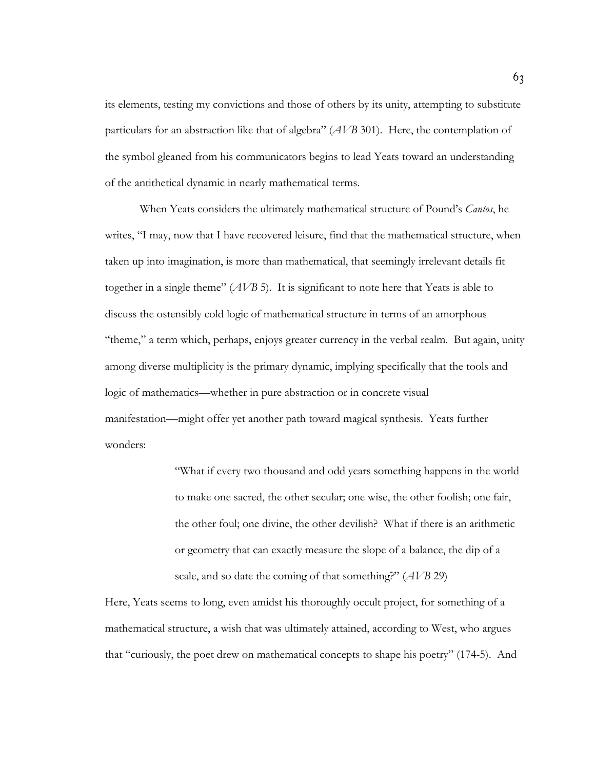its elements, testing my convictions and those of others by its unity, attempting to substitute particulars for an abstraction like that of algebra" (*AVB* 301). Here, the contemplation of the symbol gleaned from his communicators begins to lead Yeats toward an understanding of the antithetical dynamic in nearly mathematical terms.

When Yeats considers the ultimately mathematical structure of Pound's *Cantos*, he writes, "I may, now that I have recovered leisure, find that the mathematical structure, when taken up into imagination, is more than mathematical, that seemingly irrelevant details fit together in a single theme" (*AVB* 5). It is significant to note here that Yeats is able to discuss the ostensibly cold logic of mathematical structure in terms of an amorphous "theme," a term which, perhaps, enjoys greater currency in the verbal realm. But again, unity among diverse multiplicity is the primary dynamic, implying specifically that the tools and logic of mathematics—whether in pure abstraction or in concrete visual manifestation—might offer yet another path toward magical synthesis. Yeats further wonders:

> "What if every two thousand and odd years something happens in the world to make one sacred, the other secular; one wise, the other foolish; one fair, the other foul; one divine, the other devilish? What if there is an arithmetic or geometry that can exactly measure the slope of a balance, the dip of a scale, and so date the coming of that something?" (*AVB* 29)

Here, Yeats seems to long, even amidst his thoroughly occult project, for something of a mathematical structure, a wish that was ultimately attained, according to West, who argues that "curiously, the poet drew on mathematical concepts to shape his poetry" (174-5). And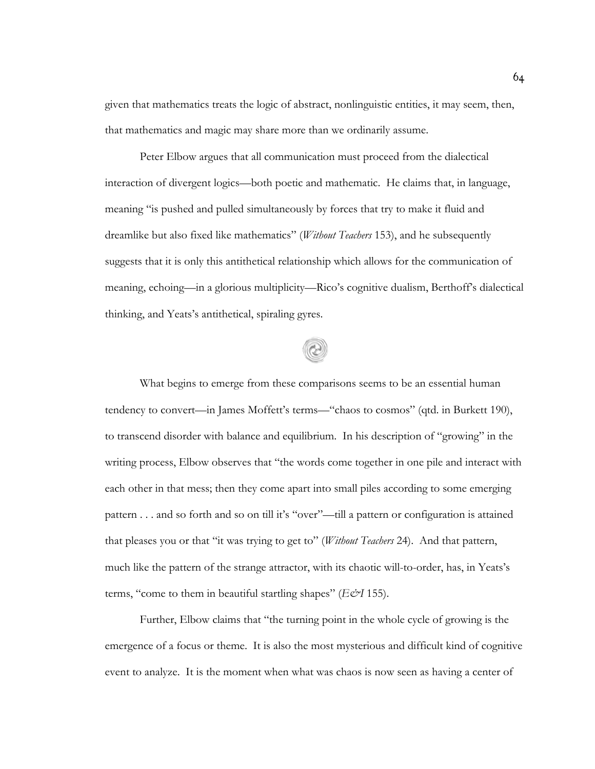given that mathematics treats the logic of abstract, nonlinguistic entities, it may seem, then, that mathematics and magic may share more than we ordinarily assume.

Peter Elbow argues that all communication must proceed from the dialectical interaction of divergent logics—both poetic and mathematic. He claims that, in language, meaning "is pushed and pulled simultaneously by forces that try to make it fluid and dreamlike but also fixed like mathematics" (*Without Teachers* 153), and he subsequently suggests that it is only this antithetical relationship which allows for the communication of meaning, echoing—in a glorious multiplicity—Rico's cognitive dualism, Berthoff's dialectical thinking, and Yeats's antithetical, spiraling gyres.

What begins to emerge from these comparisons seems to be an essential human tendency to convert—in James Moffett's terms—"chaos to cosmos" (qtd. in Burkett 190), to transcend disorder with balance and equilibrium. In his description of "growing" in the writing process, Elbow observes that "the words come together in one pile and interact with each other in that mess; then they come apart into small piles according to some emerging pattern . . . and so forth and so on till it's "over"—till a pattern or configuration is attained that pleases you or that "it was trying to get to" (*Without Teachers* 24). And that pattern, much like the pattern of the strange attractor, with its chaotic will-to-order, has, in Yeats's terms, "come to them in beautiful startling shapes" (*E&I* 155).

Further, Elbow claims that "the turning point in the whole cycle of growing is the emergence of a focus or theme. It is also the most mysterious and difficult kind of cognitive event to analyze. It is the moment when what was chaos is now seen as having a center of

64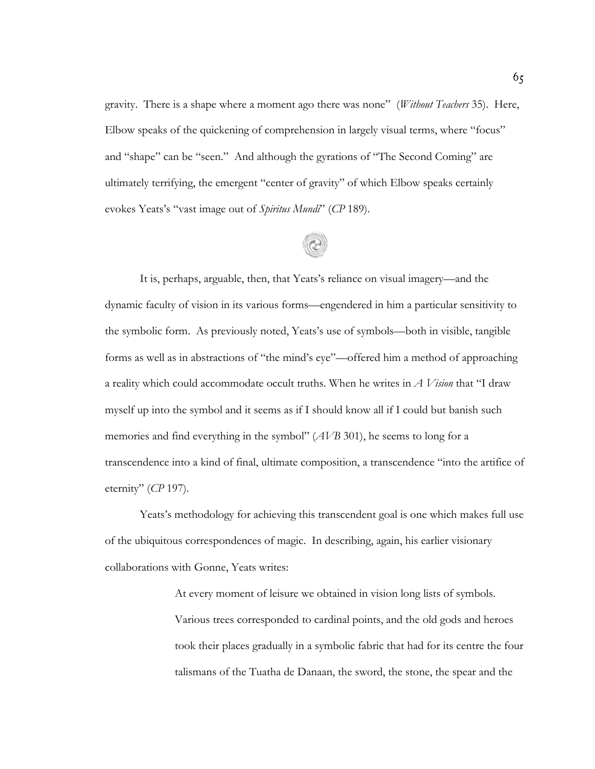gravity. There is a shape where a moment ago there was none" (*Without Teachers* 35). Here, Elbow speaks of the quickening of comprehension in largely visual terms, where "focus" and "shape" can be "seen." And although the gyrations of "The Second Coming" are ultimately terrifying, the emergent "center of gravity" of which Elbow speaks certainly evokes Yeats's "vast image out of *Spiritus Mundi*" (*CP* 189).

It is, perhaps, arguable, then, that Yeats's reliance on visual imagery—and the dynamic faculty of vision in its various forms—engendered in him a particular sensitivity to the symbolic form. As previously noted, Yeats's use of symbols—both in visible, tangible forms as well as in abstractions of "the mind's eye"—offered him a method of approaching a reality which could accommodate occult truths. When he writes in *A Vision* that "I draw myself up into the symbol and it seems as if I should know all if I could but banish such memories and find everything in the symbol" (*AVB* 301), he seems to long for a transcendence into a kind of final, ultimate composition, a transcendence "into the artifice of eternity" (*CP* 197).

Yeats's methodology for achieving this transcendent goal is one which makes full use of the ubiquitous correspondences of magic. In describing, again, his earlier visionary collaborations with Gonne, Yeats writes:

> At every moment of leisure we obtained in vision long lists of symbols. Various trees corresponded to cardinal points, and the old gods and heroes took their places gradually in a symbolic fabric that had for its centre the four talismans of the Tuatha de Danaan, the sword, the stone, the spear and the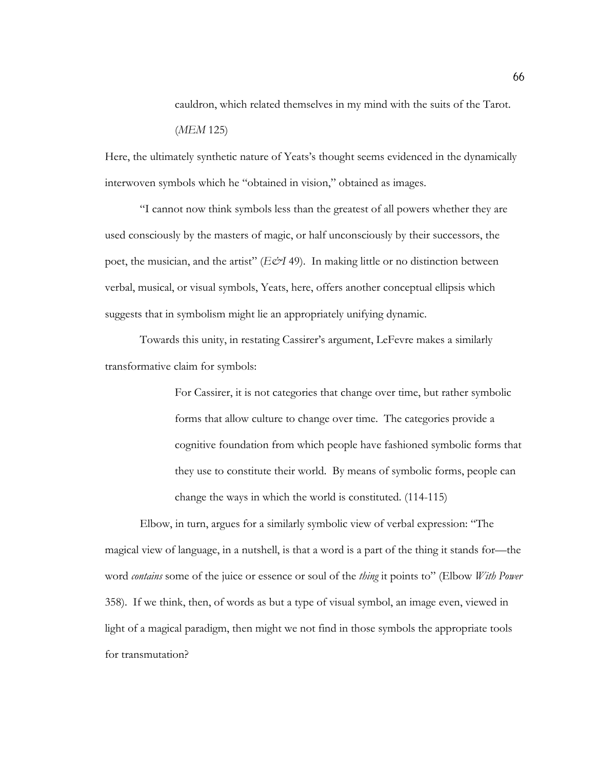cauldron, which related themselves in my mind with the suits of the Tarot. (*MEM* 125)

Here, the ultimately synthetic nature of Yeats's thought seems evidenced in the dynamically interwoven symbols which he "obtained in vision," obtained as images.

"I cannot now think symbols less than the greatest of all powers whether they are used consciously by the masters of magic, or half unconsciously by their successors, the poet, the musician, and the artist" (*E&I* 49). In making little or no distinction between verbal, musical, or visual symbols, Yeats, here, offers another conceptual ellipsis which suggests that in symbolism might lie an appropriately unifying dynamic.

Towards this unity, in restating Cassirer's argument, LeFevre makes a similarly transformative claim for symbols:

> For Cassirer, it is not categories that change over time, but rather symbolic forms that allow culture to change over time. The categories provide a cognitive foundation from which people have fashioned symbolic forms that they use to constitute their world. By means of symbolic forms, people can change the ways in which the world is constituted. (114-115)

Elbow, in turn, argues for a similarly symbolic view of verbal expression: "The magical view of language, in a nutshell, is that a word is a part of the thing it stands for—the word *contains* some of the juice or essence or soul of the *thing* it points to" (Elbow *With Power* 358). If we think, then, of words as but a type of visual symbol, an image even, viewed in light of a magical paradigm, then might we not find in those symbols the appropriate tools for transmutation?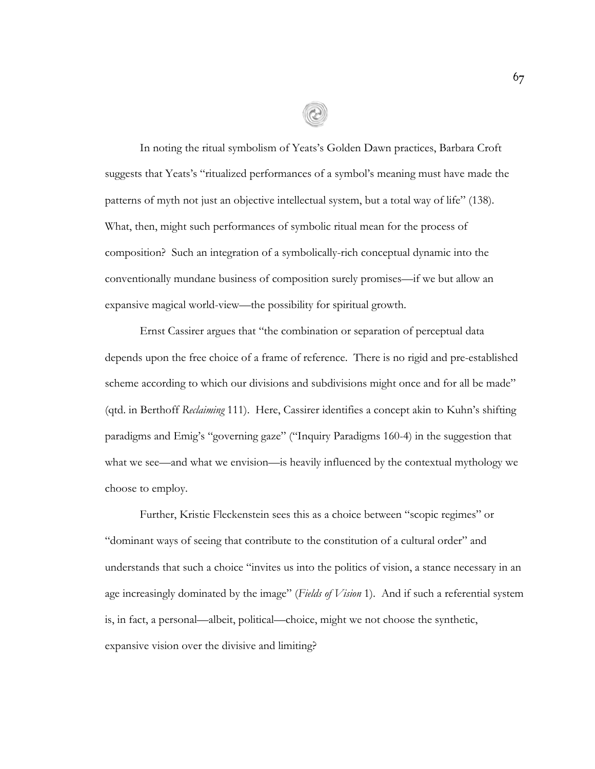In noting the ritual symbolism of Yeats's Golden Dawn practices, Barbara Croft suggests that Yeats's "ritualized performances of a symbol's meaning must have made the patterns of myth not just an objective intellectual system, but a total way of life" (138). What, then, might such performances of symbolic ritual mean for the process of composition? Such an integration of a symbolically-rich conceptual dynamic into the conventionally mundane business of composition surely promises—if we but allow an expansive magical world-view—the possibility for spiritual growth.

Ernst Cassirer argues that "the combination or separation of perceptual data depends upon the free choice of a frame of reference. There is no rigid and pre-established scheme according to which our divisions and subdivisions might once and for all be made" (qtd. in Berthoff *Reclaiming* 111). Here, Cassirer identifies a concept akin to Kuhn's shifting paradigms and Emig's "governing gaze" ("Inquiry Paradigms 160-4) in the suggestion that what we see—and what we envision—is heavily influenced by the contextual mythology we choose to employ.

Further, Kristie Fleckenstein sees this as a choice between "scopic regimes" or "dominant ways of seeing that contribute to the constitution of a cultural order" and understands that such a choice "invites us into the politics of vision, a stance necessary in an age increasingly dominated by the image" (*Fields of Vision* 1). And if such a referential system is, in fact, a personal—albeit, political—choice, might we not choose the synthetic, expansive vision over the divisive and limiting?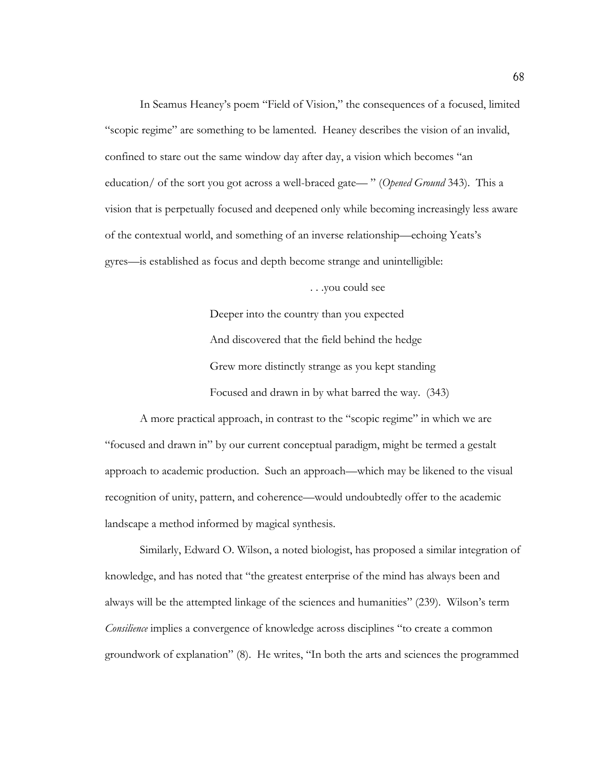In Seamus Heaney's poem "Field of Vision," the consequences of a focused, limited "scopic regime" are something to be lamented. Heaney describes the vision of an invalid, confined to stare out the same window day after day, a vision which becomes "an education/ of the sort you got across a well-braced gate— " (*Opened Ground* 343). This a vision that is perpetually focused and deepened only while becoming increasingly less aware of the contextual world, and something of an inverse relationship—echoing Yeats's gyres—is established as focus and depth become strange and unintelligible:

. . .you could see

Deeper into the country than you expected And discovered that the field behind the hedge Grew more distinctly strange as you kept standing Focused and drawn in by what barred the way. (343)

A more practical approach, in contrast to the "scopic regime" in which we are "focused and drawn in" by our current conceptual paradigm, might be termed a gestalt approach to academic production. Such an approach—which may be likened to the visual recognition of unity, pattern, and coherence—would undoubtedly offer to the academic landscape a method informed by magical synthesis.

Similarly, Edward O. Wilson, a noted biologist, has proposed a similar integration of knowledge, and has noted that "the greatest enterprise of the mind has always been and always will be the attempted linkage of the sciences and humanities" (239). Wilson's term *Consilience* implies a convergence of knowledge across disciplines "to create a common groundwork of explanation" (8). He writes, "In both the arts and sciences the programmed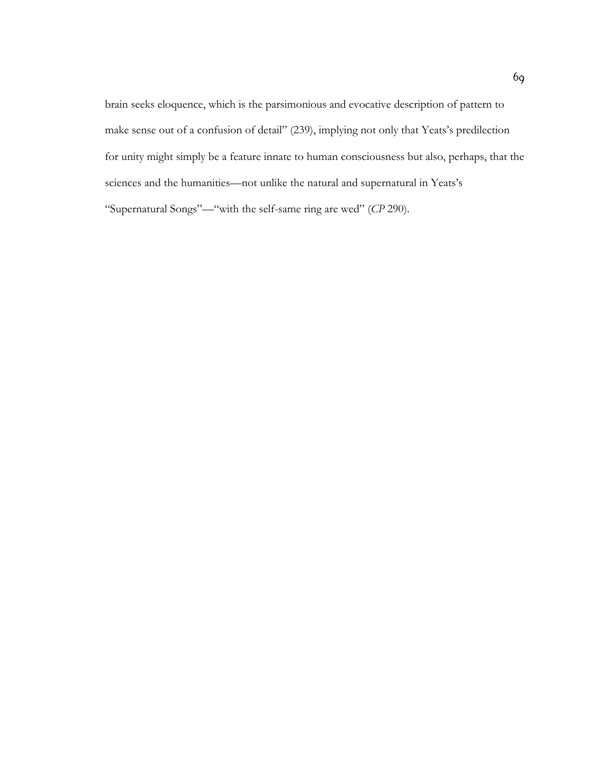brain seeks eloquence, which is the parsimonious and evocative description of pattern to make sense out of a confusion of detail" (239), implying not only that Yeats's predilection for unity might simply be a feature innate to human consciousness but also, perhaps, that the sciences and the humanities—not unlike the natural and supernatural in Yeats's "Supernatural Songs"—"with the self-same ring are wed" (*CP* 290).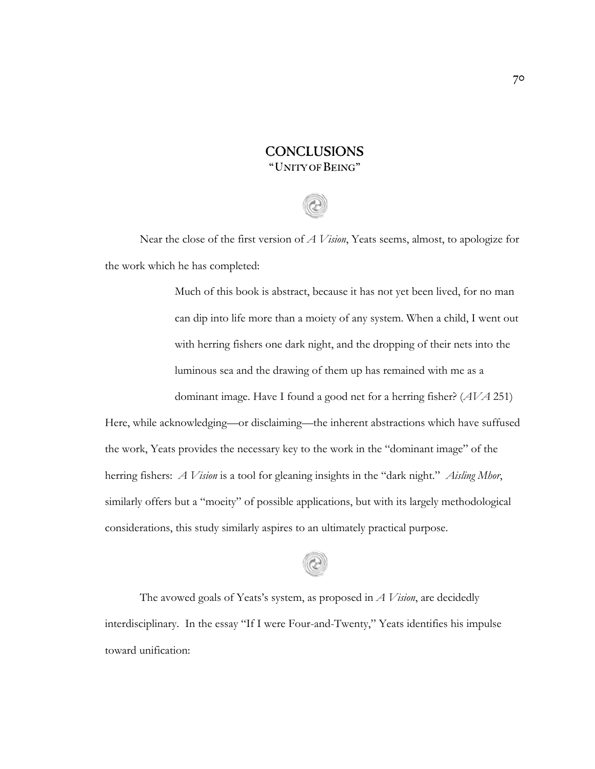# **CONCLUSIONS** "UNITY OFBEING"

Near the close of the first version of *A Vision*, Yeats seems, almost, to apologize for the work which he has completed:

> Much of this book is abstract, because it has not yet been lived, for no man can dip into life more than a moiety of any system. When a child, I went out with herring fishers one dark night, and the dropping of their nets into the luminous sea and the drawing of them up has remained with me as a dominant image. Have I found a good net for a herring fisher? (*AVA* 251)

Here, while acknowledging—or disclaiming—the inherent abstractions which have suffused the work, Yeats provides the necessary key to the work in the "dominant image" of the herring fishers: *A Vision* is a tool for gleaning insights in the "dark night." *Aisling Mhor*, similarly offers but a "moeity" of possible applications, but with its largely methodological considerations, this study similarly aspires to an ultimately practical purpose.

The avowed goals of Yeats's system, as proposed in *A Vision*, are decidedly interdisciplinary. In the essay "If I were Four-and-Twenty," Yeats identifies his impulse toward unification: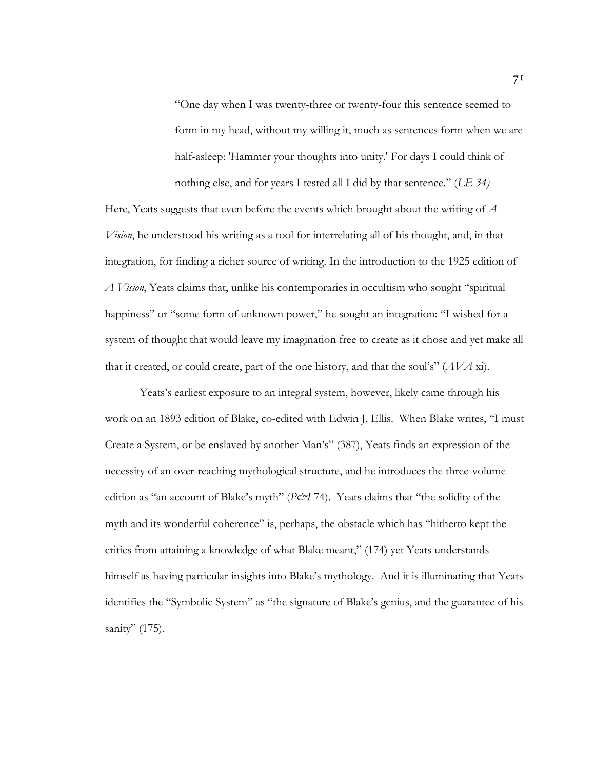"One day when I was twenty-three or twenty-four this sentence seemed to form in my head, without my willing it, much as sentences form when we are half-asleep: 'Hammer your thoughts into unity.' For days I could think of nothing else, and for years I tested all I did by that sentence." (*LE 34)*

Here, Yeats suggests that even before the events which brought about the writing of *A Vision*, he understood his writing as a tool for interrelating all of his thought, and, in that integration, for finding a richer source of writing. In the introduction to the 1925 edition of *A Vision*, Yeats claims that, unlike his contemporaries in occultism who sought "spiritual happiness" or "some form of unknown power," he sought an integration: "I wished for a system of thought that would leave my imagination free to create as it chose and yet make all that it created, or could create, part of the one history, and that the soul's" (*AVA* xi).

Yeats's earliest exposure to an integral system, however, likely came through his work on an 1893 edition of Blake, co-edited with Edwin J. Ellis. When Blake writes, "I must Create a System, or be enslaved by another Man's" (387), Yeats finds an expression of the necessity of an over-reaching mythological structure, and he introduces the three-volume edition as "an account of Blake's myth" (*P&I* 74). Yeats claims that "the solidity of the myth and its wonderful coherence" is, perhaps, the obstacle which has "hitherto kept the critics from attaining a knowledge of what Blake meant," (174) yet Yeats understands himself as having particular insights into Blake's mythology. And it is illuminating that Yeats identifies the "Symbolic System" as "the signature of Blake's genius, and the guarantee of his sanity" (175).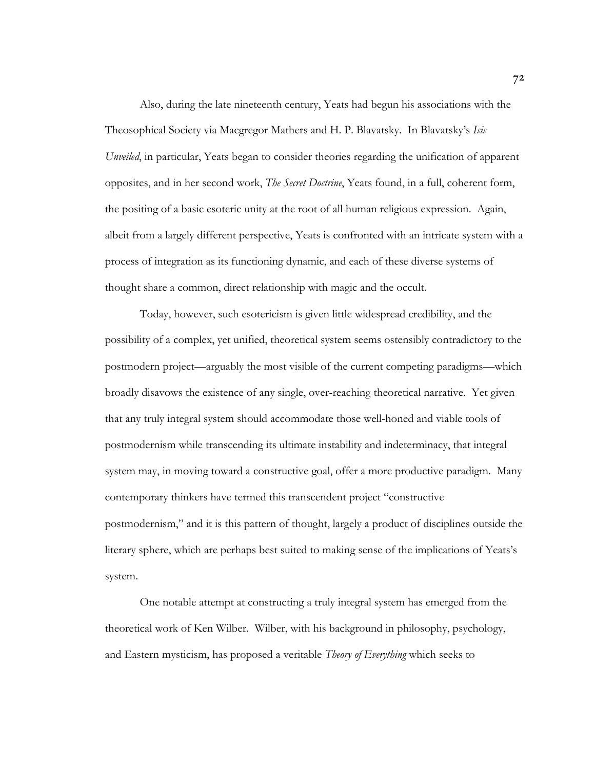Also, during the late nineteenth century, Yeats had begun his associations with the Theosophical Society via Macgregor Mathers and H. P. Blavatsky. In Blavatsky's *Isis Unveiled*, in particular, Yeats began to consider theories regarding the unification of apparent opposites, and in her second work, *The Secret Doctrine*, Yeats found, in a full, coherent form, the positing of a basic esoteric unity at the root of all human religious expression. Again, albeit from a largely different perspective, Yeats is confronted with an intricate system with a process of integration as its functioning dynamic, and each of these diverse systems of thought share a common, direct relationship with magic and the occult.

Today, however, such esotericism is given little widespread credibility, and the possibility of a complex, yet unified, theoretical system seems ostensibly contradictory to the postmodern project—arguably the most visible of the current competing paradigms—which broadly disavows the existence of any single, over-reaching theoretical narrative. Yet given that any truly integral system should accommodate those well-honed and viable tools of postmodernism while transcending its ultimate instability and indeterminacy, that integral system may, in moving toward a constructive goal, offer a more productive paradigm. Many contemporary thinkers have termed this transcendent project "constructive postmodernism," and it is this pattern of thought, largely a product of disciplines outside the literary sphere, which are perhaps best suited to making sense of the implications of Yeats's system.

One notable attempt at constructing a truly integral system has emerged from the theoretical work of Ken Wilber. Wilber, with his background in philosophy, psychology, and Eastern mysticism, has proposed a veritable *Theory of Everything* which seeks to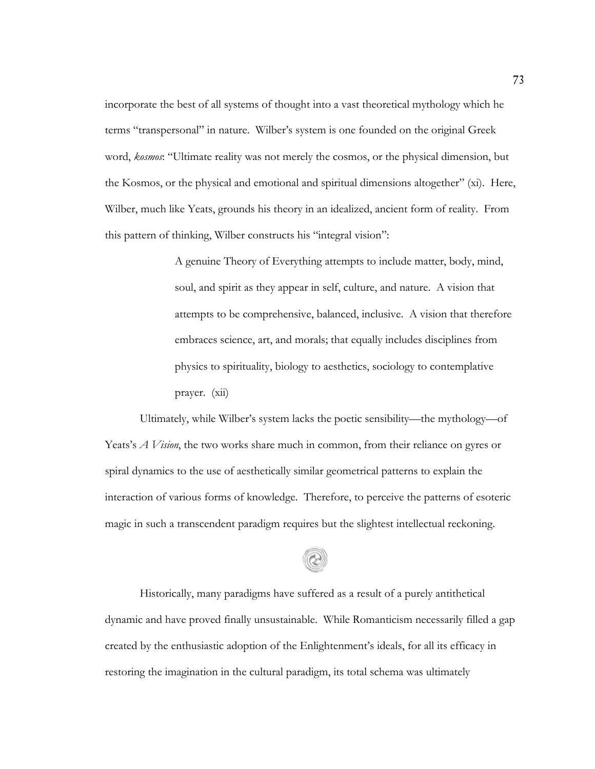incorporate the best of all systems of thought into a vast theoretical mythology which he terms "transpersonal" in nature. Wilber's system is one founded on the original Greek word, *kosmos*: "Ultimate reality was not merely the cosmos, or the physical dimension, but the Kosmos, or the physical and emotional and spiritual dimensions altogether" (xi). Here, Wilber, much like Yeats, grounds his theory in an idealized, ancient form of reality. From this pattern of thinking, Wilber constructs his "integral vision":

> A genuine Theory of Everything attempts to include matter, body, mind, soul, and spirit as they appear in self, culture, and nature. A vision that attempts to be comprehensive, balanced, inclusive. A vision that therefore embraces science, art, and morals; that equally includes disciplines from physics to spirituality, biology to aesthetics, sociology to contemplative prayer. (xii)

Ultimately, while Wilber's system lacks the poetic sensibility—the mythology—of Yeats's *A Vision*, the two works share much in common, from their reliance on gyres or spiral dynamics to the use of aesthetically similar geometrical patterns to explain the interaction of various forms of knowledge. Therefore, to perceive the patterns of esoteric magic in such a transcendent paradigm requires but the slightest intellectual reckoning.

Historically, many paradigms have suffered as a result of a purely antithetical dynamic and have proved finally unsustainable. While Romanticism necessarily filled a gap created by the enthusiastic adoption of the Enlightenment's ideals, for all its efficacy in restoring the imagination in the cultural paradigm, its total schema was ultimately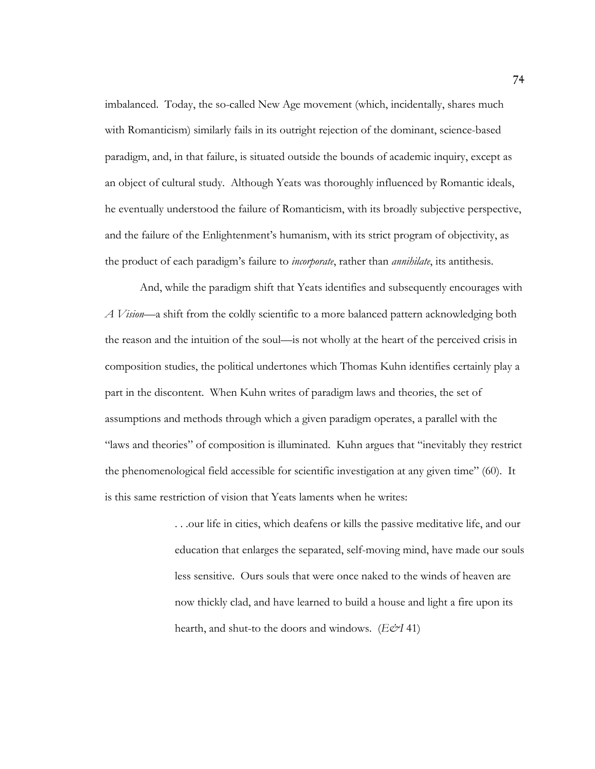imbalanced. Today, the so-called New Age movement (which, incidentally, shares much with Romanticism) similarly fails in its outright rejection of the dominant, science-based paradigm, and, in that failure, is situated outside the bounds of academic inquiry, except as an object of cultural study. Although Yeats was thoroughly influenced by Romantic ideals, he eventually understood the failure of Romanticism, with its broadly subjective perspective, and the failure of the Enlightenment's humanism, with its strict program of objectivity, as the product of each paradigm's failure to *incorporate*, rather than *annihilate*, its antithesis.

And, while the paradigm shift that Yeats identifies and subsequently encourages with *A Vision*—a shift from the coldly scientific to a more balanced pattern acknowledging both the reason and the intuition of the soul—is not wholly at the heart of the perceived crisis in composition studies, the political undertones which Thomas Kuhn identifies certainly play a part in the discontent. When Kuhn writes of paradigm laws and theories, the set of assumptions and methods through which a given paradigm operates, a parallel with the "laws and theories" of composition is illuminated. Kuhn argues that "inevitably they restrict the phenomenological field accessible for scientific investigation at any given time" (60). It is this same restriction of vision that Yeats laments when he writes:

> . . .our life in cities, which deafens or kills the passive meditative life, and our education that enlarges the separated, self-moving mind, have made our souls less sensitive. Ours souls that were once naked to the winds of heaven are now thickly clad, and have learned to build a house and light a fire upon its hearth, and shut-to the doors and windows. (*E&I* 41)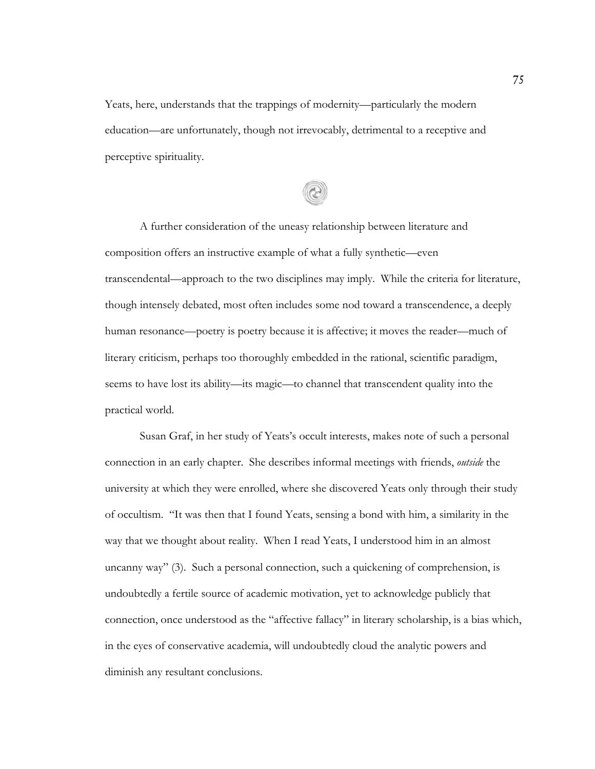Yeats, here, understands that the trappings of modernity—particularly the modern education—are unfortunately, though not irrevocably, detrimental to a receptive and perceptive spirituality.

A further consideration of the uneasy relationship between literature and composition offers an instructive example of what a fully synthetic—even transcendental—approach to the two disciplines may imply. While the criteria for literature, though intensely debated, most often includes some nod toward a transcendence, a deeply human resonance—poetry is poetry because it is affective; it moves the reader—much of literary criticism, perhaps too thoroughly embedded in the rational, scientific paradigm, seems to have lost its ability—its magic—to channel that transcendent quality into the practical world.

Susan Graf, in her study of Yeats's occult interests, makes note of such a personal connection in an early chapter. She describes informal meetings with friends, *outside* the university at which they were enrolled, where she discovered Yeats only through their study of occultism. "It was then that I found Yeats, sensing a bond with him, a similarity in the way that we thought about reality. When I read Yeats, I understood him in an almost uncanny way" (3). Such a personal connection, such a quickening of comprehension, is undoubtedly a fertile source of academic motivation, yet to acknowledge publicly that connection, once understood as the "affective fallacy" in literary scholarship, is a bias which, in the eyes of conservative academia, will undoubtedly cloud the analytic powers and diminish any resultant conclusions.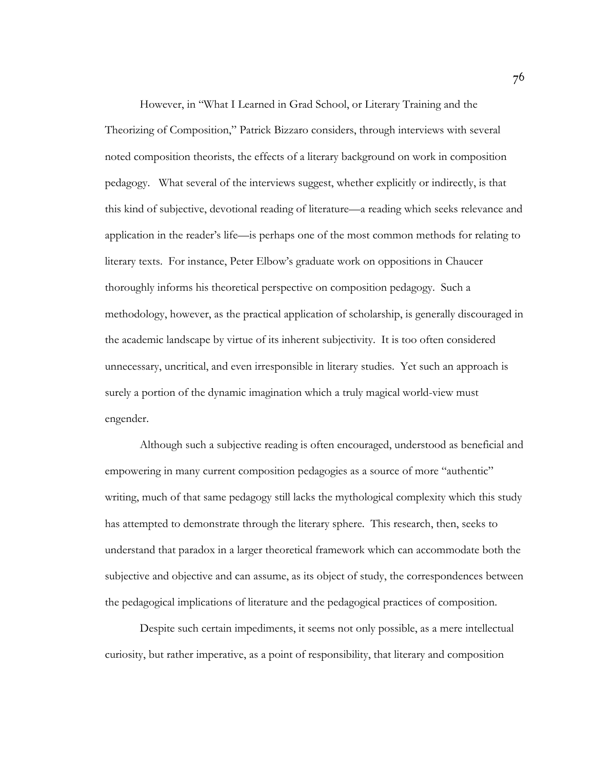However, in "What I Learned in Grad School, or Literary Training and the Theorizing of Composition," Patrick Bizzaro considers, through interviews with several noted composition theorists, the effects of a literary background on work in composition pedagogy. What several of the interviews suggest, whether explicitly or indirectly, is that this kind of subjective, devotional reading of literature—a reading which seeks relevance and application in the reader's life—is perhaps one of the most common methods for relating to literary texts. For instance, Peter Elbow's graduate work on oppositions in Chaucer thoroughly informs his theoretical perspective on composition pedagogy. Such a methodology, however, as the practical application of scholarship, is generally discouraged in the academic landscape by virtue of its inherent subjectivity. It is too often considered unnecessary, uncritical, and even irresponsible in literary studies. Yet such an approach is surely a portion of the dynamic imagination which a truly magical world-view must engender.

Although such a subjective reading is often encouraged, understood as beneficial and empowering in many current composition pedagogies as a source of more "authentic" writing, much of that same pedagogy still lacks the mythological complexity which this study has attempted to demonstrate through the literary sphere. This research, then, seeks to understand that paradox in a larger theoretical framework which can accommodate both the subjective and objective and can assume, as its object of study, the correspondences between the pedagogical implications of literature and the pedagogical practices of composition.

Despite such certain impediments, it seems not only possible, as a mere intellectual curiosity, but rather imperative, as a point of responsibility, that literary and composition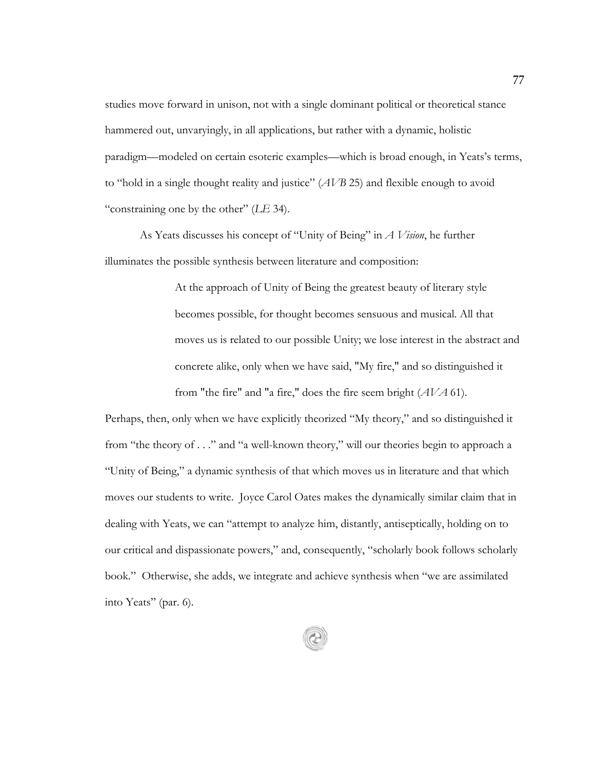studies move forward in unison, not with a single dominant political or theoretical stance hammered out, unvaryingly, in all applications, but rather with a dynamic, holistic paradigm—modeled on certain esoteric examples—which is broad enough, in Yeats's terms, to "hold in a single thought reality and justice" (*AVB* 25) and flexible enough to avoid "constraining one by the other" (*LE* 34).

As Yeats discusses his concept of "Unity of Being" in *A Vision*, he further illuminates the possible synthesis between literature and composition:

> At the approach of Unity of Being the greatest beauty of literary style becomes possible, for thought becomes sensuous and musical. All that moves us is related to our possible Unity; we lose interest in the abstract and concrete alike, only when we have said, "My fire," and so distinguished it from "the fire" and "a fire," does the fire seem bright (*AVA* 61).

Perhaps, then, only when we have explicitly theorized "My theory," and so distinguished it from "the theory of . . ." and "a well-known theory," will our theories begin to approach a "Unity of Being," a dynamic synthesis of that which moves us in literature and that which moves our students to write. Joyce Carol Oates makes the dynamically similar claim that in dealing with Yeats, we can "attempt to analyze him, distantly, antiseptically, holding on to our critical and dispassionate powers," and, consequently, "scholarly book follows scholarly book." Otherwise, she adds, we integrate and achieve synthesis when "we are assimilated into Yeats" (par. 6).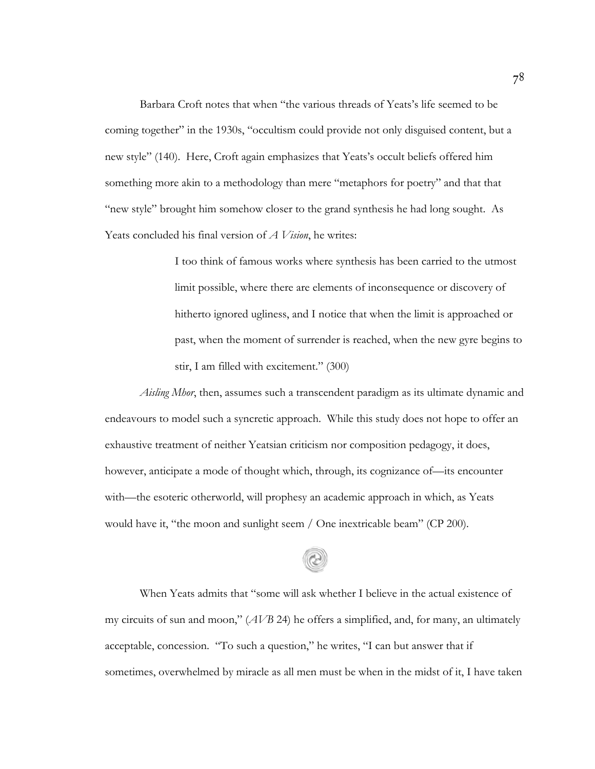Barbara Croft notes that when "the various threads of Yeats's life seemed to be coming together" in the 1930s, "occultism could provide not only disguised content, but a new style" (140). Here, Croft again emphasizes that Yeats's occult beliefs offered him something more akin to a methodology than mere "metaphors for poetry" and that that "new style" brought him somehow closer to the grand synthesis he had long sought. As Yeats concluded his final version of *A Vision*, he writes:

> I too think of famous works where synthesis has been carried to the utmost limit possible, where there are elements of inconsequence or discovery of hitherto ignored ugliness, and I notice that when the limit is approached or past, when the moment of surrender is reached, when the new gyre begins to stir, I am filled with excitement." (300)

*Aisling Mhor*, then, assumes such a transcendent paradigm as its ultimate dynamic and endeavours to model such a syncretic approach. While this study does not hope to offer an exhaustive treatment of neither Yeatsian criticism nor composition pedagogy, it does, however, anticipate a mode of thought which, through, its cognizance of—its encounter with—the esoteric otherworld, will prophesy an academic approach in which, as Yeats would have it, "the moon and sunlight seem / One inextricable beam" (CP 200).

When Yeats admits that "some will ask whether I believe in the actual existence of my circuits of sun and moon," (*AVB* 24) he offers a simplified, and, for many, an ultimately acceptable, concession. "To such a question," he writes, "I can but answer that if sometimes, overwhelmed by miracle as all men must be when in the midst of it, I have taken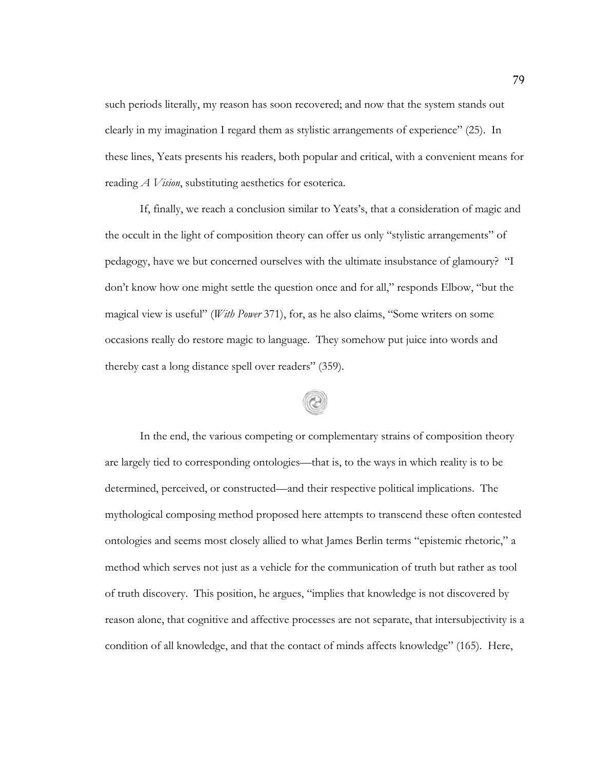such periods literally, my reason has soon recovered; and now that the system stands out clearly in my imagination I regard them as stylistic arrangements of experience" (25). In these lines, Yeats presents his readers, both popular and critical, with a convenient means for reading *A Vision*, substituting aesthetics for esoterica.

If, finally, we reach a conclusion similar to Yeats's, that a consideration of magic and the occult in the light of composition theory can offer us only "stylistic arrangements" of pedagogy, have we but concerned ourselves with the ultimate insubstance of glamoury? "I don't know how one might settle the question once and for all," responds Elbow, "but the magical view is useful" (*With Power* 371), for, as he also claims, "Some writers on some occasions really do restore magic to language. They somehow put juice into words and thereby cast a long distance spell over readers" (359).

In the end, the various competing or complementary strains of composition theory are largely tied to corresponding ontologies—that is, to the ways in which reality is to be determined, perceived, or constructed—and their respective political implications. The mythological composing method proposed here attempts to transcend these often contested ontologies and seems most closely allied to what James Berlin terms "epistemic rhetoric," a method which serves not just as a vehicle for the communication of truth but rather as tool of truth discovery. This position, he argues, "implies that knowledge is not discovered by reason alone, that cognitive and affective processes are not separate, that intersubjectivity is a condition of all knowledge, and that the contact of minds affects knowledge" (165). Here,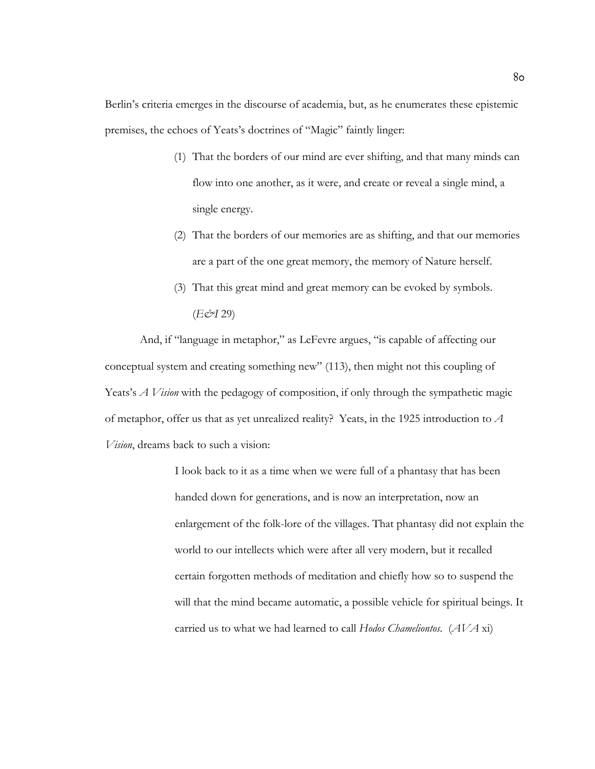Berlin's criteria emerges in the discourse of academia, but, as he enumerates these epistemic premises, the echoes of Yeats's doctrines of "Magic" faintly linger:

- (1) That the borders of our mind are ever shifting, and that many minds can flow into one another, as it were, and create or reveal a single mind, a single energy.
- (2) That the borders of our memories are as shifting, and that our memories are a part of the one great memory, the memory of Nature herself.
- (3) That this great mind and great memory can be evoked by symbols. (*E&I* 29)

And, if "language in metaphor," as LeFevre argues, "is capable of affecting our conceptual system and creating something new" (113), then might not this coupling of Yeats's *A Vision* with the pedagogy of composition, if only through the sympathetic magic of metaphor, offer us that as yet unrealized reality? Yeats, in the 1925 introduction to *A Vision*, dreams back to such a vision:

> I look back to it as a time when we were full of a phantasy that has been handed down for generations, and is now an interpretation, now an enlargement of the folk-lore of the villages. That phantasy did not explain the world to our intellects which were after all very modern, but it recalled certain forgotten methods of meditation and chiefly how so to suspend the will that the mind became automatic, a possible vehicle for spiritual beings. It carried us to what we had learned to call *Hodos Chameliontos*. (*AVA* xi)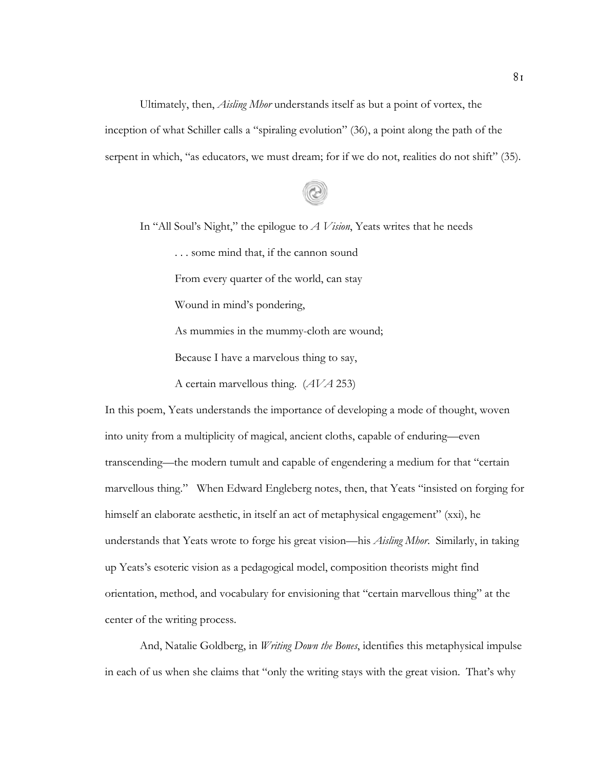Ultimately, then, *Aisling Mhor* understands itself as but a point of vortex, the inception of what Schiller calls a "spiraling evolution" (36), a point along the path of the serpent in which, "as educators, we must dream; for if we do not, realities do not shift" (35).

In "All Soul's Night," the epilogue to *A Vision*, Yeats writes that he needs . . . some mind that, if the cannon sound From every quarter of the world, can stay Wound in mind's pondering, As mummies in the mummy-cloth are wound; Because I have a marvelous thing to say, A certain marvellous thing. (*AVA* 253)

In this poem, Yeats understands the importance of developing a mode of thought, woven into unity from a multiplicity of magical, ancient cloths, capable of enduring—even transcending—the modern tumult and capable of engendering a medium for that "certain marvellous thing." When Edward Engleberg notes, then, that Yeats "insisted on forging for himself an elaborate aesthetic, in itself an act of metaphysical engagement" (xxi), he understands that Yeats wrote to forge his great vision—his *Aisling Mhor*. Similarly, in taking up Yeats's esoteric vision as a pedagogical model, composition theorists might find orientation, method, and vocabulary for envisioning that "certain marvellous thing" at the center of the writing process.

And, Natalie Goldberg, in *Writing Down the Bones*, identifies this metaphysical impulse in each of us when she claims that "only the writing stays with the great vision. That's why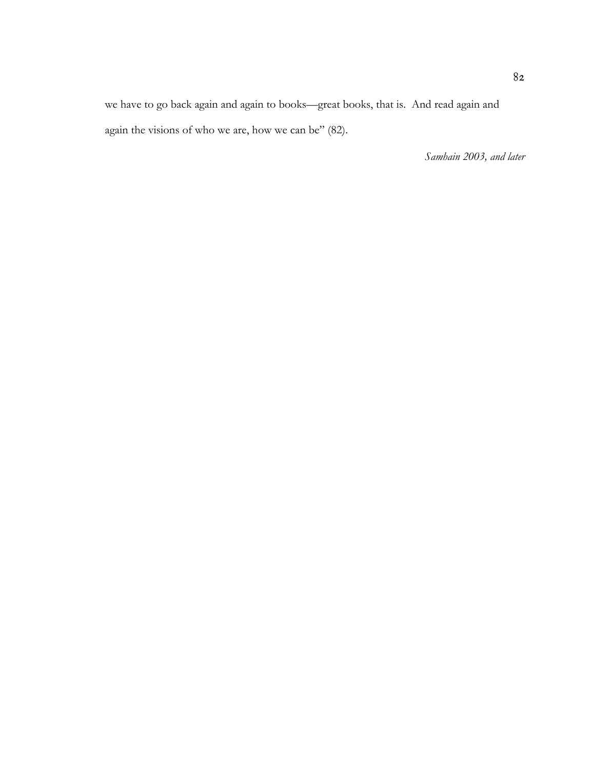we have to go back again and again to books—great books, that is. And read again and again the visions of who we are, how we can be" (82).

*Samhain 2003, and later*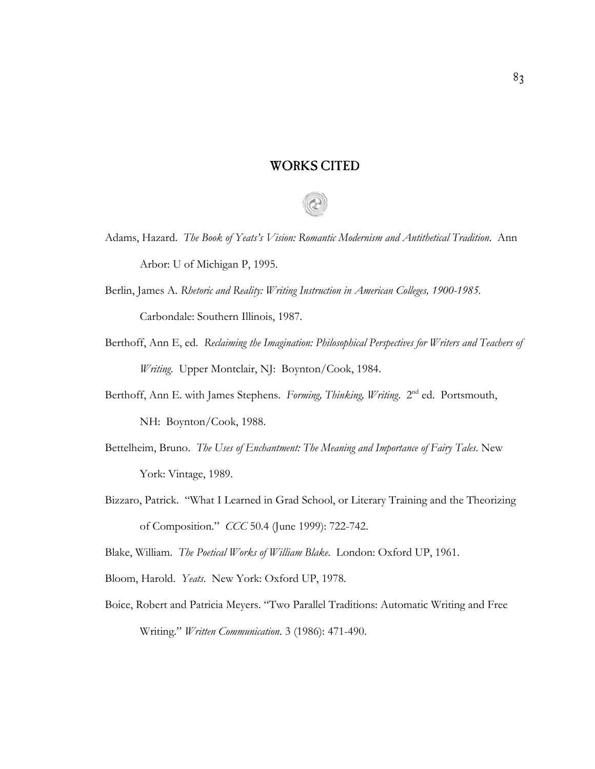## WORKS CITED

- Adams, Hazard. *The Book of Yeats's Vision: Romantic Modernism and Antithetical Tradition*. Ann Arbor: U of Michigan P, 1995.
- Berlin, James A. *Rhetoric and Reality: Writing Instruction in American Colleges, 1900-1985*. Carbondale: Southern Illinois, 1987.
- Berthoff, Ann E, ed. *Reclaiming the Imagination: Philosophical Perspectives for Writers and Teachers of Writing*. Upper Montclair, NJ: Boynton/Cook, 1984.
- Berthoff, Ann E. with James Stephens. *Forming, Thinking, Writing*. 2<sup>nd</sup> ed. Portsmouth, NH: Boynton/Cook, 1988.
- Bettelheim, Bruno. *The Uses of Enchantment: The Meaning and Importance of Fairy Tales*. New York: Vintage, 1989.
- Bizzaro, Patrick. "What I Learned in Grad School, or Literary Training and the Theorizing of Composition." *CCC* 50.4 (June 1999): 722-742.

Blake, William. *The Poetical Works of William Blake*. London: Oxford UP, 1961.

- Bloom, Harold. *Yeats*. New York: Oxford UP, 1978.
- Boice, Robert and Patricia Meyers. "Two Parallel Traditions: Automatic Writing and Free Writing." *Written Communication*. 3 (1986): 471-490.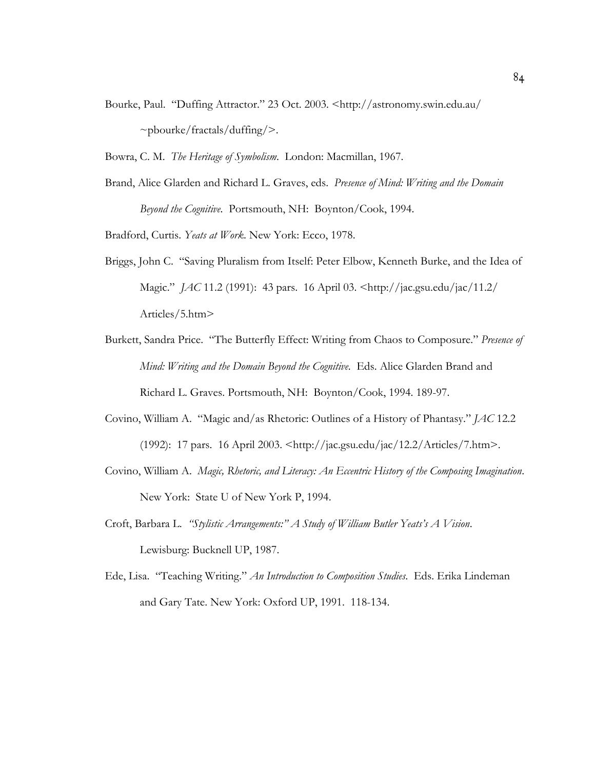- Bourke, Paul. "Duffing Attractor." 23 Oct. 2003. <http://astronomy.swin.edu.au/  $\sim$ pbourke/fractals/duffing/>.
- Bowra, C. M. *The Heritage of Symbolism*. London: Macmillan, 1967.
- Brand, Alice Glarden and Richard L. Graves, eds. *Presence of Mind: Writing and the Domain Beyond the Cognitive*. Portsmouth, NH: Boynton/Cook, 1994.

Bradford, Curtis. *Yeats at Work*. New York: Ecco, 1978.

- Briggs, John C. "Saving Pluralism from Itself: Peter Elbow, Kenneth Burke, and the Idea of Magic." *JAC* 11.2 (1991): 43 pars. 16 April 03. <http://jac.gsu.edu/jac/11.2/ Articles/5.htm>
- Burkett, Sandra Price. "The Butterfly Effect: Writing from Chaos to Composure." *Presence of Mind: Writing and the Domain Beyond the Cognitive*. Eds. Alice Glarden Brand and Richard L. Graves. Portsmouth, NH: Boynton/Cook, 1994. 189-97.
- Covino, William A. "Magic and/as Rhetoric: Outlines of a History of Phantasy." *JAC* 12.2 (1992): 17 pars. 16 April 2003. <http://jac.gsu.edu/jac/12.2/Articles/7.htm>.
- Covino, William A. *Magic, Rhetoric, and Literacy: An Eccentric History of the Composing Imagination*. New York: State U of New York P, 1994.
- Croft, Barbara L. *"Stylistic Arrangements:" A Study of William Butler Yeats's A Vision*. Lewisburg: Bucknell UP, 1987.
- Ede, Lisa. "Teaching Writing." *An Introduction to Composition Studies*. Eds. Erika Lindeman and Gary Tate. New York: Oxford UP, 1991. 118-134.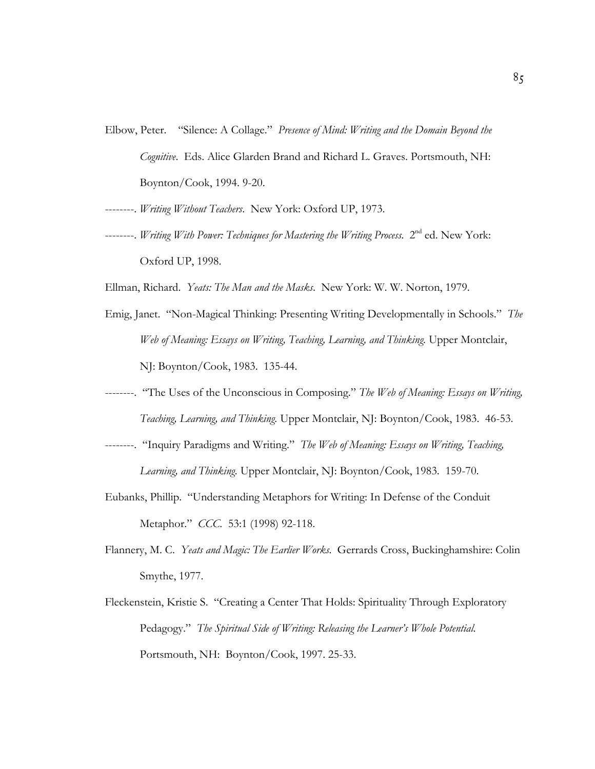Elbow, Peter. "Silence: A Collage." *Presence of Mind: Writing and the Domain Beyond the Cognitive*. Eds. Alice Glarden Brand and Richard L. Graves. Portsmouth, NH: Boynton/Cook, 1994. 9-20.

--------. *Writing Without Teachers*. New York: Oxford UP, 1973.

- --------. *Writing With Power: Techniques for Mastering the Writing Process.* 2<sup>nd</sup> ed. New York: Oxford UP, 1998.
- Ellman, Richard. *Yeats: The Man and the Masks*. New York: W. W. Norton, 1979.
- Emig, Janet. "Non-Magical Thinking: Presenting Writing Developmentally in Schools." *The Web of Meaning: Essays on Writing, Teaching, Learning, and Thinking.* Upper Montclair, NJ: Boynton/Cook, 1983. 135-44.
- --------. "The Uses of the Unconscious in Composing." *The Web of Meaning: Essays on Writing, Teaching, Learning, and Thinking.* Upper Montclair, NJ: Boynton/Cook, 1983. 46-53.
- --------. "Inquiry Paradigms and Writing." *The Web of Meaning: Essays on Writing, Teaching, Learning, and Thinking.* Upper Montclair, NJ: Boynton/Cook, 1983. 159-70.
- Eubanks, Phillip. "Understanding Metaphors for Writing: In Defense of the Conduit Metaphor." *CCC*. 53:1 (1998) 92-118.
- Flannery, M. C. *Yeats and Magic: The Earlier Works.* Gerrards Cross, Buckinghamshire: Colin Smythe, 1977.
- Fleckenstein, Kristie S. "Creating a Center That Holds: Spirituality Through Exploratory Pedagogy." *The Spiritual Side of Writing: Releasing the Learner's Whole Potential*. Portsmouth, NH: Boynton/Cook, 1997. 25-33.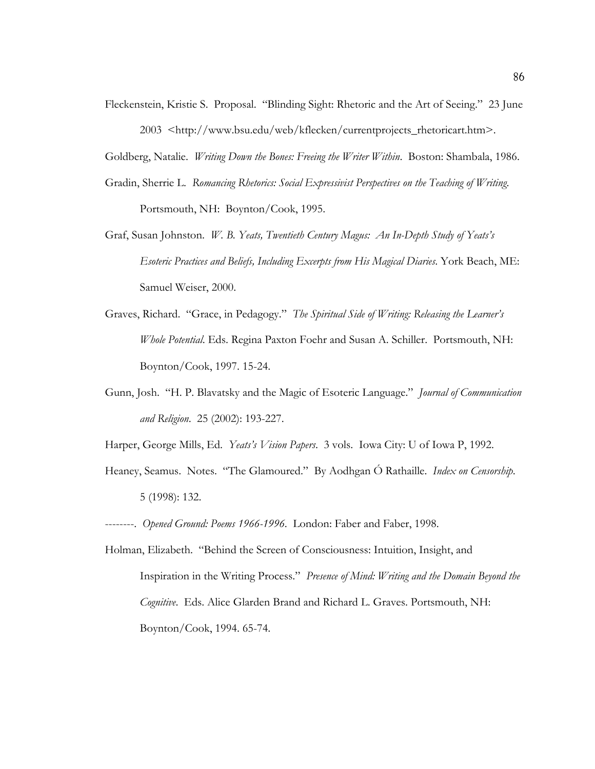Fleckenstein, Kristie S. Proposal. "Blinding Sight: Rhetoric and the Art of Seeing." 23 June 2003 <http://www.bsu.edu/web/kflecken/currentprojects\_rhetoricart.htm>.

Goldberg, Natalie. *Writing Down the Bones: Freeing the Writer Within*. Boston: Shambala, 1986.

- Gradin, Sherrie L. *Romancing Rhetorics: Social Expressivist Perspectives on the Teaching of Writing*. Portsmouth, NH: Boynton/Cook, 1995.
- Graf, Susan Johnston. *W. B. Yeats, Twentieth Century Magus: An In-Depth Study of Yeats's Esoteric Practices and Beliefs, Including Excerpts from His Magical Diaries*. York Beach, ME: Samuel Weiser, 2000.
- Graves, Richard. "Grace, in Pedagogy." *The Spiritual Side of Writing: Releasing the Learner's Whole Potential*. Eds. Regina Paxton Foehr and Susan A. Schiller. Portsmouth, NH: Boynton/Cook, 1997. 15-24.
- Gunn, Josh. "H. P. Blavatsky and the Magic of Esoteric Language." *Journal of Communication and Religion*. 25 (2002): 193-227.

Harper, George Mills, Ed. *Yeats's Vision Papers*. 3 vols. Iowa City: U of Iowa P, 1992.

- Heaney, Seamus. Notes. "The Glamoured." By Aodhgan Ó Rathaille. *Index on Censorship*. 5 (1998): 132.
- --------. *Opened Ground: Poems 1966-1996*. London: Faber and Faber, 1998.
- Holman, Elizabeth. "Behind the Screen of Consciousness: Intuition, Insight, and Inspiration in the Writing Process." *Presence of Mind: Writing and the Domain Beyond the Cognitive*. Eds. Alice Glarden Brand and Richard L. Graves. Portsmouth, NH: Boynton/Cook, 1994. 65-74.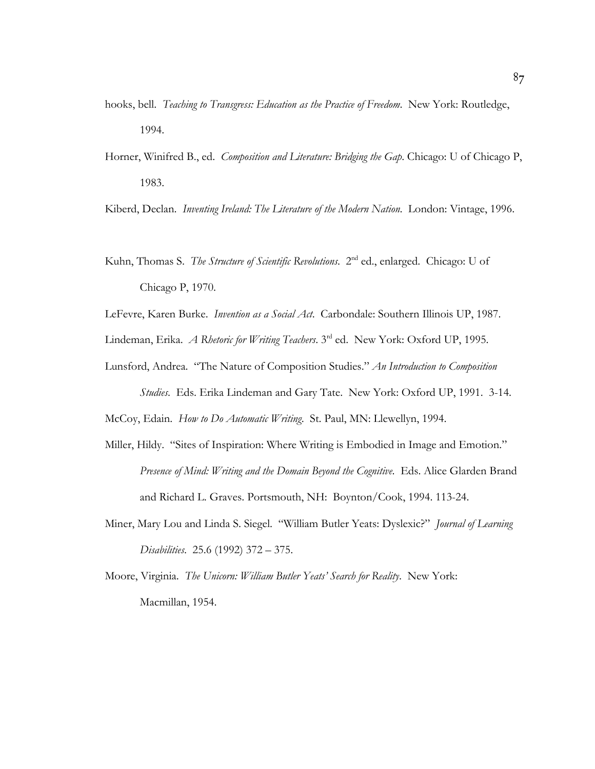- hooks, bell. *Teaching to Transgress: Education as the Practice of Freedom*. New York: Routledge, 1994.
- Horner, Winifred B., ed. *Composition and Literature: Bridging the Gap*. Chicago: U of Chicago P, 1983.

Kiberd, Declan. *Inventing Ireland: The Literature of the Modern Nation*. London: Vintage, 1996.

Kuhn, Thomas S. *The Structure of Scientific Revolutions*. 2<sup>nd</sup> ed., enlarged. Chicago: U of Chicago P, 1970.

LeFevre, Karen Burke. *Invention as a Social Act*. Carbondale: Southern Illinois UP, 1987.

Lindeman, Erika. *A Rhetoric for Writing Teachers*. 3rd ed. New York: Oxford UP, 1995.

Lunsford, Andrea. "The Nature of Composition Studies." *An Introduction to Composition*

*Studies*. Eds. Erika Lindeman and Gary Tate. New York: Oxford UP, 1991. 3-14. McCoy, Edain. *How to Do Automatic Writing*. St. Paul, MN: Llewellyn, 1994.

- Miller, Hildy. "Sites of Inspiration: Where Writing is Embodied in Image and Emotion." *Presence of Mind: Writing and the Domain Beyond the Cognitive*. Eds. Alice Glarden Brand and Richard L. Graves. Portsmouth, NH: Boynton/Cook, 1994. 113-24.
- Miner, Mary Lou and Linda S. Siegel. "William Butler Yeats: Dyslexic?" *Journal of Learning Disabilities*. 25.6 (1992) 372 – 375.
- Moore, Virginia. *The Unicorn: William Butler Yeats' Search for Reality*. New York: Macmillan, 1954.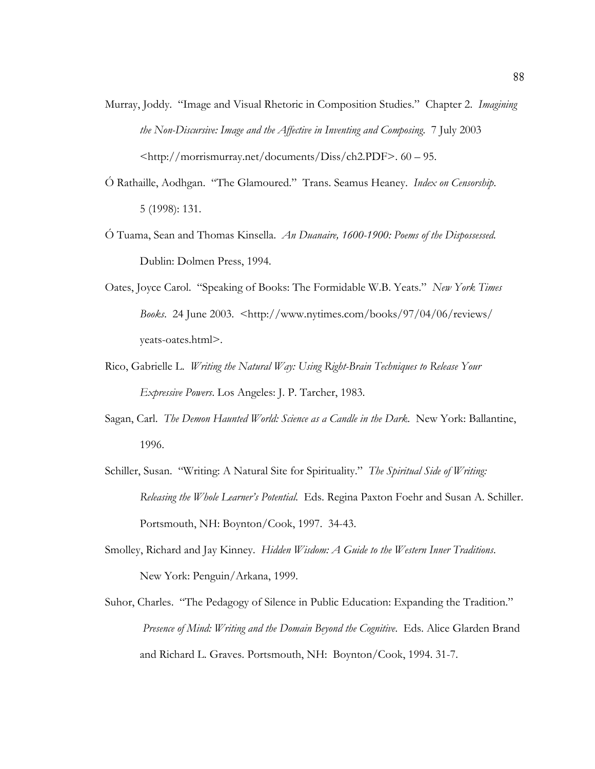- Murray, Joddy. "Image and Visual Rhetoric in Composition Studies." Chapter 2. *Imagining the Non-Discursive: Image and the Affective in Inventing and Composing*. 7 July 2003 <http://morrismurray.net/documents/Diss/ch2.PDF>. 60 – 95.
- Ó Rathaille, Aodhgan. "The Glamoured." Trans. Seamus Heaney. *Index on Censorship*. 5 (1998): 131.
- Ó Tuama, Sean and Thomas Kinsella. *An Duanaire, 1600-1900: Poems of the Dispossessed*. Dublin: Dolmen Press, 1994.
- Oates, Joyce Carol. "Speaking of Books: The Formidable W.B. Yeats." *New York Times Books*. 24 June 2003. <http://www.nytimes.com/books/97/04/06/reviews/ yeats-oates.html>.
- Rico, Gabrielle L. *Writing the Natural Way: Using Right-Brain Techniques to Release Your Expressive Powers*. Los Angeles: J. P. Tarcher, 1983.
- Sagan, Carl. *The Demon Haunted World: Science as a Candle in the Dark*. New York: Ballantine, 1996.
- Schiller, Susan. "Writing: A Natural Site for Spirituality." *The Spiritual Side of Writing: Releasing the Whole Learner's Potential*. Eds. Regina Paxton Foehr and Susan A. Schiller. Portsmouth, NH: Boynton/Cook, 1997. 34-43.
- Smolley, Richard and Jay Kinney. *Hidden Wisdom: A Guide to the Western Inner Traditions*. New York: Penguin/Arkana, 1999.
- Suhor, Charles. "The Pedagogy of Silence in Public Education: Expanding the Tradition." *Presence of Mind: Writing and the Domain Beyond the Cognitive*. Eds. Alice Glarden Brand and Richard L. Graves. Portsmouth, NH: Boynton/Cook, 1994. 31-7.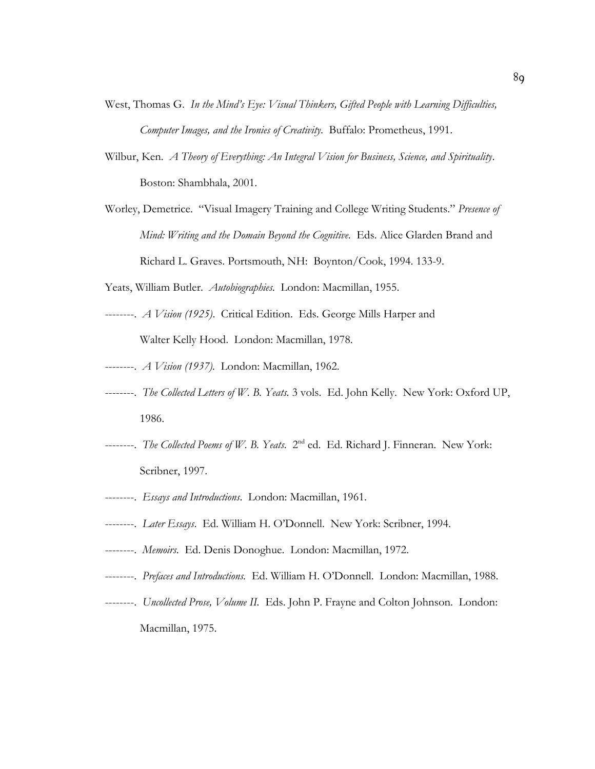- West, Thomas G. *In the Mind's Eye: Visual Thinkers, Gifted People with Learning Difficulties, Computer Images, and the Ironies of Creativity*. Buffalo: Prometheus, 1991.
- Wilbur, Ken. *A Theory of Everything: An Integral Vision for Business, Science, and Spirituality*. Boston: Shambhala, 2001.
- Worley, Demetrice. "Visual Imagery Training and College Writing Students." *Presence of Mind: Writing and the Domain Beyond the Cognitive*. Eds. Alice Glarden Brand and Richard L. Graves. Portsmouth, NH: Boynton/Cook, 1994. 133-9.
- Yeats, William Butler. *Autobiographies*. London: Macmillan, 1955.
- --------. *A Vision (1925)*. Critical Edition. Eds. George Mills Harper and Walter Kelly Hood. London: Macmillan, 1978.
- --------. *A Vision (1937).* London: Macmillan, 1962.
- --------. *The Collected Letters of W. B. Yeats.* 3 vols. Ed. John Kelly. New York: Oxford UP, 1986.
- --------. *The Collected Poems of W. B. Yeats*. 2nd ed. Ed. Richard J. Finneran. New York: Scribner, 1997.
- --------. *Essays and Introductions*. London: Macmillan, 1961.
- --------. *Later Essays*. Ed. William H. O'Donnell. New York: Scribner, 1994.
- --------. *Memoirs*. Ed. Denis Donoghue. London: Macmillan, 1972.
- --------. *Prefaces and Introductions.* Ed. William H. O'Donnell. London: Macmillan, 1988.
- --------. *Uncollected Prose, Volume II.* Eds. John P. Frayne and Colton Johnson. London: Macmillan, 1975.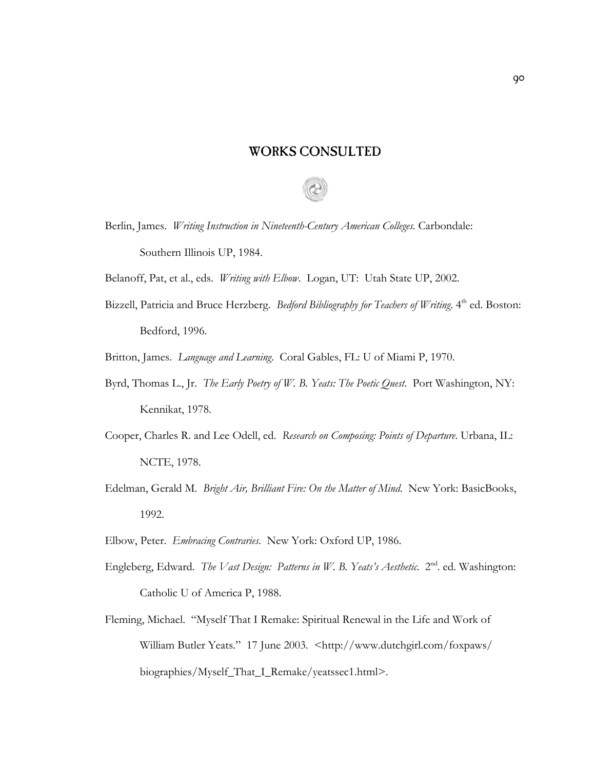## WORKS CONSULTED



Belanoff, Pat, et al., eds. *Writing with Elbow*. Logan, UT: Utah State UP, 2002.

Bizzell, Patricia and Bruce Herzberg. *Bedford Bibliography for Teachers of Writing*. 4<sup>th</sup> ed. Boston: Bedford, 1996.

Britton, James. *Language and Learning*. Coral Gables, FL: U of Miami P, 1970.

- Byrd, Thomas L., Jr. *The Early Poetry of W. B. Yeats: The Poetic Quest*. Port Washington, NY: Kennikat, 1978.
- Cooper, Charles R. and Lee Odell, ed. *Research on Composing: Points of Departure*. Urbana, IL: NCTE, 1978.
- Edelman, Gerald M. *Bright Air, Brilliant Fire: On the Matter of Mind*. New York: BasicBooks, 1992.
- Elbow, Peter. *Embracing Contraries*. New York: Oxford UP, 1986.
- Engleberg, Edward. *The Vast Design: Patterns in W. B. Yeats's Aesthetic.* 2<sup>nd</sup>. ed. Washington: Catholic U of America P, 1988.
- Fleming, Michael. "Myself That I Remake: Spiritual Renewal in the Life and Work of William Butler Yeats." 17 June 2003. <http://www.dutchgirl.com/foxpaws/ biographies/Myself\_That\_I\_Remake/yeatssec1.html>.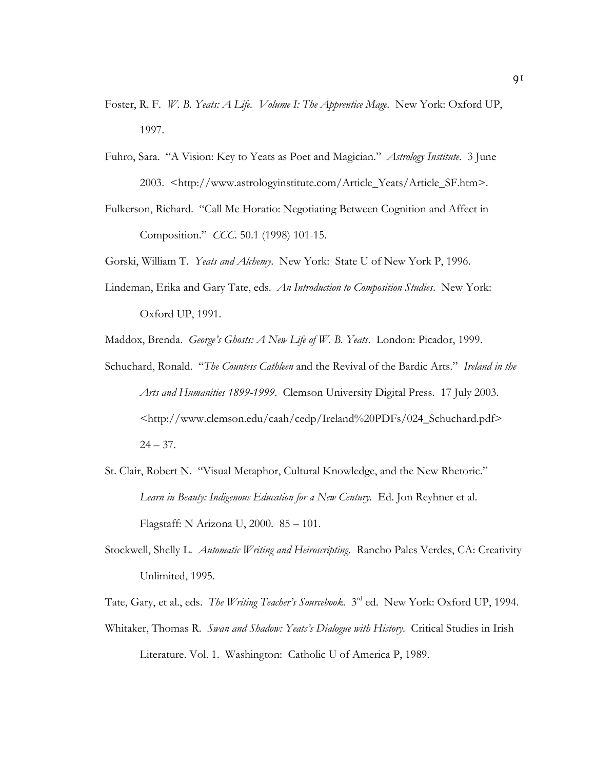- Foster, R. F. *W. B. Yeats: A Life. Volume I: The Apprentice Mage*. New York: Oxford UP, 1997.
- Fuhro, Sara. "A Vision: Key to Yeats as Poet and Magician." *Astrology Institute*. 3 June 2003. <http://www.astrologyinstitute.com/Article\_Yeats/Article\_SF.htm>.
- Fulkerson, Richard. "Call Me Horatio: Negotiating Between Cognition and Affect in Composition." *CCC*. 50.1 (1998) 101-15.

Gorski, William T. *Yeats and Alchemy*. New York: State U of New York P, 1996.

Lindeman, Erika and Gary Tate, eds. *An Introduction to Composition Studies*. New York: Oxford UP, 1991.

Maddox, Brenda. *George's Ghosts: A New Life of W. B. Yeats*. London: Picador, 1999.

- Schuchard, Ronald. "*The Countess Cathleen* and the Revival of the Bardic Arts." *Ireland in the Arts and Humanities 1899-1999*. Clemson University Digital Press. 17 July 2003. <http://www.clemson.edu/caah/cedp/Ireland%20PDFs/024\_Schuchard.pdf>  $24 - 37.$
- St. Clair, Robert N. "Visual Metaphor, Cultural Knowledge, and the New Rhetoric." Learn in Beauty: Indigenous Education for a New Century. Ed. Jon Reyhner et al. Flagstaff: N Arizona U, 2000. 85 – 101.
- Stockwell, Shelly L. *Automatic Writing and Heiroscripting*. Rancho Pales Verdes, CA: Creativity Unlimited, 1995.

Tate, Gary, et al., eds. *The Writing Teacher's Sourcebook*. 3rd ed. New York: Oxford UP, 1994.

Whitaker, Thomas R. *Swan and Shadow: Yeats's Dialogue with History*. Critical Studies in Irish Literature. Vol. 1. Washington: Catholic U of America P, 1989.